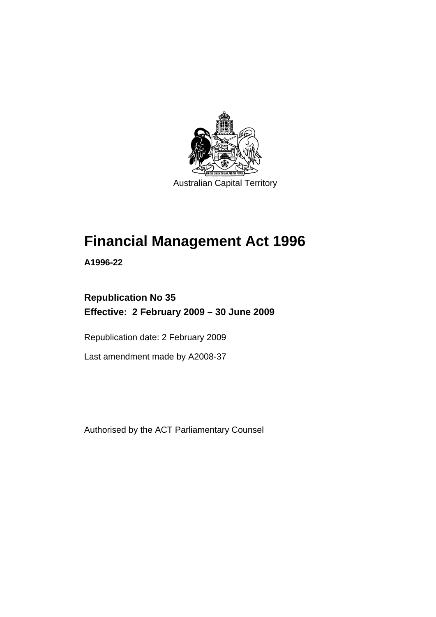

# **[Financial Management Act 1996](#page-10-0)**

**A1996-22** 

# **Republication No 35 Effective: 2 February 2009 – 30 June 2009**

Republication date: 2 February 2009

Last amendment made by A2008-37

Authorised by the ACT Parliamentary Counsel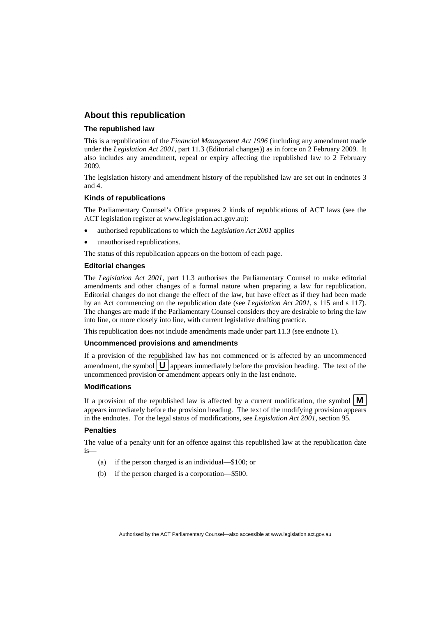#### **About this republication**

#### **The republished law**

This is a republication of the *Financial Management Act 1996* (including any amendment made under the *Legislation Act 2001*, part 11.3 (Editorial changes)) as in force on 2 February 2009*.* It also includes any amendment, repeal or expiry affecting the republished law to 2 February 2009.

The legislation history and amendment history of the republished law are set out in endnotes 3 and 4.

#### **Kinds of republications**

The Parliamentary Counsel's Office prepares 2 kinds of republications of ACT laws (see the ACT legislation register at www.legislation.act.gov.au):

- authorised republications to which the *Legislation Act 2001* applies
- unauthorised republications.

The status of this republication appears on the bottom of each page.

#### **Editorial changes**

The *Legislation Act 2001*, part 11.3 authorises the Parliamentary Counsel to make editorial amendments and other changes of a formal nature when preparing a law for republication. Editorial changes do not change the effect of the law, but have effect as if they had been made by an Act commencing on the republication date (see *Legislation Act 2001*, s 115 and s 117). The changes are made if the Parliamentary Counsel considers they are desirable to bring the law into line, or more closely into line, with current legislative drafting practice.

This republication does not include amendments made under part 11.3 (see endnote 1).

#### **Uncommenced provisions and amendments**

If a provision of the republished law has not commenced or is affected by an uncommenced amendment, the symbol  $\mathbf{U}$  appears immediately before the provision heading. The text of the uncommenced provision  $\overline{or}$  amendment appears only in the last endnote.

#### **Modifications**

If a provision of the republished law is affected by a current modification, the symbol  $\mathbf{M}$ appears immediately before the provision heading. The text of the modifying provision appears in the endnotes. For the legal status of modifications, see *Legislation Act 2001*, section 95.

#### **Penalties**

The value of a penalty unit for an offence against this republished law at the republication date is—

- (a) if the person charged is an individual—\$100; or
- (b) if the person charged is a corporation—\$500.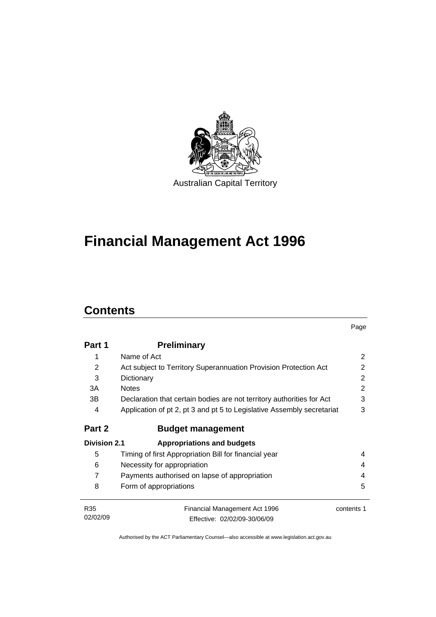

# **[Financial Management Act 1996](#page-10-0)**

# **Contents**

|                     |                                                                        | Page       |
|---------------------|------------------------------------------------------------------------|------------|
| Part 1              | <b>Preliminary</b>                                                     |            |
| 1                   | Name of Act                                                            | 2          |
| 2                   | Act subject to Territory Superannuation Provision Protection Act       | 2          |
| 3                   | Dictionary                                                             |            |
| 3A                  | <b>Notes</b>                                                           | 2          |
| 3В                  | Declaration that certain bodies are not territory authorities for Act  | 3          |
| 4                   | Application of pt 2, pt 3 and pt 5 to Legislative Assembly secretariat |            |
| Part 2              | <b>Budget management</b>                                               |            |
| <b>Division 2.1</b> | <b>Appropriations and budgets</b>                                      |            |
| 5                   | Timing of first Appropriation Bill for financial year                  | 4          |
| 6                   | Necessity for appropriation                                            | 4          |
| 7                   | Payments authorised on lapse of appropriation                          | 4          |
| 8                   | Form of appropriations                                                 | 5          |
| R <sub>35</sub>     | Financial Management Act 1996                                          | contents 1 |
| 02/02/09            | Effective: 02/02/09-30/06/09                                           |            |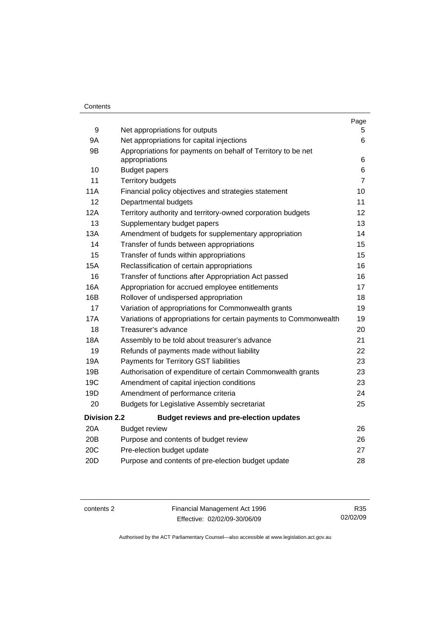#### **Contents**

|                     |                                                                   | Page           |
|---------------------|-------------------------------------------------------------------|----------------|
| 9                   | Net appropriations for outputs                                    | 5              |
| <b>9A</b>           | Net appropriations for capital injections                         | 6              |
| 9B                  | Appropriations for payments on behalf of Territory to be net      |                |
|                     | appropriations                                                    | 6              |
| 10                  | <b>Budget papers</b>                                              | 6              |
| 11                  | <b>Territory budgets</b>                                          | $\overline{7}$ |
| 11A                 | Financial policy objectives and strategies statement              | 10             |
| 12                  | Departmental budgets                                              | 11             |
| 12A                 | Territory authority and territory-owned corporation budgets       | 12             |
| 13                  | Supplementary budget papers                                       | 13             |
| 13A                 | Amendment of budgets for supplementary appropriation              | 14             |
| 14                  | Transfer of funds between appropriations                          | 15             |
| 15                  | Transfer of funds within appropriations                           | 15             |
| <b>15A</b>          | Reclassification of certain appropriations                        | 16             |
| 16                  | Transfer of functions after Appropriation Act passed              | 16             |
| <b>16A</b>          | Appropriation for accrued employee entitlements                   | 17             |
| 16B                 | Rollover of undispersed appropriation                             | 18             |
| 17                  | Variation of appropriations for Commonwealth grants               | 19             |
| 17A                 | Variations of appropriations for certain payments to Commonwealth | 19             |
| 18                  | Treasurer's advance                                               | 20             |
| <b>18A</b>          | Assembly to be told about treasurer's advance                     | 21             |
| 19                  | Refunds of payments made without liability                        | 22             |
| 19A                 | Payments for Territory GST liabilities                            | 23             |
| 19B                 | Authorisation of expenditure of certain Commonwealth grants       | 23             |
| 19C                 | Amendment of capital injection conditions                         | 23             |
| 19D                 | Amendment of performance criteria                                 | 24             |
| 20                  | <b>Budgets for Legislative Assembly secretariat</b>               | 25             |
| <b>Division 2.2</b> | <b>Budget reviews and pre-election updates</b>                    |                |
| 20A                 | <b>Budget review</b>                                              | 26             |
| 20B                 | Purpose and contents of budget review                             | 26             |
| 20C                 | Pre-election budget update                                        | 27             |
| 20 <sub>D</sub>     | Purpose and contents of pre-election budget update                | 28             |

contents 2 Financial Management Act 1996 Effective: 02/02/09-30/06/09

R35 02/02/09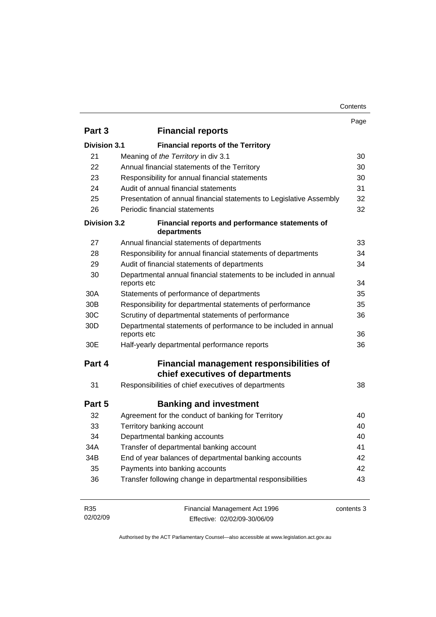| Contents |
|----------|
|----------|

|                     |                                                                                  | Page       |
|---------------------|----------------------------------------------------------------------------------|------------|
| Part 3              | <b>Financial reports</b>                                                         |            |
| <b>Division 3.1</b> | <b>Financial reports of the Territory</b>                                        |            |
| 21                  | Meaning of the Territory in div 3.1                                              | 30         |
| 22                  | Annual financial statements of the Territory                                     | 30         |
| 23                  | Responsibility for annual financial statements                                   | 30         |
| 24                  | Audit of annual financial statements                                             | 31         |
| 25                  | Presentation of annual financial statements to Legislative Assembly              | 32         |
| 26                  | Periodic financial statements                                                    | 32         |
| <b>Division 3.2</b> | Financial reports and performance statements of<br>departments                   |            |
| 27                  | Annual financial statements of departments                                       | 33         |
| 28                  | Responsibility for annual financial statements of departments                    | 34         |
| 29                  | Audit of financial statements of departments                                     | 34         |
| 30                  | Departmental annual financial statements to be included in annual<br>reports etc | 34         |
| 30A                 | Statements of performance of departments                                         | 35         |
| 30 <sub>B</sub>     | Responsibility for departmental statements of performance                        | 35         |
| 30 <sub>C</sub>     | Scrutiny of departmental statements of performance                               | 36         |
| 30 <sub>D</sub>     | Departmental statements of performance to be included in annual<br>reports etc   | 36         |
| 30E                 | Half-yearly departmental performance reports                                     | 36         |
| Part 4              | Financial management responsibilities of<br>chief executives of departments      |            |
| 31                  | Responsibilities of chief executives of departments                              | 38         |
| Part 5              | <b>Banking and investment</b>                                                    |            |
| 32                  | Agreement for the conduct of banking for Territory                               | 40         |
| 33                  | Territory banking account                                                        | 40         |
| 34                  | Departmental banking accounts                                                    | 40         |
| 34A                 | Transfer of departmental banking account                                         | 41         |
| 34B                 | End of year balances of departmental banking accounts                            | 42         |
| 35                  | Payments into banking accounts                                                   | 42         |
| 36                  | Transfer following change in departmental responsibilities                       | 43         |
| R35<br>02/02/09     | Financial Management Act 1996<br>Effective: 02/02/09-30/06/09                    | contents 3 |

Effective: 02/02/09-30/06/09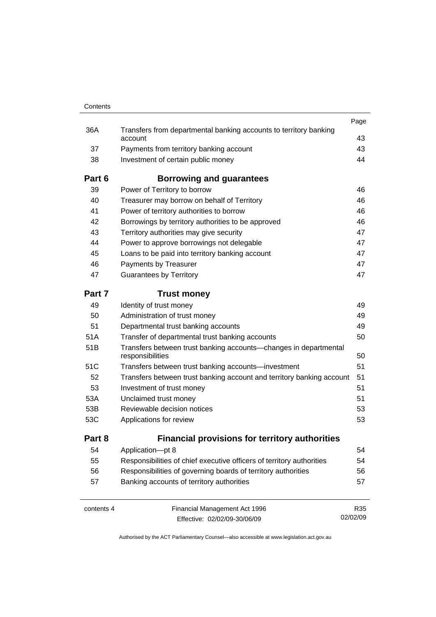| Contents   |                                                                                      |          |
|------------|--------------------------------------------------------------------------------------|----------|
|            |                                                                                      | Page     |
| 36A        | Transfers from departmental banking accounts to territory banking<br>account         | 43       |
| 37         | Payments from territory banking account                                              | 43       |
| 38         | Investment of certain public money                                                   | 44       |
| Part 6     | Borrowing and guarantees                                                             |          |
| 39         | Power of Territory to borrow                                                         | 46       |
| 40         | Treasurer may borrow on behalf of Territory                                          | 46       |
| 41         | Power of territory authorities to borrow                                             | 46       |
| 42         | Borrowings by territory authorities to be approved                                   | 46       |
| 43         | Territory authorities may give security                                              | 47       |
| 44         | Power to approve borrowings not delegable                                            | 47       |
| 45         | Loans to be paid into territory banking account                                      | 47       |
| 46         | Payments by Treasurer                                                                | 47       |
| 47         | <b>Guarantees by Territory</b>                                                       | 47       |
| Part 7     | <b>Trust money</b>                                                                   |          |
| 49         | Identity of trust money                                                              | 49       |
| 50         | Administration of trust money                                                        | 49       |
| 51         | Departmental trust banking accounts                                                  | 49       |
| 51A        | Transfer of departmental trust banking accounts                                      | 50       |
| 51B        | Transfers between trust banking accounts-changes in departmental<br>responsibilities | 50       |
| 51C        | Transfers between trust banking accounts—investment                                  | 51       |
| 52         | Transfers between trust banking account and territory banking account                | 51       |
| 53         | Investment of trust money                                                            | 51       |
| 53A        | Unclaimed trust money                                                                | 51       |
| 53B        | Reviewable decision notices                                                          | 53       |
| 53C        | Applications for review                                                              | 53       |
| Part 8     | <b>Financial provisions for territory authorities</b>                                |          |
| 54         | Application-pt 8                                                                     | 54       |
| 55         | Responsibilities of chief executive officers of territory authorities                | 54       |
| 56         | Responsibilities of governing boards of territory authorities                        | 56       |
| 57         | Banking accounts of territory authorities                                            | 57       |
| contents 4 | Financial Management Act 1996                                                        | R35      |
|            | Effective: 02/02/09-30/06/09                                                         | 02/02/09 |

Effective: 02/02/09-30/06/09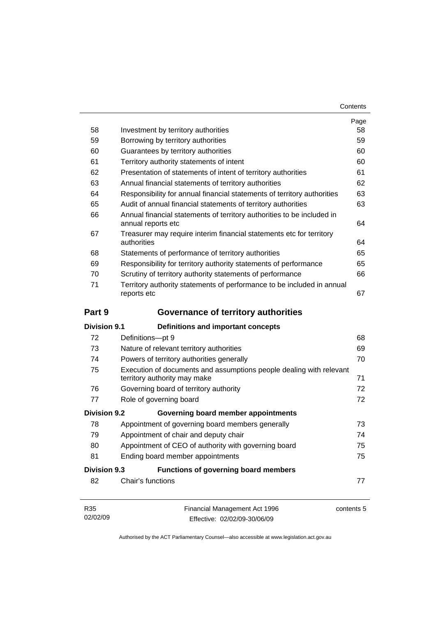| Contents |
|----------|
|----------|

| 58                  | Investment by territory authorities                                                                 | Page<br>58 |
|---------------------|-----------------------------------------------------------------------------------------------------|------------|
| 59                  | Borrowing by territory authorities                                                                  | 59         |
| 60                  | Guarantees by territory authorities                                                                 | 60         |
| 61                  | Territory authority statements of intent                                                            |            |
| 62                  | Presentation of statements of intent of territory authorities                                       | 60<br>61   |
| 63                  | Annual financial statements of territory authorities                                                | 62         |
| 64                  | Responsibility for annual financial statements of territory authorities                             | 63         |
| 65                  | Audit of annual financial statements of territory authorities                                       | 63         |
| 66                  | Annual financial statements of territory authorities to be included in<br>annual reports etc        |            |
| 67                  | Treasurer may require interim financial statements etc for territory<br>authorities                 |            |
| 68                  | Statements of performance of territory authorities                                                  | 65         |
| 69                  | Responsibility for territory authority statements of performance                                    | 65         |
| 70                  | Scrutiny of territory authority statements of performance                                           | 66         |
| 71                  | Territory authority statements of performance to be included in annual<br>reports etc               | 67         |
| Part 9              | <b>Governance of territory authorities</b>                                                          |            |
| <b>Division 9.1</b> | Definitions and important concepts                                                                  |            |
| 72                  | Definitions-pt 9                                                                                    | 68         |
| 73                  | Nature of relevant territory authorities                                                            | 69         |
| 74                  | Powers of territory authorities generally                                                           |            |
| 75                  | Execution of documents and assumptions people dealing with relevant<br>territory authority may make | 71         |
| 76                  | Governing board of territory authority                                                              | 72         |
| 77                  | Role of governing board                                                                             | 72         |
| <b>Division 9.2</b> | Governing board member appointments                                                                 |            |
| 78                  | Appointment of governing board members generally                                                    | 73         |
| 79                  | Appointment of chair and deputy chair                                                               | 74         |
| 80                  | Appointment of CEO of authority with governing board                                                | 75         |
| 81                  | Ending board member appointments                                                                    | 75         |
| <b>Division 9.3</b> | <b>Functions of governing board members</b>                                                         |            |
| 82                  | Chair's functions                                                                                   | 77         |
|                     |                                                                                                     |            |

Authorised by the ACT Parliamentary Counsel—also accessible at www.legislation.act.gov.au

Effective: 02/02/09-30/06/09

02/02/09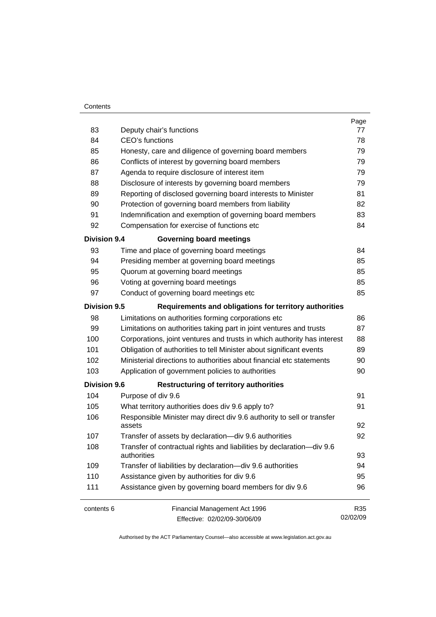#### **Contents**

| 83                  | Deputy chair's functions                                                             | Page<br>77 |  |
|---------------------|--------------------------------------------------------------------------------------|------------|--|
| 84                  | CEO's functions                                                                      |            |  |
| 85                  | Honesty, care and diligence of governing board members                               |            |  |
| 86                  | Conflicts of interest by governing board members                                     |            |  |
| 87                  | Agenda to require disclosure of interest item                                        |            |  |
| 88                  | Disclosure of interests by governing board members                                   | 79<br>79   |  |
| 89                  | Reporting of disclosed governing board interests to Minister                         | 81         |  |
| 90                  | Protection of governing board members from liability                                 | 82         |  |
| 91                  | Indemnification and exemption of governing board members                             | 83         |  |
| 92                  | Compensation for exercise of functions etc                                           |            |  |
| <b>Division 9.4</b> | <b>Governing board meetings</b>                                                      |            |  |
| 93                  | Time and place of governing board meetings                                           | 84         |  |
| 94                  | Presiding member at governing board meetings                                         | 85         |  |
| 95                  | Quorum at governing board meetings                                                   | 85         |  |
| 96                  | Voting at governing board meetings                                                   | 85         |  |
| 97                  | Conduct of governing board meetings etc                                              | 85         |  |
| <b>Division 9.5</b> | Requirements and obligations for territory authorities                               |            |  |
| 98                  | Limitations on authorities forming corporations etc                                  | 86         |  |
| 99                  | Limitations on authorities taking part in joint ventures and trusts                  | 87         |  |
| 100                 | Corporations, joint ventures and trusts in which authority has interest              |            |  |
| 101                 | Obligation of authorities to tell Minister about significant events                  |            |  |
| 102                 | Ministerial directions to authorities about financial etc statements                 |            |  |
| 103                 | Application of government policies to authorities                                    |            |  |
| <b>Division 9.6</b> | <b>Restructuring of territory authorities</b>                                        |            |  |
| 104                 | Purpose of div 9.6                                                                   | 91         |  |
| 105                 | What territory authorities does div 9.6 apply to?                                    | 91         |  |
| 106                 | Responsible Minister may direct div 9.6 authority to sell or transfer<br>assets      | 92         |  |
| 107                 | Transfer of assets by declaration-div 9.6 authorities                                | 92         |  |
| 108                 | Transfer of contractual rights and liabilities by declaration-div 9.6<br>authorities |            |  |
| 109                 | Transfer of liabilities by declaration-div 9.6 authorities                           | 94         |  |
| 110                 | Assistance given by authorities for div 9.6                                          | 95         |  |
| 111                 | Assistance given by governing board members for div 9.6                              | 96         |  |
| contents 6          | Financial Management Act 1996                                                        | R35        |  |
|                     | Effective: 02/02/09-30/06/09                                                         | 02/02/09   |  |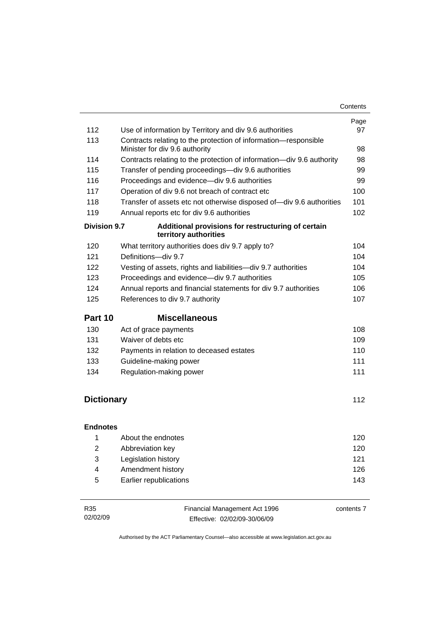|                                                                                                   | Page<br>97          |  |
|---------------------------------------------------------------------------------------------------|---------------------|--|
| Use of information by Territory and div 9.6 authorities                                           |                     |  |
| Contracts relating to the protection of information-responsible<br>Minister for div 9.6 authority | 98                  |  |
| Contracts relating to the protection of information-div 9.6 authority                             |                     |  |
| Transfer of pending proceedings—div 9.6 authorities                                               | 99                  |  |
| Proceedings and evidence-div 9.6 authorities                                                      | 99                  |  |
| Operation of div 9.6 not breach of contract etc                                                   | 100                 |  |
| Transfer of assets etc not otherwise disposed of-div 9.6 authorities                              | 101                 |  |
| Annual reports etc for div 9.6 authorities                                                        |                     |  |
| Additional provisions for restructuring of certain<br>territory authorities                       |                     |  |
| What territory authorities does div 9.7 apply to?                                                 | 104                 |  |
| Definitions-div 9.7                                                                               | 104                 |  |
| Vesting of assets, rights and liabilities-div 9.7 authorities                                     | 104                 |  |
| Proceedings and evidence-div 9.7 authorities                                                      | 105                 |  |
| Annual reports and financial statements for div 9.7 authorities                                   | 106                 |  |
| References to div 9.7 authority                                                                   | 107                 |  |
|                                                                                                   |                     |  |
| <b>Miscellaneous</b><br>Part 10                                                                   |                     |  |
| Act of grace payments                                                                             | 108                 |  |
| Waiver of debts etc                                                                               | 109                 |  |
| Payments in relation to deceased estates                                                          | 110                 |  |
| Guideline-making power                                                                            | 111                 |  |
| Regulation-making power                                                                           | 111                 |  |
|                                                                                                   |                     |  |
| <b>Dictionary</b>                                                                                 | 112                 |  |
| <b>Endnotes</b>                                                                                   |                     |  |
| About the endnotes                                                                                | 120                 |  |
| Abbreviation key                                                                                  | 120                 |  |
| Legislation history                                                                               | 121                 |  |
| Amendment history                                                                                 | 126                 |  |
|                                                                                                   | <b>Division 9.7</b> |  |

| R <sub>35</sub> | Financial Management Act 1996 | contents 7 |
|-----------------|-------------------------------|------------|
| 02/02/09        | Effective: 02/02/09-30/06/09  |            |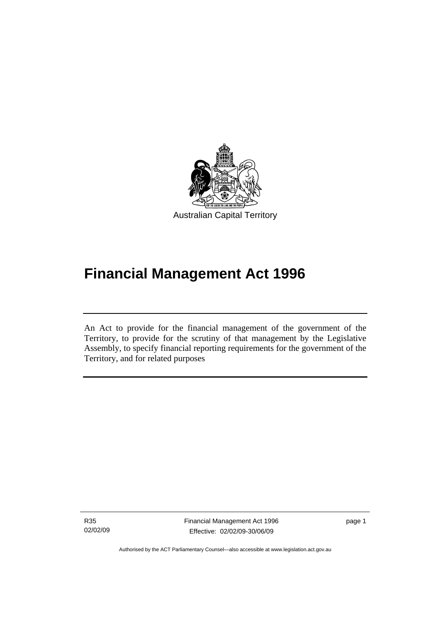<span id="page-10-0"></span>

# **Financial Management Act 1996**

An Act to provide for the financial management of the government of the Territory, to provide for the scrutiny of that management by the Legislative Assembly, to specify financial reporting requirements for the government of the Territory, and for related purposes

R35 02/02/09

I

Financial Management Act 1996 Effective: 02/02/09-30/06/09

page 1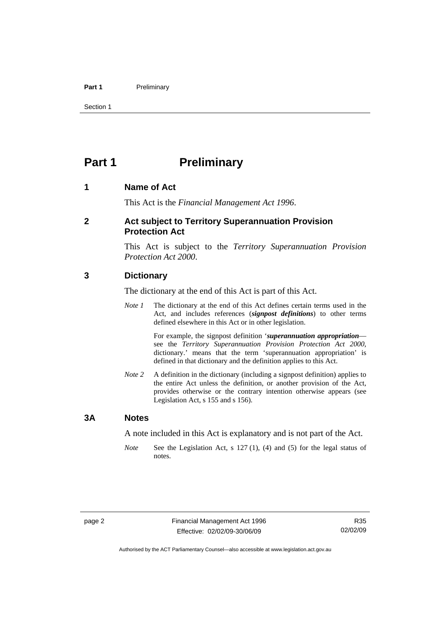#### <span id="page-11-0"></span>Part 1 **Preliminary**

Section 1

# **Part 1** Preliminary

#### **1 Name of Act**

This Act is the *Financial Management Act 1996*.

#### **2 Act subject to Territory Superannuation Provision Protection Act**

This Act is subject to the *Territory Superannuation Provision Protection Act 2000*.

#### **3 Dictionary**

The dictionary at the end of this Act is part of this Act.

*Note 1* The dictionary at the end of this Act defines certain terms used in the Act, and includes references (*signpost definitions*) to other terms defined elsewhere in this Act or in other legislation.

> For example, the signpost definition '*superannuation appropriation* see the *Territory Superannuation Provision Protection Act 2000*, dictionary.' means that the term 'superannuation appropriation' is defined in that dictionary and the definition applies to this Act.

*Note 2* A definition in the dictionary (including a signpost definition) applies to the entire Act unless the definition, or another provision of the Act, provides otherwise or the contrary intention otherwise appears (see Legislation Act, s 155 and s 156).

#### **3A Notes**

A note included in this Act is explanatory and is not part of the Act.

*Note* See the Legislation Act, s 127 (1), (4) and (5) for the legal status of notes.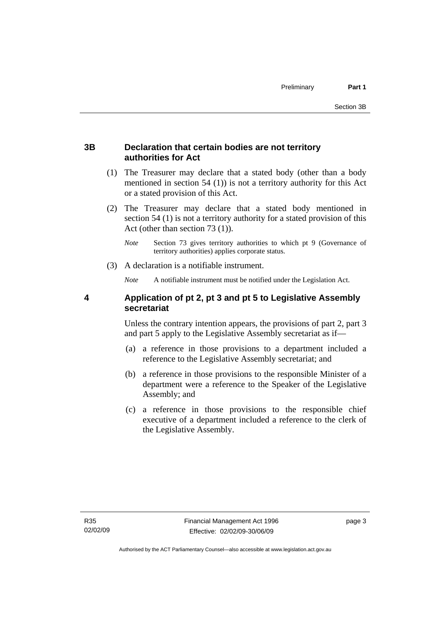# <span id="page-12-0"></span>**3B Declaration that certain bodies are not territory authorities for Act**

- (1) The Treasurer may declare that a stated body (other than a body mentioned in section 54 (1)) is not a territory authority for this Act or a stated provision of this Act.
- (2) The Treasurer may declare that a stated body mentioned in section 54 (1) is not a territory authority for a stated provision of this Act (other than section 73 (1)).
	- *Note* Section 73 gives territory authorities to which pt 9 (Governance of territory authorities) applies corporate status.
- (3) A declaration is a notifiable instrument.

*Note* A notifiable instrument must be notified under the Legislation Act.

# **4 Application of pt 2, pt 3 and pt 5 to Legislative Assembly secretariat**

Unless the contrary intention appears, the provisions of part 2, part 3 and part 5 apply to the Legislative Assembly secretariat as if—

- (a) a reference in those provisions to a department included a reference to the Legislative Assembly secretariat; and
- (b) a reference in those provisions to the responsible Minister of a department were a reference to the Speaker of the Legislative Assembly; and
- (c) a reference in those provisions to the responsible chief executive of a department included a reference to the clerk of the Legislative Assembly.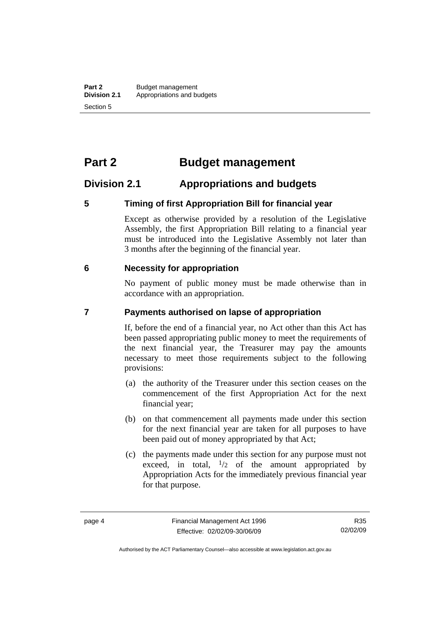# <span id="page-13-0"></span>**Part 2 Budget management**

# **Division 2.1 Appropriations and budgets**

#### **5 Timing of first Appropriation Bill for financial year**

Except as otherwise provided by a resolution of the Legislative Assembly, the first Appropriation Bill relating to a financial year must be introduced into the Legislative Assembly not later than 3 months after the beginning of the financial year.

#### **6 Necessity for appropriation**

No payment of public money must be made otherwise than in accordance with an appropriation.

#### **7 Payments authorised on lapse of appropriation**

If, before the end of a financial year, no Act other than this Act has been passed appropriating public money to meet the requirements of the next financial year, the Treasurer may pay the amounts necessary to meet those requirements subject to the following provisions:

- (a) the authority of the Treasurer under this section ceases on the commencement of the first Appropriation Act for the next financial year;
- (b) on that commencement all payments made under this section for the next financial year are taken for all purposes to have been paid out of money appropriated by that Act;
- (c) the payments made under this section for any purpose must not exceed, in total,  $\frac{1}{2}$  of the amount appropriated by Appropriation Acts for the immediately previous financial year for that purpose.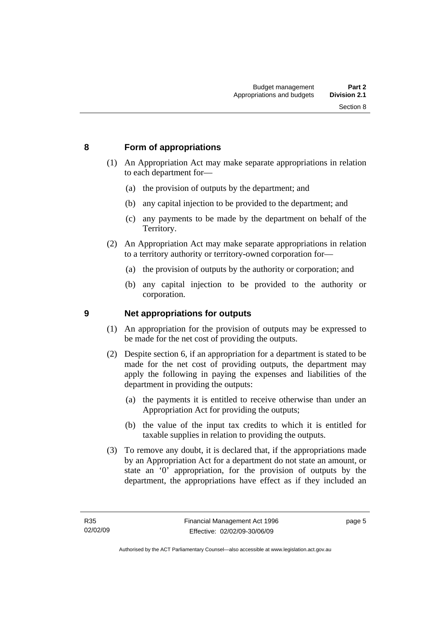# <span id="page-14-0"></span>**8 Form of appropriations**

- (1) An Appropriation Act may make separate appropriations in relation to each department for—
	- (a) the provision of outputs by the department; and
	- (b) any capital injection to be provided to the department; and
	- (c) any payments to be made by the department on behalf of the Territory.
- (2) An Appropriation Act may make separate appropriations in relation to a territory authority or territory-owned corporation for—
	- (a) the provision of outputs by the authority or corporation; and
	- (b) any capital injection to be provided to the authority or corporation.

# **9 Net appropriations for outputs**

- (1) An appropriation for the provision of outputs may be expressed to be made for the net cost of providing the outputs.
- (2) Despite section 6, if an appropriation for a department is stated to be made for the net cost of providing outputs, the department may apply the following in paying the expenses and liabilities of the department in providing the outputs:
	- (a) the payments it is entitled to receive otherwise than under an Appropriation Act for providing the outputs;
	- (b) the value of the input tax credits to which it is entitled for taxable supplies in relation to providing the outputs.
- (3) To remove any doubt, it is declared that, if the appropriations made by an Appropriation Act for a department do not state an amount, or state an '0' appropriation, for the provision of outputs by the department, the appropriations have effect as if they included an

page 5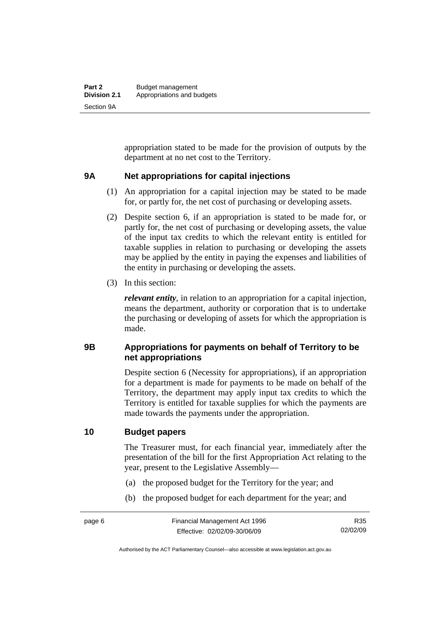<span id="page-15-0"></span>appropriation stated to be made for the provision of outputs by the department at no net cost to the Territory.

#### **9A Net appropriations for capital injections**

- (1) An appropriation for a capital injection may be stated to be made for, or partly for, the net cost of purchasing or developing assets.
- (2) Despite section 6, if an appropriation is stated to be made for, or partly for, the net cost of purchasing or developing assets, the value of the input tax credits to which the relevant entity is entitled for taxable supplies in relation to purchasing or developing the assets may be applied by the entity in paying the expenses and liabilities of the entity in purchasing or developing the assets.
- (3) In this section:

*relevant entity*, in relation to an appropriation for a capital injection, means the department, authority or corporation that is to undertake the purchasing or developing of assets for which the appropriation is made.

# **9B Appropriations for payments on behalf of Territory to be net appropriations**

Despite section 6 (Necessity for appropriations), if an appropriation for a department is made for payments to be made on behalf of the Territory, the department may apply input tax credits to which the Territory is entitled for taxable supplies for which the payments are made towards the payments under the appropriation.

# **10 Budget papers**

The Treasurer must, for each financial year, immediately after the presentation of the bill for the first Appropriation Act relating to the year, present to the Legislative Assembly—

- (a) the proposed budget for the Territory for the year; and
- (b) the proposed budget for each department for the year; and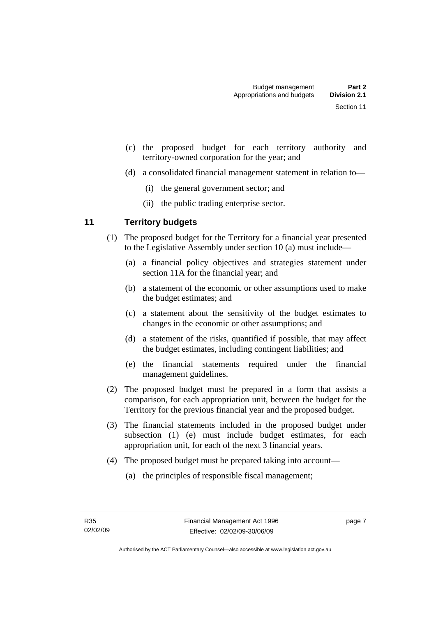- <span id="page-16-0"></span> (c) the proposed budget for each territory authority and territory-owned corporation for the year; and
- (d) a consolidated financial management statement in relation to—
	- (i) the general government sector; and
	- (ii) the public trading enterprise sector.

# **11 Territory budgets**

- (1) The proposed budget for the Territory for a financial year presented to the Legislative Assembly under section 10 (a) must include—
	- (a) a financial policy objectives and strategies statement under section 11A for the financial year; and
	- (b) a statement of the economic or other assumptions used to make the budget estimates; and
	- (c) a statement about the sensitivity of the budget estimates to changes in the economic or other assumptions; and
	- (d) a statement of the risks, quantified if possible, that may affect the budget estimates, including contingent liabilities; and
	- (e) the financial statements required under the financial management guidelines.
- (2) The proposed budget must be prepared in a form that assists a comparison, for each appropriation unit, between the budget for the Territory for the previous financial year and the proposed budget.
- (3) The financial statements included in the proposed budget under subsection (1) (e) must include budget estimates, for each appropriation unit, for each of the next 3 financial years.
- (4) The proposed budget must be prepared taking into account—
	- (a) the principles of responsible fiscal management;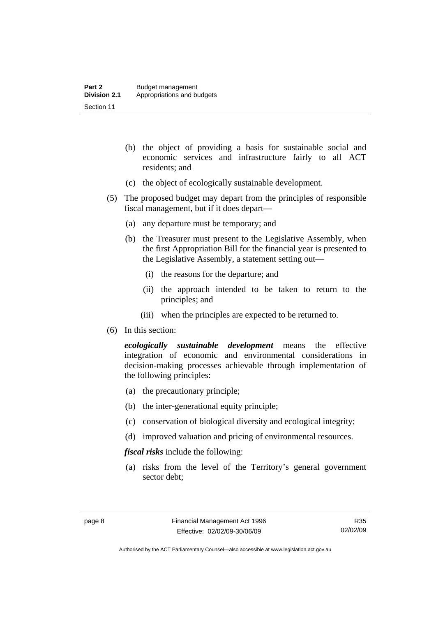- (b) the object of providing a basis for sustainable social and economic services and infrastructure fairly to all ACT residents; and
- (c) the object of ecologically sustainable development.
- (5) The proposed budget may depart from the principles of responsible fiscal management, but if it does depart—
	- (a) any departure must be temporary; and
	- (b) the Treasurer must present to the Legislative Assembly, when the first Appropriation Bill for the financial year is presented to the Legislative Assembly, a statement setting out—
		- (i) the reasons for the departure; and
		- (ii) the approach intended to be taken to return to the principles; and
		- (iii) when the principles are expected to be returned to.
- (6) In this section:

*ecologically sustainable development* means the effective integration of economic and environmental considerations in decision-making processes achievable through implementation of the following principles:

- (a) the precautionary principle;
- (b) the inter-generational equity principle;
- (c) conservation of biological diversity and ecological integrity;
- (d) improved valuation and pricing of environmental resources.

*fiscal risks* include the following:

 (a) risks from the level of the Territory's general government sector debt;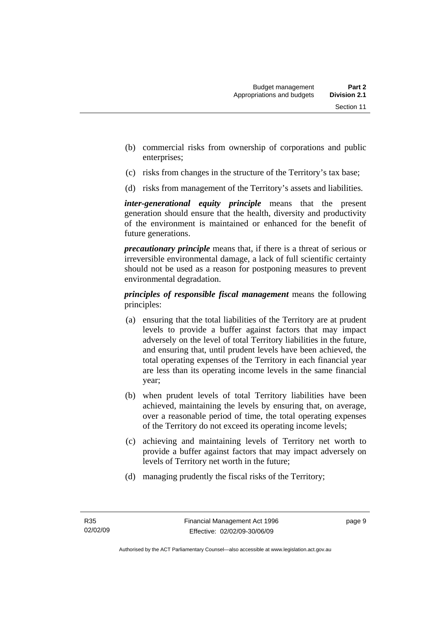- (b) commercial risks from ownership of corporations and public enterprises;
- (c) risks from changes in the structure of the Territory's tax base;
- (d) risks from management of the Territory's assets and liabilities.

*inter-generational equity principle* means that the present generation should ensure that the health, diversity and productivity of the environment is maintained or enhanced for the benefit of future generations.

*precautionary principle* means that, if there is a threat of serious or irreversible environmental damage, a lack of full scientific certainty should not be used as a reason for postponing measures to prevent environmental degradation.

*principles of responsible fiscal management* means the following principles:

- (a) ensuring that the total liabilities of the Territory are at prudent levels to provide a buffer against factors that may impact adversely on the level of total Territory liabilities in the future, and ensuring that, until prudent levels have been achieved, the total operating expenses of the Territory in each financial year are less than its operating income levels in the same financial year;
- (b) when prudent levels of total Territory liabilities have been achieved, maintaining the levels by ensuring that, on average, over a reasonable period of time, the total operating expenses of the Territory do not exceed its operating income levels;
- (c) achieving and maintaining levels of Territory net worth to provide a buffer against factors that may impact adversely on levels of Territory net worth in the future;
- (d) managing prudently the fiscal risks of the Territory;

page 9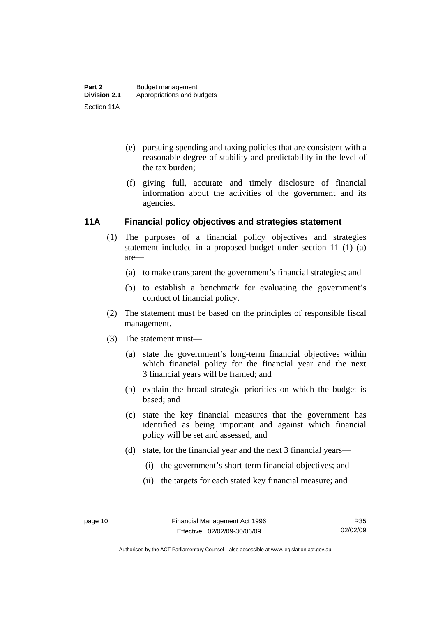- <span id="page-19-0"></span> (e) pursuing spending and taxing policies that are consistent with a reasonable degree of stability and predictability in the level of the tax burden;
- (f) giving full, accurate and timely disclosure of financial information about the activities of the government and its agencies.

#### **11A Financial policy objectives and strategies statement**

- (1) The purposes of a financial policy objectives and strategies statement included in a proposed budget under section 11 (1) (a) are—
	- (a) to make transparent the government's financial strategies; and
	- (b) to establish a benchmark for evaluating the government's conduct of financial policy.
- (2) The statement must be based on the principles of responsible fiscal management.
- (3) The statement must—
	- (a) state the government's long-term financial objectives within which financial policy for the financial year and the next 3 financial years will be framed; and
	- (b) explain the broad strategic priorities on which the budget is based; and
	- (c) state the key financial measures that the government has identified as being important and against which financial policy will be set and assessed; and
	- (d) state, for the financial year and the next 3 financial years—
		- (i) the government's short-term financial objectives; and
		- (ii) the targets for each stated key financial measure; and

Authorised by the ACT Parliamentary Counsel—also accessible at www.legislation.act.gov.au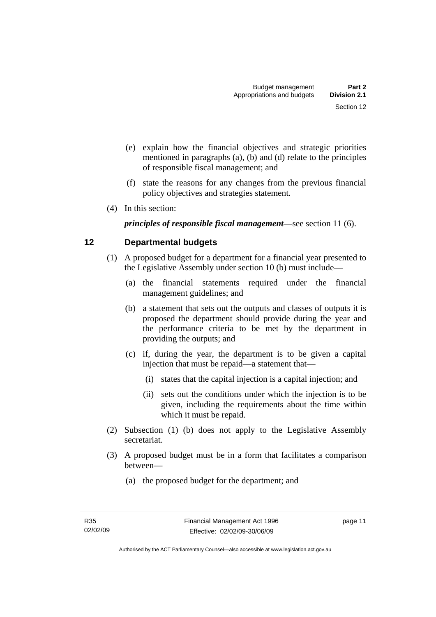- <span id="page-20-0"></span> (e) explain how the financial objectives and strategic priorities mentioned in paragraphs (a), (b) and (d) relate to the principles of responsible fiscal management; and
- (f) state the reasons for any changes from the previous financial policy objectives and strategies statement.
- (4) In this section:

*principles of responsible fiscal management*—see section 11 (6).

# **12 Departmental budgets**

- (1) A proposed budget for a department for a financial year presented to the Legislative Assembly under section 10 (b) must include—
	- (a) the financial statements required under the financial management guidelines; and
	- (b) a statement that sets out the outputs and classes of outputs it is proposed the department should provide during the year and the performance criteria to be met by the department in providing the outputs; and
	- (c) if, during the year, the department is to be given a capital injection that must be repaid—a statement that—
		- (i) states that the capital injection is a capital injection; and
		- (ii) sets out the conditions under which the injection is to be given, including the requirements about the time within which it must be repaid.
- (2) Subsection (1) (b) does not apply to the Legislative Assembly secretariat.
- (3) A proposed budget must be in a form that facilitates a comparison between—
	- (a) the proposed budget for the department; and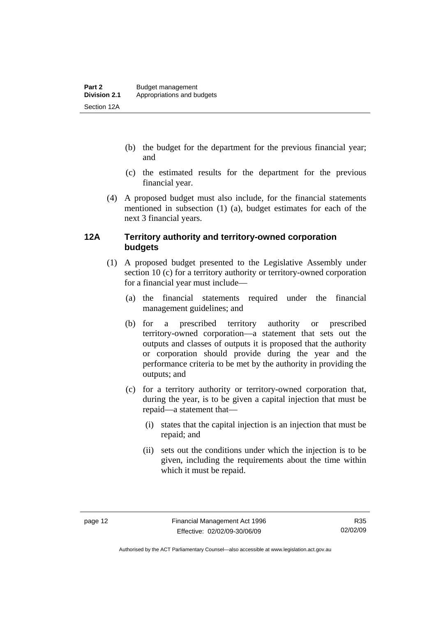- <span id="page-21-0"></span> (b) the budget for the department for the previous financial year; and
- (c) the estimated results for the department for the previous financial year.
- (4) A proposed budget must also include, for the financial statements mentioned in subsection (1) (a), budget estimates for each of the next 3 financial years.

# **12A Territory authority and territory-owned corporation budgets**

- (1) A proposed budget presented to the Legislative Assembly under section 10 (c) for a territory authority or territory-owned corporation for a financial year must include—
	- (a) the financial statements required under the financial management guidelines; and
	- (b) for a prescribed territory authority or prescribed territory-owned corporation—a statement that sets out the outputs and classes of outputs it is proposed that the authority or corporation should provide during the year and the performance criteria to be met by the authority in providing the outputs; and
	- (c) for a territory authority or territory-owned corporation that, during the year, is to be given a capital injection that must be repaid—a statement that—
		- (i) states that the capital injection is an injection that must be repaid; and
		- (ii) sets out the conditions under which the injection is to be given, including the requirements about the time within which it must be repaid.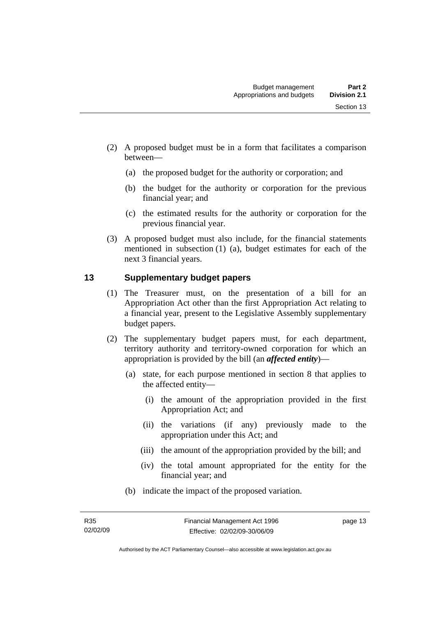- <span id="page-22-0"></span> (2) A proposed budget must be in a form that facilitates a comparison between—
	- (a) the proposed budget for the authority or corporation; and
	- (b) the budget for the authority or corporation for the previous financial year; and
	- (c) the estimated results for the authority or corporation for the previous financial year.
- (3) A proposed budget must also include, for the financial statements mentioned in subsection (1) (a), budget estimates for each of the next 3 financial years.

# **13 Supplementary budget papers**

- (1) The Treasurer must, on the presentation of a bill for an Appropriation Act other than the first Appropriation Act relating to a financial year, present to the Legislative Assembly supplementary budget papers.
- (2) The supplementary budget papers must, for each department, territory authority and territory-owned corporation for which an appropriation is provided by the bill (an *affected entity*)—
	- (a) state, for each purpose mentioned in section 8 that applies to the affected entity—
		- (i) the amount of the appropriation provided in the first Appropriation Act; and
		- (ii) the variations (if any) previously made to the appropriation under this Act; and
		- (iii) the amount of the appropriation provided by the bill; and
		- (iv) the total amount appropriated for the entity for the financial year; and
	- (b) indicate the impact of the proposed variation.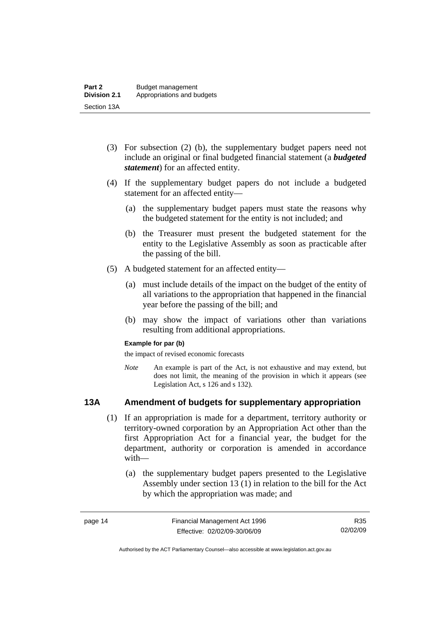- <span id="page-23-0"></span> (3) For subsection (2) (b), the supplementary budget papers need not include an original or final budgeted financial statement (a *budgeted statement*) for an affected entity.
- (4) If the supplementary budget papers do not include a budgeted statement for an affected entity—
	- (a) the supplementary budget papers must state the reasons why the budgeted statement for the entity is not included; and
	- (b) the Treasurer must present the budgeted statement for the entity to the Legislative Assembly as soon as practicable after the passing of the bill.
- (5) A budgeted statement for an affected entity—
	- (a) must include details of the impact on the budget of the entity of all variations to the appropriation that happened in the financial year before the passing of the bill; and
	- (b) may show the impact of variations other than variations resulting from additional appropriations.

#### **Example for par (b)**

the impact of revised economic forecasts

*Note* An example is part of the Act, is not exhaustive and may extend, but does not limit, the meaning of the provision in which it appears (see Legislation Act, s 126 and s 132).

# **13A Amendment of budgets for supplementary appropriation**

- (1) If an appropriation is made for a department, territory authority or territory-owned corporation by an Appropriation Act other than the first Appropriation Act for a financial year, the budget for the department, authority or corporation is amended in accordance with—
	- (a) the supplementary budget papers presented to the Legislative Assembly under section 13 (1) in relation to the bill for the Act by which the appropriation was made; and

Authorised by the ACT Parliamentary Counsel—also accessible at www.legislation.act.gov.au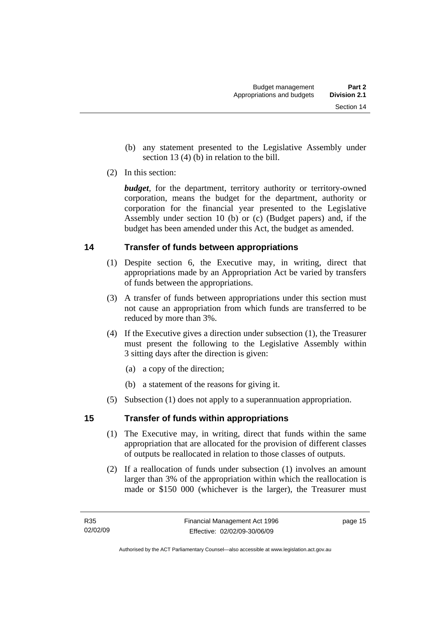- <span id="page-24-0"></span> (b) any statement presented to the Legislative Assembly under section 13 (4) (b) in relation to the bill.
- (2) In this section:

*budget*, for the department, territory authority or territory-owned corporation, means the budget for the department, authority or corporation for the financial year presented to the Legislative Assembly under section 10 (b) or (c) (Budget papers) and, if the budget has been amended under this Act, the budget as amended.

# **14 Transfer of funds between appropriations**

- (1) Despite section 6, the Executive may, in writing, direct that appropriations made by an Appropriation Act be varied by transfers of funds between the appropriations.
- (3) A transfer of funds between appropriations under this section must not cause an appropriation from which funds are transferred to be reduced by more than 3%.
- (4) If the Executive gives a direction under subsection (1), the Treasurer must present the following to the Legislative Assembly within 3 sitting days after the direction is given:
	- (a) a copy of the direction;
	- (b) a statement of the reasons for giving it.
- (5) Subsection (1) does not apply to a superannuation appropriation.

# **15 Transfer of funds within appropriations**

- (1) The Executive may, in writing, direct that funds within the same appropriation that are allocated for the provision of different classes of outputs be reallocated in relation to those classes of outputs.
- (2) If a reallocation of funds under subsection (1) involves an amount larger than 3% of the appropriation within which the reallocation is made or \$150 000 (whichever is the larger), the Treasurer must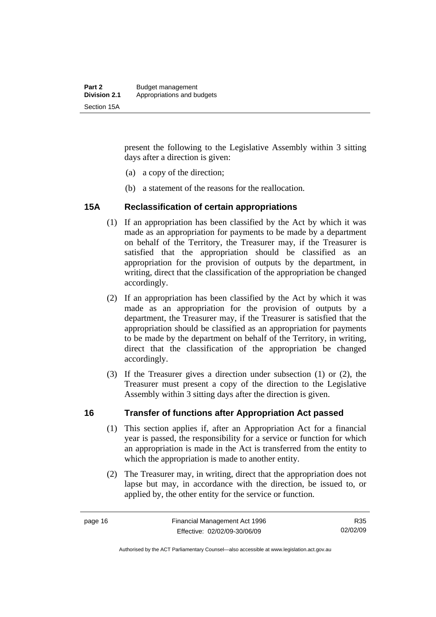<span id="page-25-0"></span>present the following to the Legislative Assembly within 3 sitting days after a direction is given:

- (a) a copy of the direction;
- (b) a statement of the reasons for the reallocation.

#### **15A Reclassification of certain appropriations**

- (1) If an appropriation has been classified by the Act by which it was made as an appropriation for payments to be made by a department on behalf of the Territory, the Treasurer may, if the Treasurer is satisfied that the appropriation should be classified as an appropriation for the provision of outputs by the department, in writing, direct that the classification of the appropriation be changed accordingly.
- (2) If an appropriation has been classified by the Act by which it was made as an appropriation for the provision of outputs by a department, the Treasurer may, if the Treasurer is satisfied that the appropriation should be classified as an appropriation for payments to be made by the department on behalf of the Territory, in writing, direct that the classification of the appropriation be changed accordingly.
- (3) If the Treasurer gives a direction under subsection (1) or (2), the Treasurer must present a copy of the direction to the Legislative Assembly within 3 sitting days after the direction is given.

#### **16 Transfer of functions after Appropriation Act passed**

- (1) This section applies if, after an Appropriation Act for a financial year is passed, the responsibility for a service or function for which an appropriation is made in the Act is transferred from the entity to which the appropriation is made to another entity.
- (2) The Treasurer may, in writing, direct that the appropriation does not lapse but may, in accordance with the direction, be issued to, or applied by, the other entity for the service or function.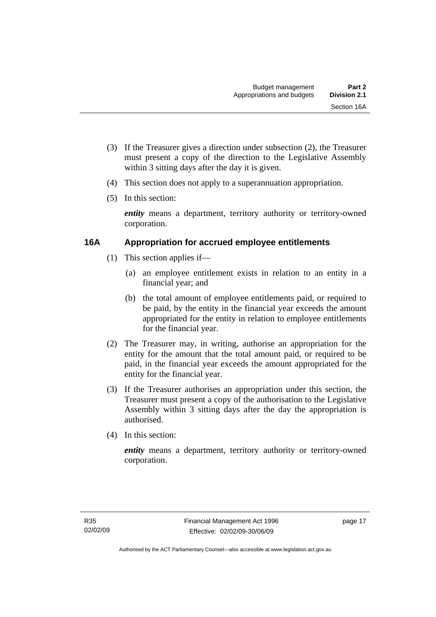- <span id="page-26-0"></span> (3) If the Treasurer gives a direction under subsection (2), the Treasurer must present a copy of the direction to the Legislative Assembly within 3 sitting days after the day it is given.
- (4) This section does not apply to a superannuation appropriation.
- (5) In this section:

*entity* means a department, territory authority or territory-owned corporation.

# **16A Appropriation for accrued employee entitlements**

- (1) This section applies if—
	- (a) an employee entitlement exists in relation to an entity in a financial year; and
	- (b) the total amount of employee entitlements paid, or required to be paid, by the entity in the financial year exceeds the amount appropriated for the entity in relation to employee entitlements for the financial year.
- (2) The Treasurer may, in writing, authorise an appropriation for the entity for the amount that the total amount paid, or required to be paid, in the financial year exceeds the amount appropriated for the entity for the financial year.
- (3) If the Treasurer authorises an appropriation under this section, the Treasurer must present a copy of the authorisation to the Legislative Assembly within 3 sitting days after the day the appropriation is authorised.
- (4) In this section:

*entity* means a department, territory authority or territory-owned corporation.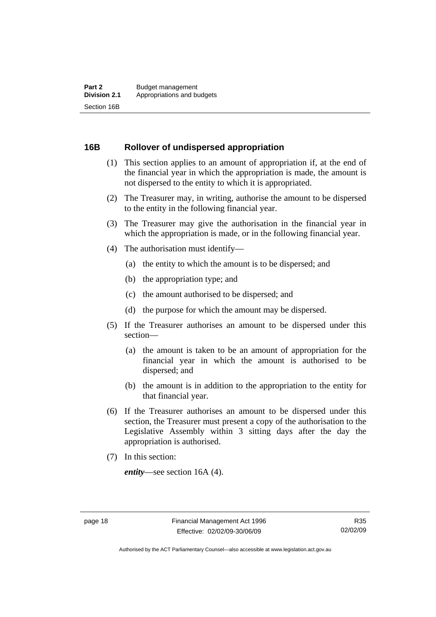#### <span id="page-27-0"></span>**16B Rollover of undispersed appropriation**

- (1) This section applies to an amount of appropriation if, at the end of the financial year in which the appropriation is made, the amount is not dispersed to the entity to which it is appropriated.
- (2) The Treasurer may, in writing, authorise the amount to be dispersed to the entity in the following financial year.
- (3) The Treasurer may give the authorisation in the financial year in which the appropriation is made, or in the following financial year.
- (4) The authorisation must identify—
	- (a) the entity to which the amount is to be dispersed; and
	- (b) the appropriation type; and
	- (c) the amount authorised to be dispersed; and
	- (d) the purpose for which the amount may be dispersed.
- (5) If the Treasurer authorises an amount to be dispersed under this section—
	- (a) the amount is taken to be an amount of appropriation for the financial year in which the amount is authorised to be dispersed; and
	- (b) the amount is in addition to the appropriation to the entity for that financial year.
- (6) If the Treasurer authorises an amount to be dispersed under this section, the Treasurer must present a copy of the authorisation to the Legislative Assembly within 3 sitting days after the day the appropriation is authorised.
- (7) In this section:

*entity*—see section 16A (4).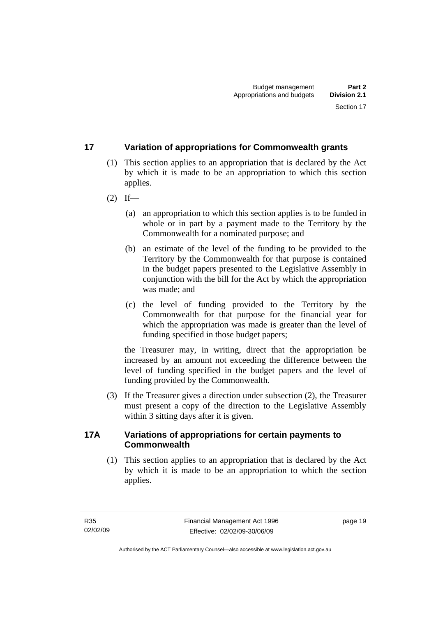# <span id="page-28-0"></span>**17 Variation of appropriations for Commonwealth grants**

- (1) This section applies to an appropriation that is declared by the Act by which it is made to be an appropriation to which this section applies.
- $(2)$  If—
	- (a) an appropriation to which this section applies is to be funded in whole or in part by a payment made to the Territory by the Commonwealth for a nominated purpose; and
	- (b) an estimate of the level of the funding to be provided to the Territory by the Commonwealth for that purpose is contained in the budget papers presented to the Legislative Assembly in conjunction with the bill for the Act by which the appropriation was made; and
	- (c) the level of funding provided to the Territory by the Commonwealth for that purpose for the financial year for which the appropriation was made is greater than the level of funding specified in those budget papers;

the Treasurer may, in writing, direct that the appropriation be increased by an amount not exceeding the difference between the level of funding specified in the budget papers and the level of funding provided by the Commonwealth.

 (3) If the Treasurer gives a direction under subsection (2), the Treasurer must present a copy of the direction to the Legislative Assembly within 3 sitting days after it is given.

# **17A Variations of appropriations for certain payments to Commonwealth**

 (1) This section applies to an appropriation that is declared by the Act by which it is made to be an appropriation to which the section applies.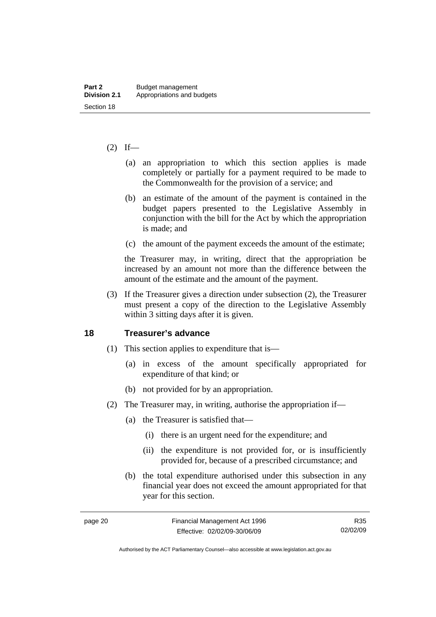#### <span id="page-29-0"></span> $(2)$  If—

- (a) an appropriation to which this section applies is made completely or partially for a payment required to be made to the Commonwealth for the provision of a service; and
- (b) an estimate of the amount of the payment is contained in the budget papers presented to the Legislative Assembly in conjunction with the bill for the Act by which the appropriation is made; and
- (c) the amount of the payment exceeds the amount of the estimate;

the Treasurer may, in writing, direct that the appropriation be increased by an amount not more than the difference between the amount of the estimate and the amount of the payment.

 (3) If the Treasurer gives a direction under subsection (2), the Treasurer must present a copy of the direction to the Legislative Assembly within 3 sitting days after it is given.

#### **18 Treasurer's advance**

- (1) This section applies to expenditure that is—
	- (a) in excess of the amount specifically appropriated for expenditure of that kind; or
	- (b) not provided for by an appropriation.
- (2) The Treasurer may, in writing, authorise the appropriation if—
	- (a) the Treasurer is satisfied that—
		- (i) there is an urgent need for the expenditure; and
		- (ii) the expenditure is not provided for, or is insufficiently provided for, because of a prescribed circumstance; and
	- (b) the total expenditure authorised under this subsection in any financial year does not exceed the amount appropriated for that year for this section.

R35 02/02/09

Authorised by the ACT Parliamentary Counsel—also accessible at www.legislation.act.gov.au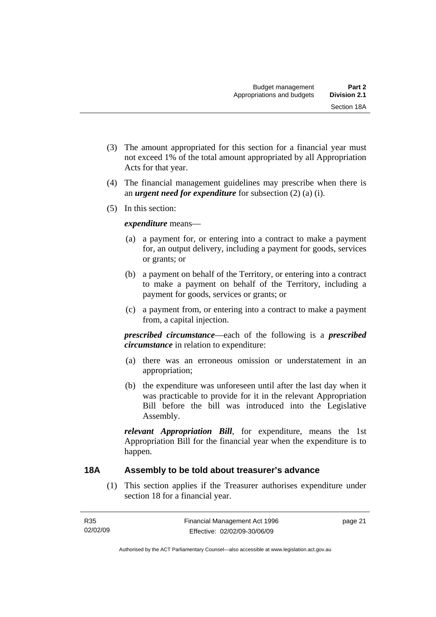- <span id="page-30-0"></span> (3) The amount appropriated for this section for a financial year must not exceed 1% of the total amount appropriated by all Appropriation Acts for that year.
- (4) The financial management guidelines may prescribe when there is an *urgent need for expenditure* for subsection (2) (a) (i).
- (5) In this section:

#### *expenditure* means—

- (a) a payment for, or entering into a contract to make a payment for, an output delivery, including a payment for goods, services or grants; or
- (b) a payment on behalf of the Territory, or entering into a contract to make a payment on behalf of the Territory, including a payment for goods, services or grants; or
- (c) a payment from, or entering into a contract to make a payment from, a capital injection.

*prescribed circumstance*—each of the following is a *prescribed circumstance* in relation to expenditure:

- (a) there was an erroneous omission or understatement in an appropriation;
- (b) the expenditure was unforeseen until after the last day when it was practicable to provide for it in the relevant Appropriation Bill before the bill was introduced into the Legislative Assembly.

*relevant Appropriation Bill*, for expenditure, means the 1st Appropriation Bill for the financial year when the expenditure is to happen.

# **18A Assembly to be told about treasurer's advance**

 (1) This section applies if the Treasurer authorises expenditure under section 18 for a financial year.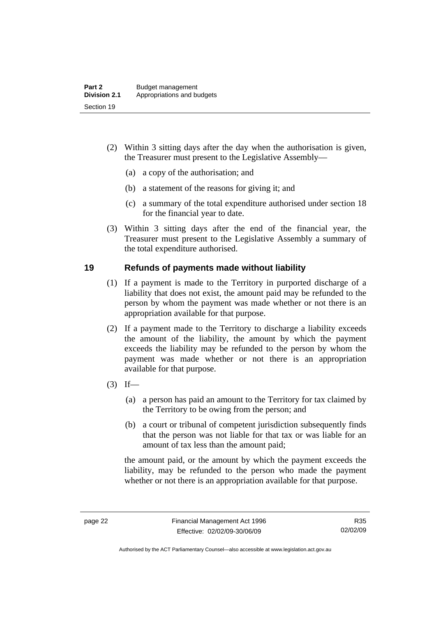- <span id="page-31-0"></span> (2) Within 3 sitting days after the day when the authorisation is given, the Treasurer must present to the Legislative Assembly—
	- (a) a copy of the authorisation; and
	- (b) a statement of the reasons for giving it; and
	- (c) a summary of the total expenditure authorised under section 18 for the financial year to date.
- (3) Within 3 sitting days after the end of the financial year, the Treasurer must present to the Legislative Assembly a summary of the total expenditure authorised.

#### **19 Refunds of payments made without liability**

- (1) If a payment is made to the Territory in purported discharge of a liability that does not exist, the amount paid may be refunded to the person by whom the payment was made whether or not there is an appropriation available for that purpose.
- (2) If a payment made to the Territory to discharge a liability exceeds the amount of the liability, the amount by which the payment exceeds the liability may be refunded to the person by whom the payment was made whether or not there is an appropriation available for that purpose.
- $(3)$  If—
	- (a) a person has paid an amount to the Territory for tax claimed by the Territory to be owing from the person; and
	- (b) a court or tribunal of competent jurisdiction subsequently finds that the person was not liable for that tax or was liable for an amount of tax less than the amount paid;

the amount paid, or the amount by which the payment exceeds the liability, may be refunded to the person who made the payment whether or not there is an appropriation available for that purpose.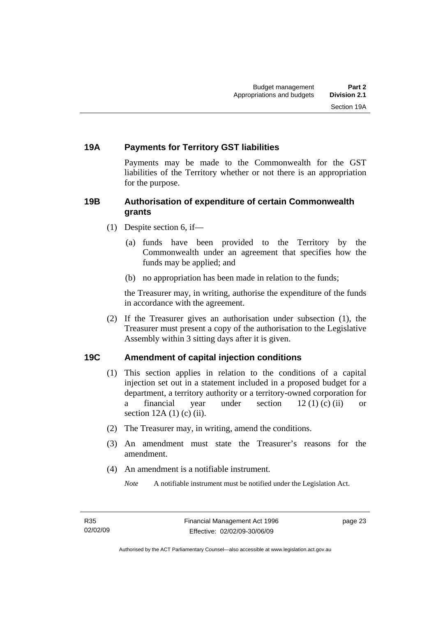#### <span id="page-32-0"></span>**19A Payments for Territory GST liabilities**

Payments may be made to the Commonwealth for the GST liabilities of the Territory whether or not there is an appropriation for the purpose.

#### **19B Authorisation of expenditure of certain Commonwealth grants**

- (1) Despite section 6, if—
	- (a) funds have been provided to the Territory by the Commonwealth under an agreement that specifies how the funds may be applied; and
	- (b) no appropriation has been made in relation to the funds;

the Treasurer may, in writing, authorise the expenditure of the funds in accordance with the agreement.

 (2) If the Treasurer gives an authorisation under subsection (1), the Treasurer must present a copy of the authorisation to the Legislative Assembly within 3 sitting days after it is given.

#### **19C Amendment of capital injection conditions**

- (1) This section applies in relation to the conditions of a capital injection set out in a statement included in a proposed budget for a department, a territory authority or a territory-owned corporation for a financial year under section  $12 (1) (c) (ii)$  or section  $12A(1)$  (c) (ii).
- (2) The Treasurer may, in writing, amend the conditions.
- (3) An amendment must state the Treasurer's reasons for the amendment.
- (4) An amendment is a notifiable instrument.

*Note* A notifiable instrument must be notified under the Legislation Act.

page 23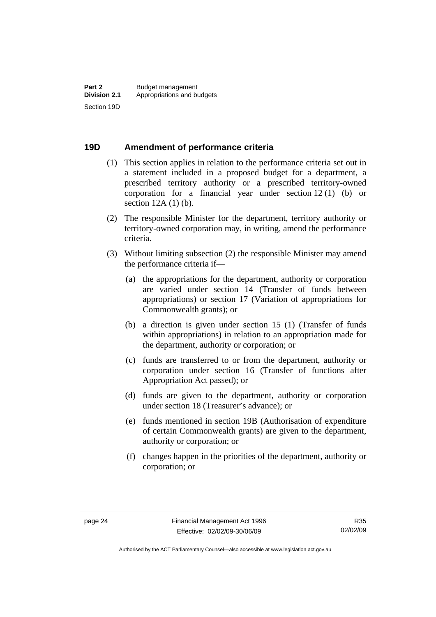# <span id="page-33-0"></span>**19D Amendment of performance criteria**

- (1) This section applies in relation to the performance criteria set out in a statement included in a proposed budget for a department, a prescribed territory authority or a prescribed territory-owned corporation for a financial year under section 12 (1) (b) or section 12A (1) (b).
- (2) The responsible Minister for the department, territory authority or territory-owned corporation may, in writing, amend the performance criteria.
- (3) Without limiting subsection (2) the responsible Minister may amend the performance criteria if—
	- (a) the appropriations for the department, authority or corporation are varied under section 14 (Transfer of funds between appropriations) or section 17 (Variation of appropriations for Commonwealth grants); or
	- (b) a direction is given under section 15 (1) (Transfer of funds within appropriations) in relation to an appropriation made for the department, authority or corporation; or
	- (c) funds are transferred to or from the department, authority or corporation under section 16 (Transfer of functions after Appropriation Act passed); or
	- (d) funds are given to the department, authority or corporation under section 18 (Treasurer's advance); or
	- (e) funds mentioned in section 19B (Authorisation of expenditure of certain Commonwealth grants) are given to the department, authority or corporation; or
	- (f) changes happen in the priorities of the department, authority or corporation; or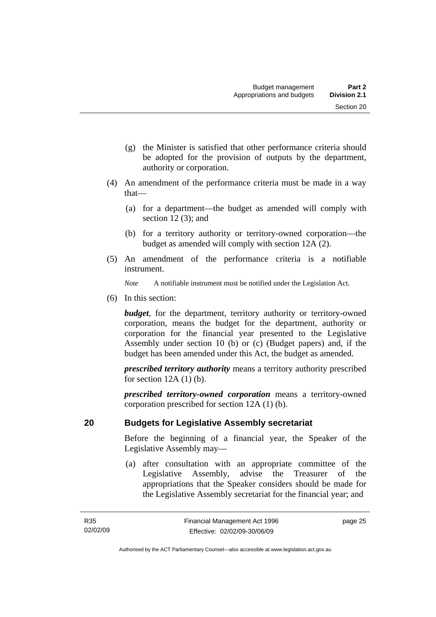- <span id="page-34-0"></span> (g) the Minister is satisfied that other performance criteria should be adopted for the provision of outputs by the department, authority or corporation.
- (4) An amendment of the performance criteria must be made in a way that—
	- (a) for a department—the budget as amended will comply with section  $12(3)$ ; and
	- (b) for a territory authority or territory-owned corporation—the budget as amended will comply with section 12A (2).
- (5) An amendment of the performance criteria is a notifiable instrument.

*Note* A notifiable instrument must be notified under the Legislation Act.

(6) In this section:

*budget*, for the department, territory authority or territory-owned corporation, means the budget for the department, authority or corporation for the financial year presented to the Legislative Assembly under section 10 (b) or (c) (Budget papers) and, if the budget has been amended under this Act, the budget as amended.

*prescribed territory authority* means a territory authority prescribed for section  $12A(1)$  (b).

*prescribed territory-owned corporation* means a territory-owned corporation prescribed for section 12A (1) (b).

# **20 Budgets for Legislative Assembly secretariat**

Before the beginning of a financial year, the Speaker of the Legislative Assembly may—

 (a) after consultation with an appropriate committee of the Legislative Assembly, advise the Treasurer of the appropriations that the Speaker considers should be made for the Legislative Assembly secretariat for the financial year; and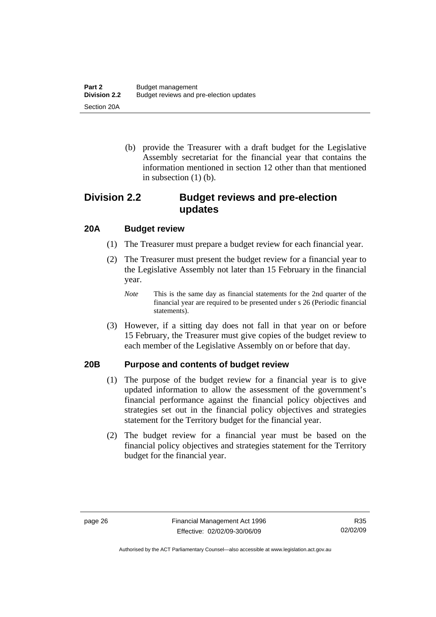<span id="page-35-0"></span> (b) provide the Treasurer with a draft budget for the Legislative Assembly secretariat for the financial year that contains the information mentioned in section 12 other than that mentioned in subsection  $(1)$  (b).

# **Division 2.2 Budget reviews and pre-election updates**

# **20A Budget review**

- (1) The Treasurer must prepare a budget review for each financial year.
- (2) The Treasurer must present the budget review for a financial year to the Legislative Assembly not later than 15 February in the financial year.
	- *Note* This is the same day as financial statements for the 2nd quarter of the financial year are required to be presented under s 26 (Periodic financial statements).
- (3) However, if a sitting day does not fall in that year on or before 15 February, the Treasurer must give copies of the budget review to each member of the Legislative Assembly on or before that day.

#### **20B Purpose and contents of budget review**

- (1) The purpose of the budget review for a financial year is to give updated information to allow the assessment of the government's financial performance against the financial policy objectives and strategies set out in the financial policy objectives and strategies statement for the Territory budget for the financial year.
- (2) The budget review for a financial year must be based on the financial policy objectives and strategies statement for the Territory budget for the financial year.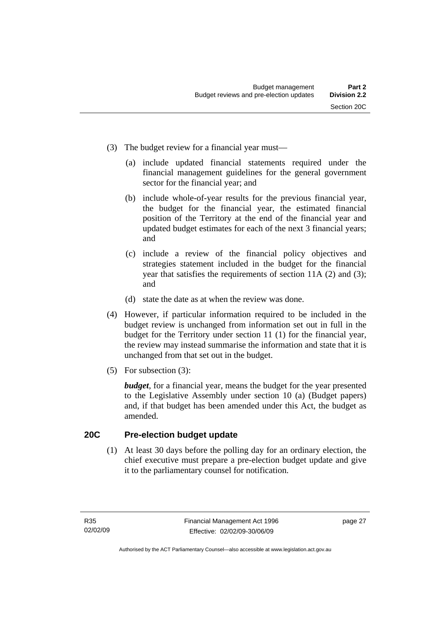- (3) The budget review for a financial year must—
	- (a) include updated financial statements required under the financial management guidelines for the general government sector for the financial year; and
	- (b) include whole-of-year results for the previous financial year, the budget for the financial year, the estimated financial position of the Territory at the end of the financial year and updated budget estimates for each of the next 3 financial years; and
	- (c) include a review of the financial policy objectives and strategies statement included in the budget for the financial year that satisfies the requirements of section 11A (2) and (3); and
	- (d) state the date as at when the review was done.
- (4) However, if particular information required to be included in the budget review is unchanged from information set out in full in the budget for the Territory under section 11 (1) for the financial year, the review may instead summarise the information and state that it is unchanged from that set out in the budget.
- (5) For subsection (3):

*budget*, for a financial year, means the budget for the year presented to the Legislative Assembly under section 10 (a) (Budget papers) and, if that budget has been amended under this Act, the budget as amended.

#### **20C Pre-election budget update**

 (1) At least 30 days before the polling day for an ordinary election, the chief executive must prepare a pre-election budget update and give it to the parliamentary counsel for notification.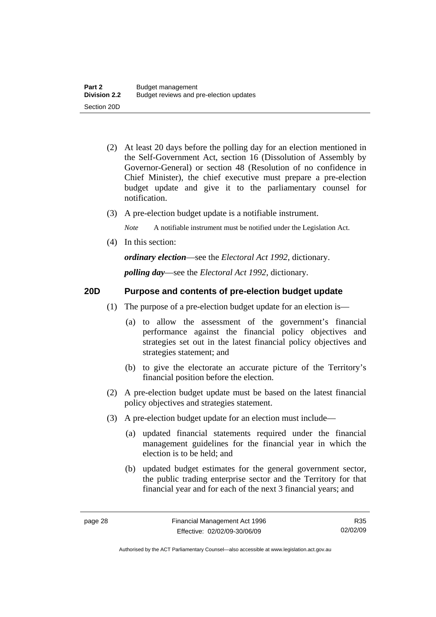- (2) At least 20 days before the polling day for an election mentioned in the Self-Government Act, section 16 (Dissolution of Assembly by Governor-General) or section 48 (Resolution of no confidence in Chief Minister), the chief executive must prepare a pre-election budget update and give it to the parliamentary counsel for notification.
- (3) A pre-election budget update is a notifiable instrument.

*Note* A notifiable instrument must be notified under the Legislation Act.

(4) In this section:

*ordinary election*—see the *Electoral Act 1992*, dictionary.

*polling day*—see the *Electoral Act 1992*, dictionary.

### **20D Purpose and contents of pre-election budget update**

- (1) The purpose of a pre-election budget update for an election is—
	- (a) to allow the assessment of the government's financial performance against the financial policy objectives and strategies set out in the latest financial policy objectives and strategies statement; and
	- (b) to give the electorate an accurate picture of the Territory's financial position before the election.
- (2) A pre-election budget update must be based on the latest financial policy objectives and strategies statement.
- (3) A pre-election budget update for an election must include—
	- (a) updated financial statements required under the financial management guidelines for the financial year in which the election is to be held; and
	- (b) updated budget estimates for the general government sector, the public trading enterprise sector and the Territory for that financial year and for each of the next 3 financial years; and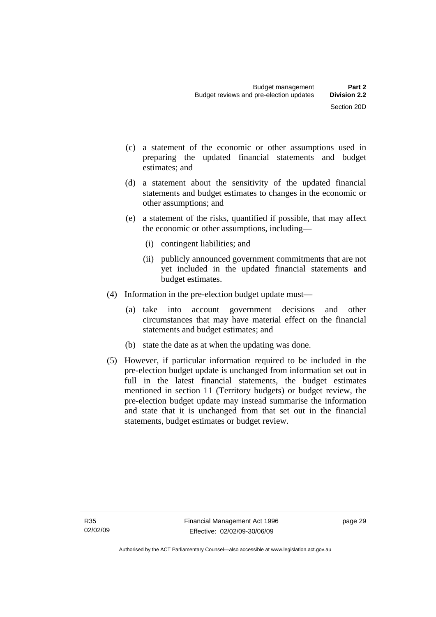- (c) a statement of the economic or other assumptions used in preparing the updated financial statements and budget estimates; and
- (d) a statement about the sensitivity of the updated financial statements and budget estimates to changes in the economic or other assumptions; and
- (e) a statement of the risks, quantified if possible, that may affect the economic or other assumptions, including—
	- (i) contingent liabilities; and
	- (ii) publicly announced government commitments that are not yet included in the updated financial statements and budget estimates.
- (4) Information in the pre-election budget update must—
	- (a) take into account government decisions and other circumstances that may have material effect on the financial statements and budget estimates; and
	- (b) state the date as at when the updating was done.
- (5) However, if particular information required to be included in the pre-election budget update is unchanged from information set out in full in the latest financial statements, the budget estimates mentioned in section 11 (Territory budgets) or budget review, the pre-election budget update may instead summarise the information and state that it is unchanged from that set out in the financial statements, budget estimates or budget review.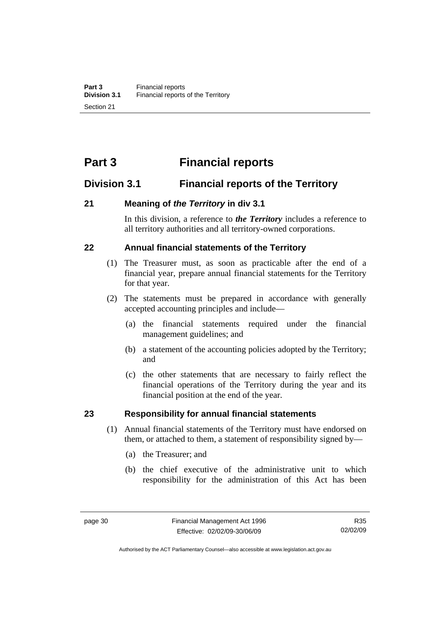# **Part 3 Financial reports**

# **Division 3.1 Financial reports of the Territory**

### **21 Meaning of** *the Territory* **in div 3.1**

In this division, a reference to *the Territory* includes a reference to all territory authorities and all territory-owned corporations.

# **22 Annual financial statements of the Territory**

- (1) The Treasurer must, as soon as practicable after the end of a financial year, prepare annual financial statements for the Territory for that year.
- (2) The statements must be prepared in accordance with generally accepted accounting principles and include—
	- (a) the financial statements required under the financial management guidelines; and
	- (b) a statement of the accounting policies adopted by the Territory; and
	- (c) the other statements that are necessary to fairly reflect the financial operations of the Territory during the year and its financial position at the end of the year.

#### **23 Responsibility for annual financial statements**

- (1) Annual financial statements of the Territory must have endorsed on them, or attached to them, a statement of responsibility signed by—
	- (a) the Treasurer; and
	- (b) the chief executive of the administrative unit to which responsibility for the administration of this Act has been

Authorised by the ACT Parliamentary Counsel—also accessible at www.legislation.act.gov.au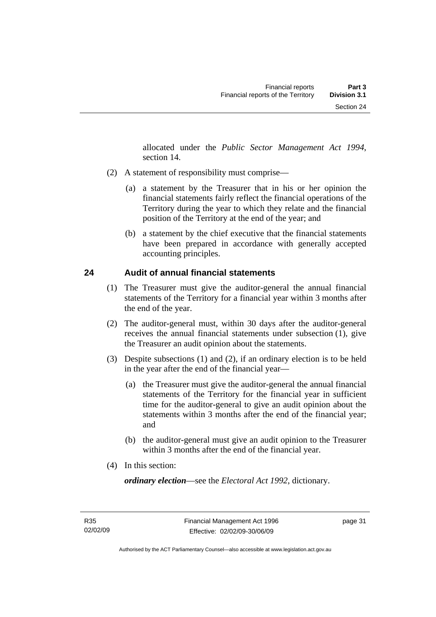allocated under the *Public Sector Management Act 1994*, section 14.

- (2) A statement of responsibility must comprise—
	- (a) a statement by the Treasurer that in his or her opinion the financial statements fairly reflect the financial operations of the Territory during the year to which they relate and the financial position of the Territory at the end of the year; and
	- (b) a statement by the chief executive that the financial statements have been prepared in accordance with generally accepted accounting principles.

# **24 Audit of annual financial statements**

- (1) The Treasurer must give the auditor-general the annual financial statements of the Territory for a financial year within 3 months after the end of the year.
- (2) The auditor-general must, within 30 days after the auditor-general receives the annual financial statements under subsection (1), give the Treasurer an audit opinion about the statements.
- (3) Despite subsections (1) and (2), if an ordinary election is to be held in the year after the end of the financial year—
	- (a) the Treasurer must give the auditor-general the annual financial statements of the Territory for the financial year in sufficient time for the auditor-general to give an audit opinion about the statements within 3 months after the end of the financial year; and
	- (b) the auditor-general must give an audit opinion to the Treasurer within 3 months after the end of the financial year.
- (4) In this section:

*ordinary election*—see the *Electoral Act 1992*, dictionary.

page 31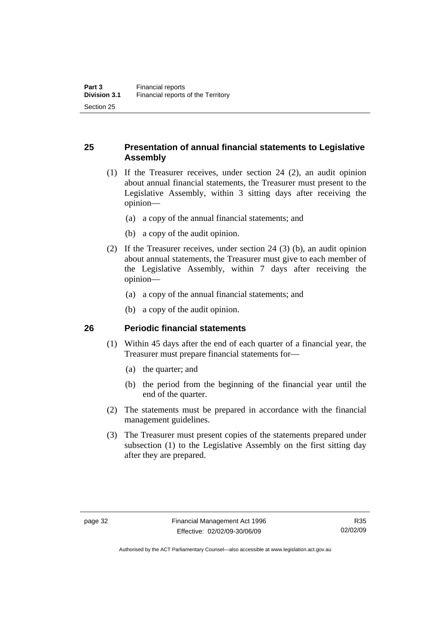# **25 Presentation of annual financial statements to Legislative Assembly**

- (1) If the Treasurer receives, under section 24 (2), an audit opinion about annual financial statements, the Treasurer must present to the Legislative Assembly, within 3 sitting days after receiving the opinion—
	- (a) a copy of the annual financial statements; and
	- (b) a copy of the audit opinion.
- (2) If the Treasurer receives, under section 24 (3) (b), an audit opinion about annual statements, the Treasurer must give to each member of the Legislative Assembly, within 7 days after receiving the opinion—
	- (a) a copy of the annual financial statements; and
	- (b) a copy of the audit opinion.

#### **26 Periodic financial statements**

- (1) Within 45 days after the end of each quarter of a financial year, the Treasurer must prepare financial statements for—
	- (a) the quarter; and
	- (b) the period from the beginning of the financial year until the end of the quarter.
- (2) The statements must be prepared in accordance with the financial management guidelines.
- (3) The Treasurer must present copies of the statements prepared under subsection (1) to the Legislative Assembly on the first sitting day after they are prepared.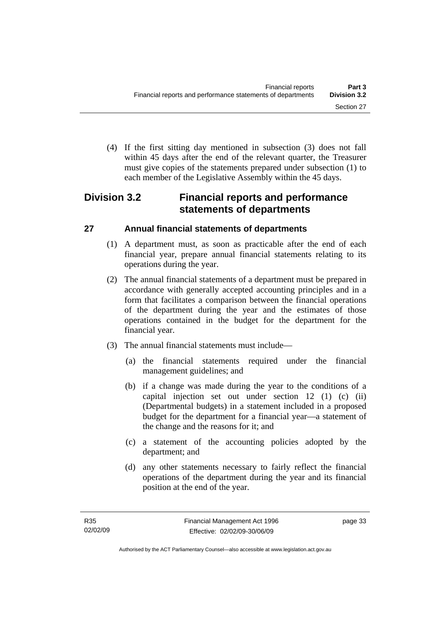(4) If the first sitting day mentioned in subsection (3) does not fall within 45 days after the end of the relevant quarter, the Treasurer must give copies of the statements prepared under subsection (1) to each member of the Legislative Assembly within the 45 days.

# **Division 3.2 Financial reports and performance statements of departments**

# **27 Annual financial statements of departments**

- (1) A department must, as soon as practicable after the end of each financial year, prepare annual financial statements relating to its operations during the year.
- (2) The annual financial statements of a department must be prepared in accordance with generally accepted accounting principles and in a form that facilitates a comparison between the financial operations of the department during the year and the estimates of those operations contained in the budget for the department for the financial year.
- (3) The annual financial statements must include—
	- (a) the financial statements required under the financial management guidelines; and
	- (b) if a change was made during the year to the conditions of a capital injection set out under section 12 (1) (c) (ii) (Departmental budgets) in a statement included in a proposed budget for the department for a financial year—a statement of the change and the reasons for it; and
	- (c) a statement of the accounting policies adopted by the department; and
	- (d) any other statements necessary to fairly reflect the financial operations of the department during the year and its financial position at the end of the year.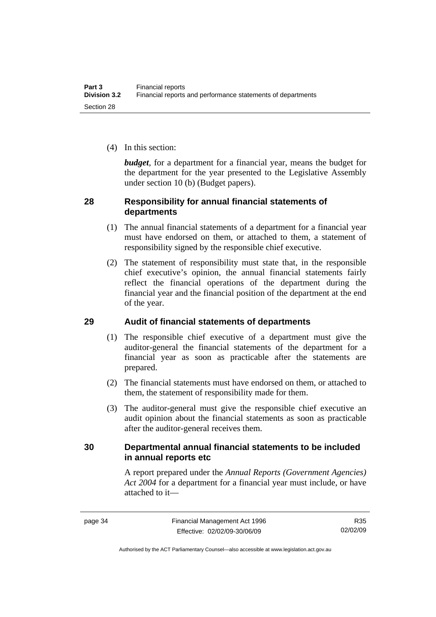(4) In this section:

*budget*, for a department for a financial year, means the budget for the department for the year presented to the Legislative Assembly under section 10 (b) (Budget papers).

### **28 Responsibility for annual financial statements of departments**

- (1) The annual financial statements of a department for a financial year must have endorsed on them, or attached to them, a statement of responsibility signed by the responsible chief executive.
- (2) The statement of responsibility must state that, in the responsible chief executive's opinion, the annual financial statements fairly reflect the financial operations of the department during the financial year and the financial position of the department at the end of the year.

# **29 Audit of financial statements of departments**

- (1) The responsible chief executive of a department must give the auditor-general the financial statements of the department for a financial year as soon as practicable after the statements are prepared.
- (2) The financial statements must have endorsed on them, or attached to them, the statement of responsibility made for them.
- (3) The auditor-general must give the responsible chief executive an audit opinion about the financial statements as soon as practicable after the auditor-general receives them.

# **30 Departmental annual financial statements to be included in annual reports etc**

A report prepared under the *Annual Reports (Government Agencies) Act 2004* for a department for a financial year must include, or have attached to it—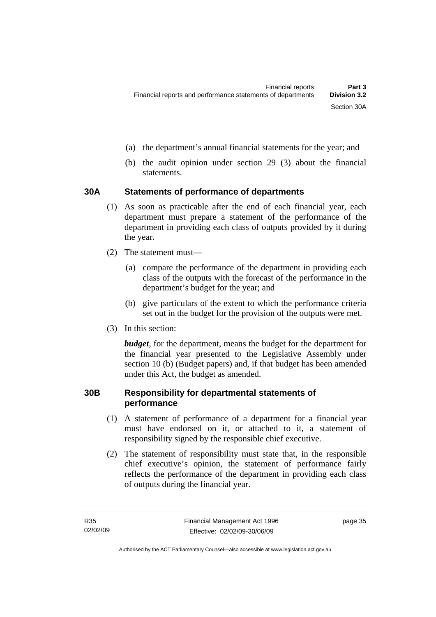- (a) the department's annual financial statements for the year; and
- (b) the audit opinion under section 29 (3) about the financial statements.

# **30A Statements of performance of departments**

- (1) As soon as practicable after the end of each financial year, each department must prepare a statement of the performance of the department in providing each class of outputs provided by it during the year.
- (2) The statement must—
	- (a) compare the performance of the department in providing each class of the outputs with the forecast of the performance in the department's budget for the year; and
	- (b) give particulars of the extent to which the performance criteria set out in the budget for the provision of the outputs were met.
- (3) In this section:

*budget*, for the department, means the budget for the department for the financial year presented to the Legislative Assembly under section 10 (b) (Budget papers) and, if that budget has been amended under this Act, the budget as amended.

### **30B Responsibility for departmental statements of performance**

- (1) A statement of performance of a department for a financial year must have endorsed on it, or attached to it, a statement of responsibility signed by the responsible chief executive.
- (2) The statement of responsibility must state that, in the responsible chief executive's opinion, the statement of performance fairly reflects the performance of the department in providing each class of outputs during the financial year.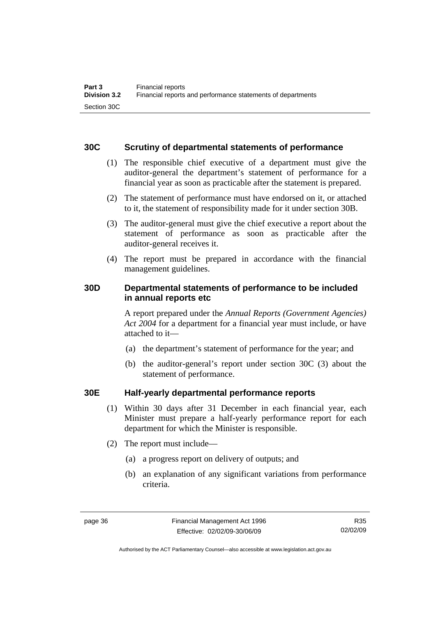### **30C Scrutiny of departmental statements of performance**

- (1) The responsible chief executive of a department must give the auditor-general the department's statement of performance for a financial year as soon as practicable after the statement is prepared.
- (2) The statement of performance must have endorsed on it, or attached to it, the statement of responsibility made for it under section 30B.
- (3) The auditor-general must give the chief executive a report about the statement of performance as soon as practicable after the auditor-general receives it.
- (4) The report must be prepared in accordance with the financial management guidelines.

# **30D Departmental statements of performance to be included in annual reports etc**

A report prepared under the *Annual Reports (Government Agencies) Act 2004* for a department for a financial year must include, or have attached to it—

- (a) the department's statement of performance for the year; and
- (b) the auditor-general's report under section 30C (3) about the statement of performance.

# **30E Half-yearly departmental performance reports**

- (1) Within 30 days after 31 December in each financial year, each Minister must prepare a half-yearly performance report for each department for which the Minister is responsible.
- (2) The report must include—
	- (a) a progress report on delivery of outputs; and
	- (b) an explanation of any significant variations from performance criteria.

Authorised by the ACT Parliamentary Counsel—also accessible at www.legislation.act.gov.au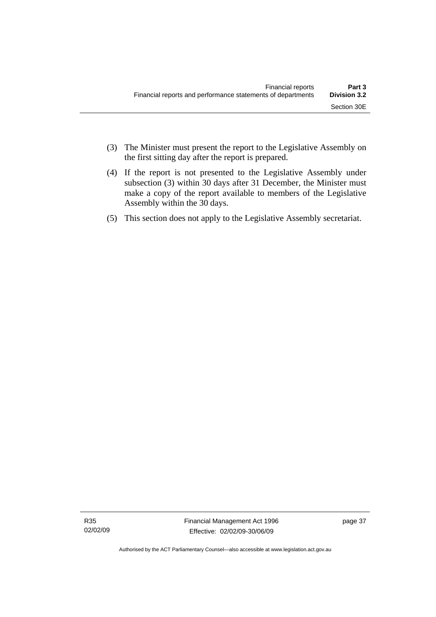- (3) The Minister must present the report to the Legislative Assembly on the first sitting day after the report is prepared.
- (4) If the report is not presented to the Legislative Assembly under subsection (3) within 30 days after 31 December, the Minister must make a copy of the report available to members of the Legislative Assembly within the 30 days.
- (5) This section does not apply to the Legislative Assembly secretariat.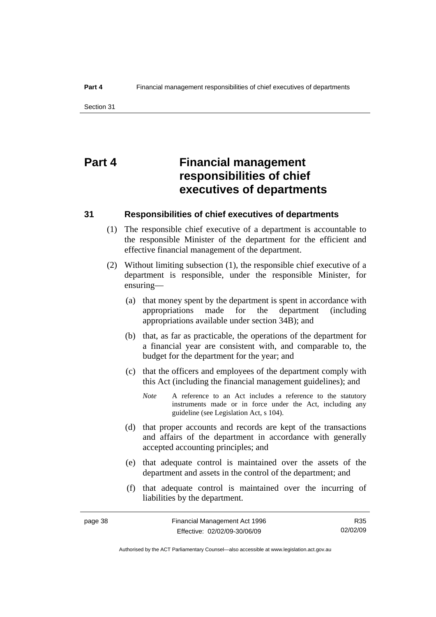# **Part 4 Financial management responsibilities of chief executives of departments**

#### **31 Responsibilities of chief executives of departments**

- (1) The responsible chief executive of a department is accountable to the responsible Minister of the department for the efficient and effective financial management of the department.
- (2) Without limiting subsection (1), the responsible chief executive of a department is responsible, under the responsible Minister, for ensuring—
	- (a) that money spent by the department is spent in accordance with appropriations made for the department (including appropriations available under section 34B); and
	- (b) that, as far as practicable, the operations of the department for a financial year are consistent with, and comparable to, the budget for the department for the year; and
	- (c) that the officers and employees of the department comply with this Act (including the financial management guidelines); and
		- *Note* A reference to an Act includes a reference to the statutory instruments made or in force under the Act, including any guideline (see Legislation Act, s 104).
	- (d) that proper accounts and records are kept of the transactions and affairs of the department in accordance with generally accepted accounting principles; and
	- (e) that adequate control is maintained over the assets of the department and assets in the control of the department; and
	- (f) that adequate control is maintained over the incurring of liabilities by the department.

Authorised by the ACT Parliamentary Counsel—also accessible at www.legislation.act.gov.au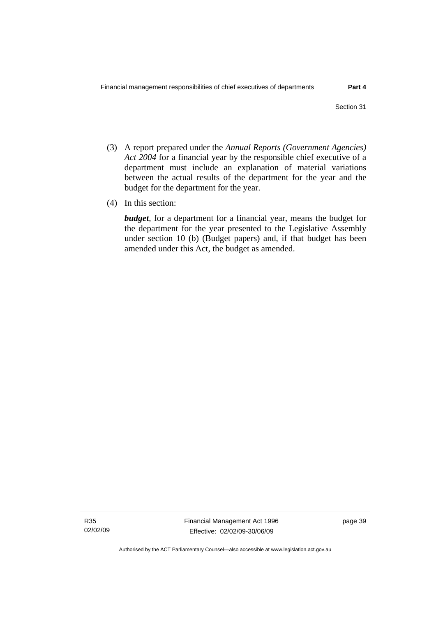- (3) A report prepared under the *Annual Reports (Government Agencies) Act 2004* for a financial year by the responsible chief executive of a department must include an explanation of material variations between the actual results of the department for the year and the budget for the department for the year.
- (4) In this section:

*budget*, for a department for a financial year, means the budget for the department for the year presented to the Legislative Assembly under section 10 (b) (Budget papers) and, if that budget has been amended under this Act, the budget as amended.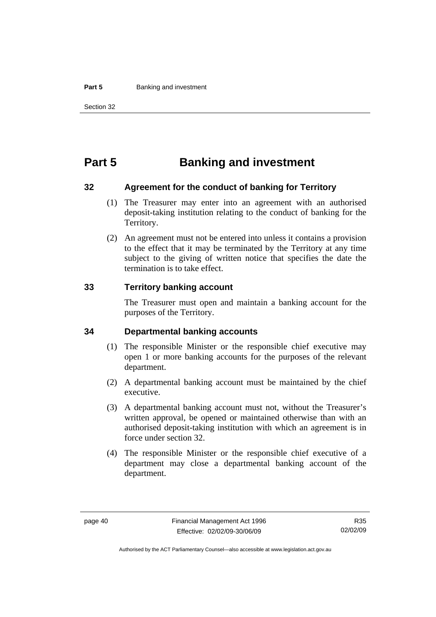#### **Part 5 Banking and investment**

# **Part 5 Banking and investment**

#### **32 Agreement for the conduct of banking for Territory**

- (1) The Treasurer may enter into an agreement with an authorised deposit-taking institution relating to the conduct of banking for the Territory.
- (2) An agreement must not be entered into unless it contains a provision to the effect that it may be terminated by the Territory at any time subject to the giving of written notice that specifies the date the termination is to take effect.

#### **33 Territory banking account**

The Treasurer must open and maintain a banking account for the purposes of the Territory.

#### **34 Departmental banking accounts**

- (1) The responsible Minister or the responsible chief executive may open 1 or more banking accounts for the purposes of the relevant department.
- (2) A departmental banking account must be maintained by the chief executive.
- (3) A departmental banking account must not, without the Treasurer's written approval, be opened or maintained otherwise than with an authorised deposit-taking institution with which an agreement is in force under section 32.
- (4) The responsible Minister or the responsible chief executive of a department may close a departmental banking account of the department.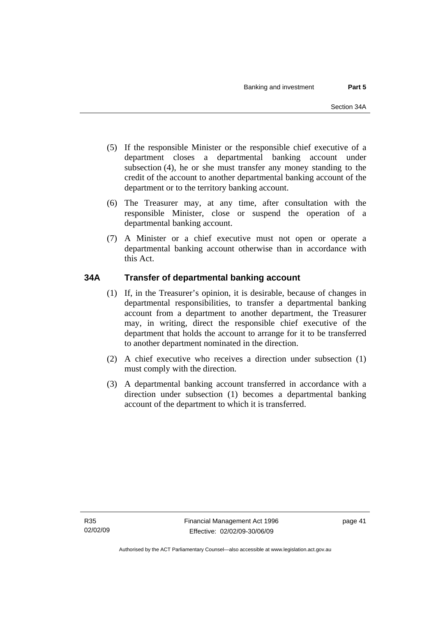- (5) If the responsible Minister or the responsible chief executive of a department closes a departmental banking account under subsection (4), he or she must transfer any money standing to the credit of the account to another departmental banking account of the department or to the territory banking account.
- (6) The Treasurer may, at any time, after consultation with the responsible Minister, close or suspend the operation of a departmental banking account.
- (7) A Minister or a chief executive must not open or operate a departmental banking account otherwise than in accordance with this Act.

# **34A Transfer of departmental banking account**

- (1) If, in the Treasurer's opinion, it is desirable, because of changes in departmental responsibilities, to transfer a departmental banking account from a department to another department, the Treasurer may, in writing, direct the responsible chief executive of the department that holds the account to arrange for it to be transferred to another department nominated in the direction.
- (2) A chief executive who receives a direction under subsection (1) must comply with the direction.
- (3) A departmental banking account transferred in accordance with a direction under subsection (1) becomes a departmental banking account of the department to which it is transferred.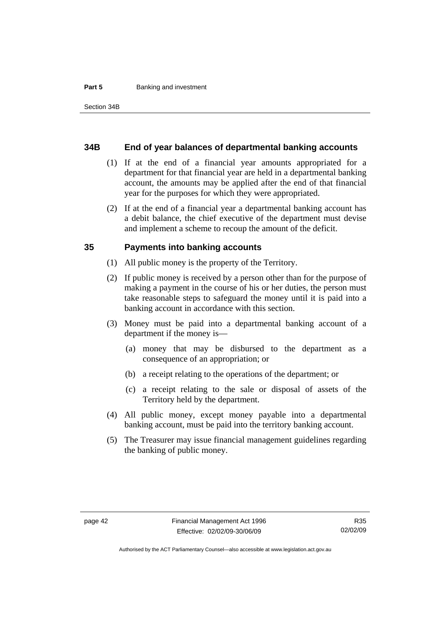#### **Part 5 Banking and investment**

#### **34B End of year balances of departmental banking accounts**

- (1) If at the end of a financial year amounts appropriated for a department for that financial year are held in a departmental banking account, the amounts may be applied after the end of that financial year for the purposes for which they were appropriated.
- (2) If at the end of a financial year a departmental banking account has a debit balance, the chief executive of the department must devise and implement a scheme to recoup the amount of the deficit.

#### **35 Payments into banking accounts**

- (1) All public money is the property of the Territory.
- (2) If public money is received by a person other than for the purpose of making a payment in the course of his or her duties, the person must take reasonable steps to safeguard the money until it is paid into a banking account in accordance with this section.
- (3) Money must be paid into a departmental banking account of a department if the money is—
	- (a) money that may be disbursed to the department as a consequence of an appropriation; or
	- (b) a receipt relating to the operations of the department; or
	- (c) a receipt relating to the sale or disposal of assets of the Territory held by the department.
- (4) All public money, except money payable into a departmental banking account, must be paid into the territory banking account.
- (5) The Treasurer may issue financial management guidelines regarding the banking of public money.

Authorised by the ACT Parliamentary Counsel—also accessible at www.legislation.act.gov.au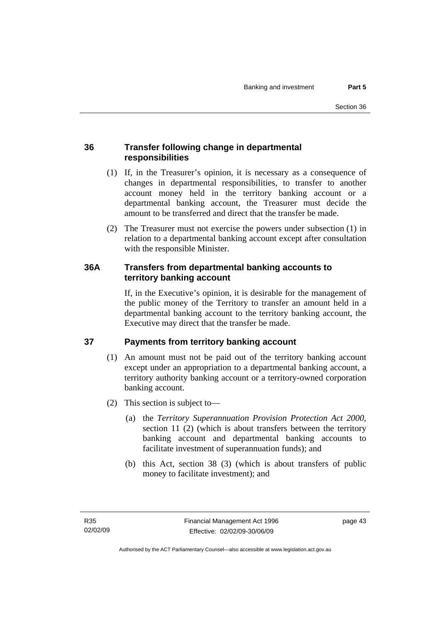# **36 Transfer following change in departmental responsibilities**

- (1) If, in the Treasurer's opinion, it is necessary as a consequence of changes in departmental responsibilities, to transfer to another account money held in the territory banking account or a departmental banking account, the Treasurer must decide the amount to be transferred and direct that the transfer be made.
- (2) The Treasurer must not exercise the powers under subsection (1) in relation to a departmental banking account except after consultation with the responsible Minister.

# **36A Transfers from departmental banking accounts to territory banking account**

If, in the Executive's opinion, it is desirable for the management of the public money of the Territory to transfer an amount held in a departmental banking account to the territory banking account, the Executive may direct that the transfer be made.

# **37 Payments from territory banking account**

- (1) An amount must not be paid out of the territory banking account except under an appropriation to a departmental banking account, a territory authority banking account or a territory-owned corporation banking account.
- (2) This section is subject to—
	- (a) the *Territory Superannuation Provision Protection Act 2000*, section 11 (2) (which is about transfers between the territory banking account and departmental banking accounts to facilitate investment of superannuation funds); and
	- (b) this Act, section 38 (3) (which is about transfers of public money to facilitate investment); and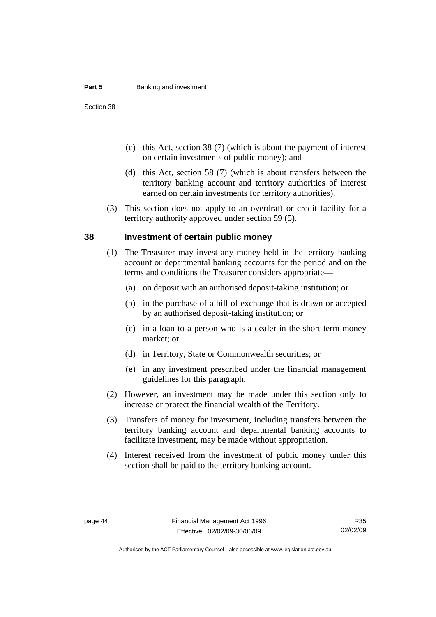#### **Part 5 Banking and investment**

Section 38

- (c) this Act, section 38 (7) (which is about the payment of interest on certain investments of public money); and
- (d) this Act, section 58 (7) (which is about transfers between the territory banking account and territory authorities of interest earned on certain investments for territory authorities).
- (3) This section does not apply to an overdraft or credit facility for a territory authority approved under section 59 (5).

#### **38 Investment of certain public money**

- (1) The Treasurer may invest any money held in the territory banking account or departmental banking accounts for the period and on the terms and conditions the Treasurer considers appropriate—
	- (a) on deposit with an authorised deposit-taking institution; or
	- (b) in the purchase of a bill of exchange that is drawn or accepted by an authorised deposit-taking institution; or
	- (c) in a loan to a person who is a dealer in the short-term money market; or
	- (d) in Territory, State or Commonwealth securities; or
	- (e) in any investment prescribed under the financial management guidelines for this paragraph.
- (2) However, an investment may be made under this section only to increase or protect the financial wealth of the Territory.
- (3) Transfers of money for investment, including transfers between the territory banking account and departmental banking accounts to facilitate investment, may be made without appropriation.
- (4) Interest received from the investment of public money under this section shall be paid to the territory banking account.

Authorised by the ACT Parliamentary Counsel—also accessible at www.legislation.act.gov.au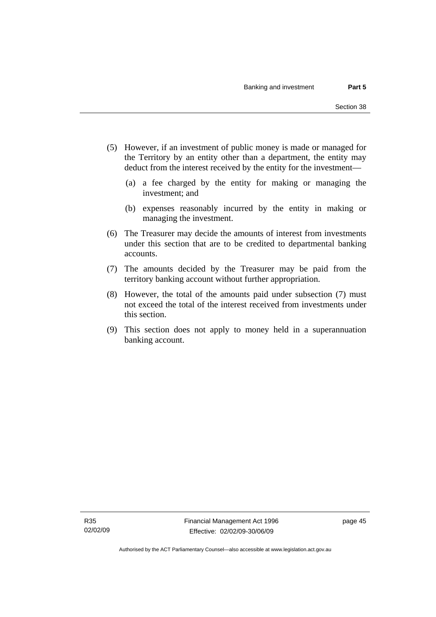- (5) However, if an investment of public money is made or managed for the Territory by an entity other than a department, the entity may deduct from the interest received by the entity for the investment—
	- (a) a fee charged by the entity for making or managing the investment; and
	- (b) expenses reasonably incurred by the entity in making or managing the investment.
- (6) The Treasurer may decide the amounts of interest from investments under this section that are to be credited to departmental banking accounts.
- (7) The amounts decided by the Treasurer may be paid from the territory banking account without further appropriation.
- (8) However, the total of the amounts paid under subsection (7) must not exceed the total of the interest received from investments under this section.
- (9) This section does not apply to money held in a superannuation banking account.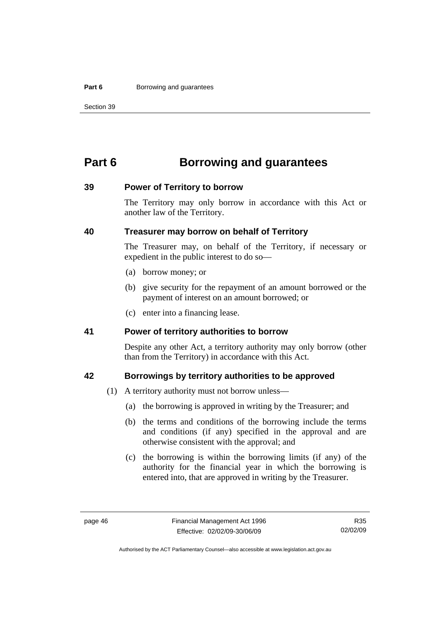#### **Part 6 Borrowing and guarantees**

Section 39

# **Part 6 Borrowing and guarantees**

#### **39 Power of Territory to borrow**

The Territory may only borrow in accordance with this Act or another law of the Territory.

### **40 Treasurer may borrow on behalf of Territory**

The Treasurer may, on behalf of the Territory, if necessary or expedient in the public interest to do so—

- (a) borrow money; or
- (b) give security for the repayment of an amount borrowed or the payment of interest on an amount borrowed; or
- (c) enter into a financing lease.

#### **41 Power of territory authorities to borrow**

Despite any other Act, a territory authority may only borrow (other than from the Territory) in accordance with this Act.

#### **42 Borrowings by territory authorities to be approved**

- (1) A territory authority must not borrow unless—
	- (a) the borrowing is approved in writing by the Treasurer; and
	- (b) the terms and conditions of the borrowing include the terms and conditions (if any) specified in the approval and are otherwise consistent with the approval; and
	- (c) the borrowing is within the borrowing limits (if any) of the authority for the financial year in which the borrowing is entered into, that are approved in writing by the Treasurer.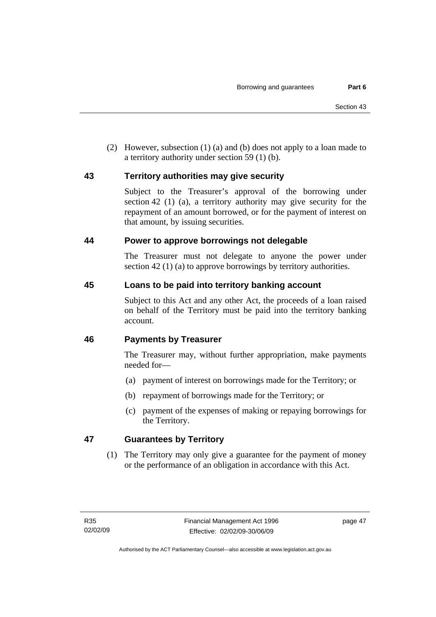(2) However, subsection (1) (a) and (b) does not apply to a loan made to a territory authority under section 59 (1) (b).

# **43 Territory authorities may give security**

Subject to the Treasurer's approval of the borrowing under section 42 (1) (a), a territory authority may give security for the repayment of an amount borrowed, or for the payment of interest on that amount, by issuing securities.

### **44 Power to approve borrowings not delegable**

The Treasurer must not delegate to anyone the power under section 42 (1) (a) to approve borrowings by territory authorities.

# **45 Loans to be paid into territory banking account**

Subject to this Act and any other Act, the proceeds of a loan raised on behalf of the Territory must be paid into the territory banking account.

# **46 Payments by Treasurer**

The Treasurer may, without further appropriation, make payments needed for—

- (a) payment of interest on borrowings made for the Territory; or
- (b) repayment of borrowings made for the Territory; or
- (c) payment of the expenses of making or repaying borrowings for the Territory.

# **47 Guarantees by Territory**

 (1) The Territory may only give a guarantee for the payment of money or the performance of an obligation in accordance with this Act.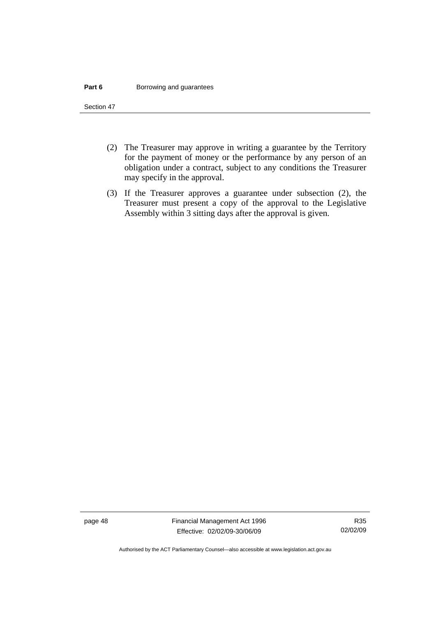#### **Part 6 Borrowing and guarantees**

Section 47

- (2) The Treasurer may approve in writing a guarantee by the Territory for the payment of money or the performance by any person of an obligation under a contract, subject to any conditions the Treasurer may specify in the approval.
- (3) If the Treasurer approves a guarantee under subsection (2), the Treasurer must present a copy of the approval to the Legislative Assembly within 3 sitting days after the approval is given.

page 48 Financial Management Act 1996 Effective: 02/02/09-30/06/09

Authorised by the ACT Parliamentary Counsel—also accessible at www.legislation.act.gov.au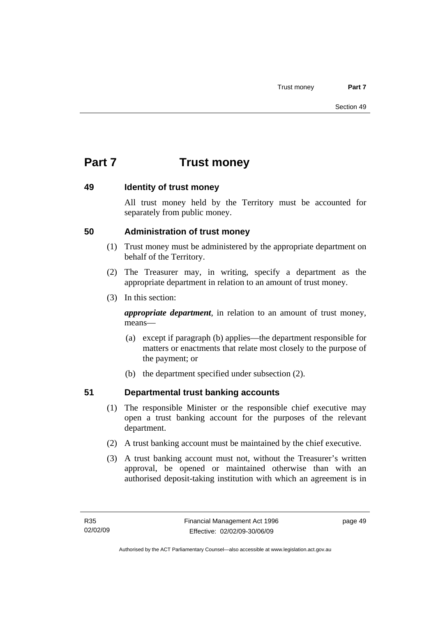# **Part 7 Trust money**

### **49 Identity of trust money**

All trust money held by the Territory must be accounted for separately from public money.

# **50 Administration of trust money**

- (1) Trust money must be administered by the appropriate department on behalf of the Territory.
- (2) The Treasurer may, in writing, specify a department as the appropriate department in relation to an amount of trust money.
- (3) In this section:

*appropriate department*, in relation to an amount of trust money, means—

- (a) except if paragraph (b) applies—the department responsible for matters or enactments that relate most closely to the purpose of the payment; or
- (b) the department specified under subsection (2).

# **51 Departmental trust banking accounts**

- (1) The responsible Minister or the responsible chief executive may open a trust banking account for the purposes of the relevant department.
- (2) A trust banking account must be maintained by the chief executive.
- (3) A trust banking account must not, without the Treasurer's written approval, be opened or maintained otherwise than with an authorised deposit-taking institution with which an agreement is in

page 49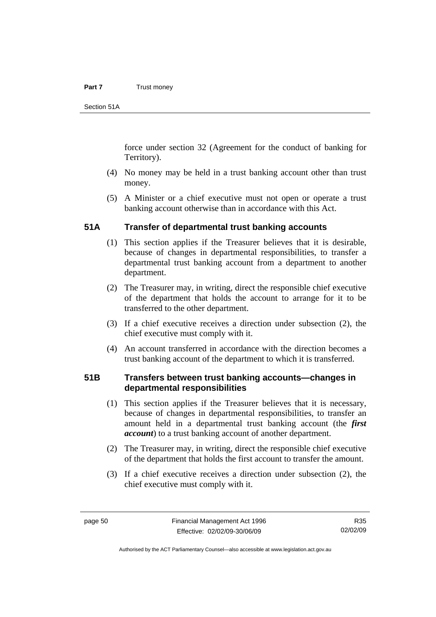#### **Part 7** Trust money

Section 51A

force under section 32 (Agreement for the conduct of banking for Territory).

- (4) No money may be held in a trust banking account other than trust money.
- (5) A Minister or a chief executive must not open or operate a trust banking account otherwise than in accordance with this Act.

#### **51A Transfer of departmental trust banking accounts**

- (1) This section applies if the Treasurer believes that it is desirable, because of changes in departmental responsibilities, to transfer a departmental trust banking account from a department to another department.
- (2) The Treasurer may, in writing, direct the responsible chief executive of the department that holds the account to arrange for it to be transferred to the other department.
- (3) If a chief executive receives a direction under subsection (2), the chief executive must comply with it.
- (4) An account transferred in accordance with the direction becomes a trust banking account of the department to which it is transferred.

#### **51B Transfers between trust banking accounts—changes in departmental responsibilities**

- (1) This section applies if the Treasurer believes that it is necessary, because of changes in departmental responsibilities, to transfer an amount held in a departmental trust banking account (the *first account*) to a trust banking account of another department.
- (2) The Treasurer may, in writing, direct the responsible chief executive of the department that holds the first account to transfer the amount.
- (3) If a chief executive receives a direction under subsection (2), the chief executive must comply with it.

Authorised by the ACT Parliamentary Counsel—also accessible at www.legislation.act.gov.au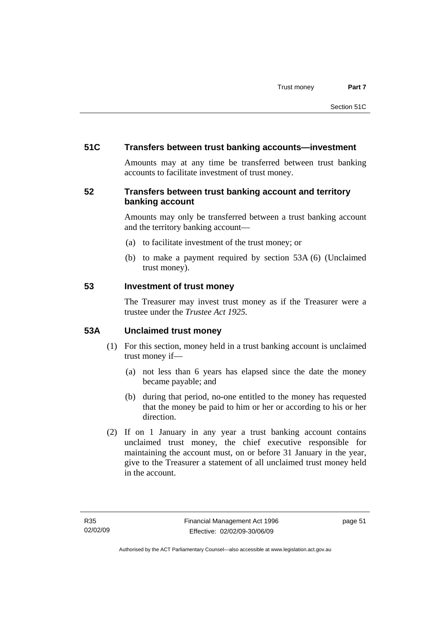### **51C Transfers between trust banking accounts—investment**

Amounts may at any time be transferred between trust banking accounts to facilitate investment of trust money.

# **52 Transfers between trust banking account and territory banking account**

Amounts may only be transferred between a trust banking account and the territory banking account—

- (a) to facilitate investment of the trust money; or
- (b) to make a payment required by section 53A (6) (Unclaimed trust money).

#### **53 Investment of trust money**

The Treasurer may invest trust money as if the Treasurer were a trustee under the *Trustee Act 1925.*

# **53A Unclaimed trust money**

- (1) For this section, money held in a trust banking account is unclaimed trust money if—
	- (a) not less than 6 years has elapsed since the date the money became payable; and
	- (b) during that period, no-one entitled to the money has requested that the money be paid to him or her or according to his or her direction.
- (2) If on 1 January in any year a trust banking account contains unclaimed trust money, the chief executive responsible for maintaining the account must, on or before 31 January in the year, give to the Treasurer a statement of all unclaimed trust money held in the account.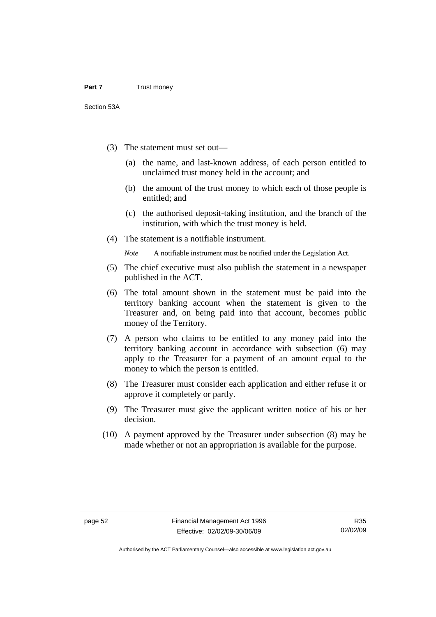- (3) The statement must set out—
	- (a) the name, and last-known address, of each person entitled to unclaimed trust money held in the account; and
	- (b) the amount of the trust money to which each of those people is entitled; and
	- (c) the authorised deposit-taking institution, and the branch of the institution, with which the trust money is held.
- (4) The statement is a notifiable instrument.

*Note* A notifiable instrument must be notified under the Legislation Act.

- (5) The chief executive must also publish the statement in a newspaper published in the ACT.
- (6) The total amount shown in the statement must be paid into the territory banking account when the statement is given to the Treasurer and, on being paid into that account, becomes public money of the Territory.
- (7) A person who claims to be entitled to any money paid into the territory banking account in accordance with subsection (6) may apply to the Treasurer for a payment of an amount equal to the money to which the person is entitled.
- (8) The Treasurer must consider each application and either refuse it or approve it completely or partly.
- (9) The Treasurer must give the applicant written notice of his or her decision.
- (10) A payment approved by the Treasurer under subsection (8) may be made whether or not an appropriation is available for the purpose.

R35 02/02/09

Authorised by the ACT Parliamentary Counsel—also accessible at www.legislation.act.gov.au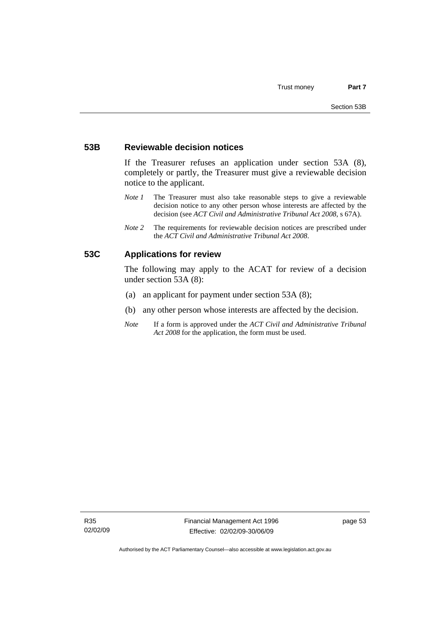#### **53B Reviewable decision notices**

If the Treasurer refuses an application under section 53A (8), completely or partly, the Treasurer must give a reviewable decision notice to the applicant.

- *Note 1* The Treasurer must also take reasonable steps to give a reviewable decision notice to any other person whose interests are affected by the decision (see *ACT Civil and Administrative Tribunal Act 2008*, s 67A).
- *Note 2* The requirements for reviewable decision notices are prescribed under the *ACT Civil and Administrative Tribunal Act 2008*.

### **53C Applications for review**

The following may apply to the ACAT for review of a decision under section 53A (8):

- (a) an applicant for payment under section 53A (8);
- (b) any other person whose interests are affected by the decision.
- *Note* If a form is approved under the *ACT Civil and Administrative Tribunal Act 2008* for the application, the form must be used.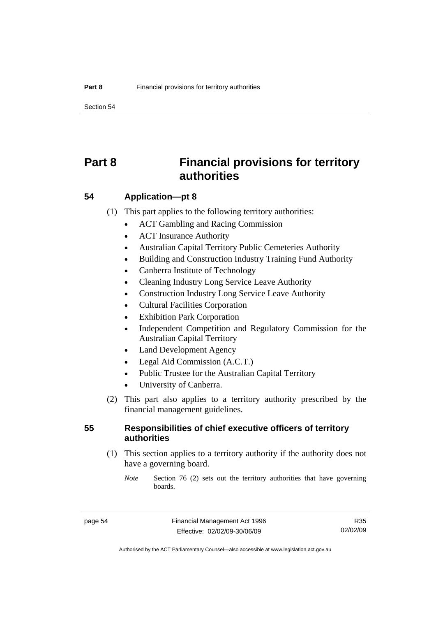Section 54

# **Part 8 Financial provisions for territory authorities**

#### **54 Application—pt 8**

(1) This part applies to the following territory authorities:

- ACT Gambling and Racing Commission
- ACT Insurance Authority
- Australian Capital Territory Public Cemeteries Authority
- Building and Construction Industry Training Fund Authority
- Canberra Institute of Technology
- Cleaning Industry Long Service Leave Authority
- Construction Industry Long Service Leave Authority
- Cultural Facilities Corporation
- Exhibition Park Corporation
- Independent Competition and Regulatory Commission for the Australian Capital Territory
- Land Development Agency
- Legal Aid Commission (A.C.T.)
- Public Trustee for the Australian Capital Territory
- University of Canberra.
- (2) This part also applies to a territory authority prescribed by the financial management guidelines.

#### **55 Responsibilities of chief executive officers of territory authorities**

- (1) This section applies to a territory authority if the authority does not have a governing board.
	- *Note* Section 76 (2) sets out the territory authorities that have governing boards.

R35 02/02/09

Authorised by the ACT Parliamentary Counsel—also accessible at www.legislation.act.gov.au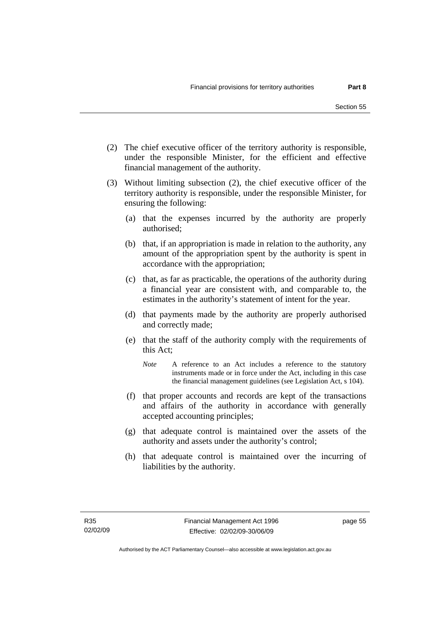- (2) The chief executive officer of the territory authority is responsible, under the responsible Minister, for the efficient and effective financial management of the authority.
- (3) Without limiting subsection (2), the chief executive officer of the territory authority is responsible, under the responsible Minister, for ensuring the following:
	- (a) that the expenses incurred by the authority are properly authorised;
	- (b) that, if an appropriation is made in relation to the authority, any amount of the appropriation spent by the authority is spent in accordance with the appropriation;
	- (c) that, as far as practicable, the operations of the authority during a financial year are consistent with, and comparable to, the estimates in the authority's statement of intent for the year.
	- (d) that payments made by the authority are properly authorised and correctly made;
	- (e) that the staff of the authority comply with the requirements of this Act;
		- *Note* A reference to an Act includes a reference to the statutory instruments made or in force under the Act, including in this case the financial management guidelines (see Legislation Act, s 104).
	- (f) that proper accounts and records are kept of the transactions and affairs of the authority in accordance with generally accepted accounting principles;
	- (g) that adequate control is maintained over the assets of the authority and assets under the authority's control;
	- (h) that adequate control is maintained over the incurring of liabilities by the authority.

page 55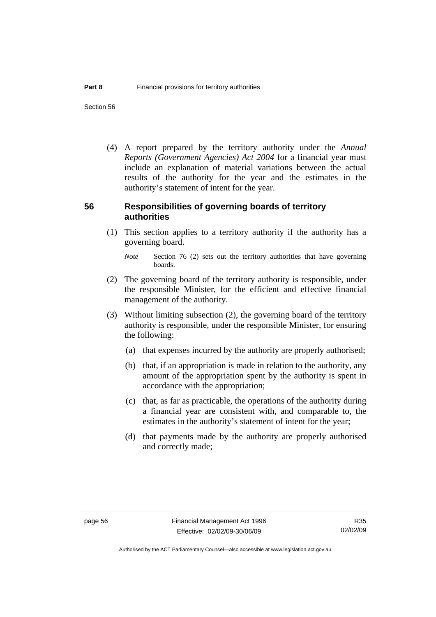Section 56

 (4) A report prepared by the territory authority under the *Annual Reports (Government Agencies) Act 2004* for a financial year must include an explanation of material variations between the actual results of the authority for the year and the estimates in the authority's statement of intent for the year.

#### **56 Responsibilities of governing boards of territory authorities**

 (1) This section applies to a territory authority if the authority has a governing board.

- (2) The governing board of the territory authority is responsible, under the responsible Minister, for the efficient and effective financial management of the authority.
- (3) Without limiting subsection (2), the governing board of the territory authority is responsible, under the responsible Minister, for ensuring the following:
	- (a) that expenses incurred by the authority are properly authorised;
	- (b) that, if an appropriation is made in relation to the authority, any amount of the appropriation spent by the authority is spent in accordance with the appropriation;
	- (c) that, as far as practicable, the operations of the authority during a financial year are consistent with, and comparable to, the estimates in the authority's statement of intent for the year;
	- (d) that payments made by the authority are properly authorised and correctly made;

*Note* Section 76 (2) sets out the territory authorities that have governing boards.

R35 02/02/09

Authorised by the ACT Parliamentary Counsel—also accessible at www.legislation.act.gov.au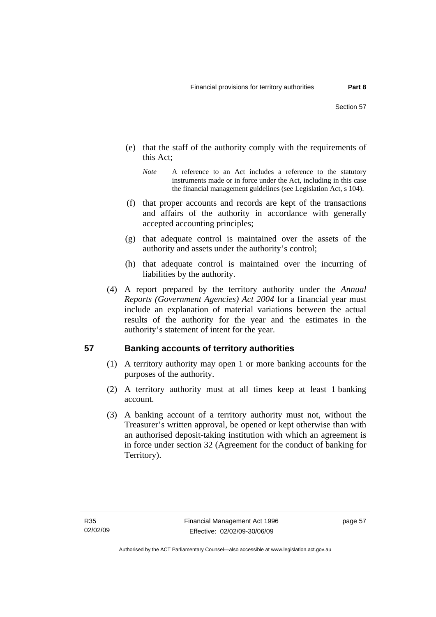- (e) that the staff of the authority comply with the requirements of this Act;
	- *Note* A reference to an Act includes a reference to the statutory instruments made or in force under the Act, including in this case the financial management guidelines (see Legislation Act, s 104).
- (f) that proper accounts and records are kept of the transactions and affairs of the authority in accordance with generally accepted accounting principles;
- (g) that adequate control is maintained over the assets of the authority and assets under the authority's control;
- (h) that adequate control is maintained over the incurring of liabilities by the authority.
- (4) A report prepared by the territory authority under the *Annual Reports (Government Agencies) Act 2004* for a financial year must include an explanation of material variations between the actual results of the authority for the year and the estimates in the authority's statement of intent for the year.

# **57 Banking accounts of territory authorities**

- (1) A territory authority may open 1 or more banking accounts for the purposes of the authority.
- (2) A territory authority must at all times keep at least 1 banking account.
- (3) A banking account of a territory authority must not, without the Treasurer's written approval, be opened or kept otherwise than with an authorised deposit-taking institution with which an agreement is in force under section 32 (Agreement for the conduct of banking for Territory).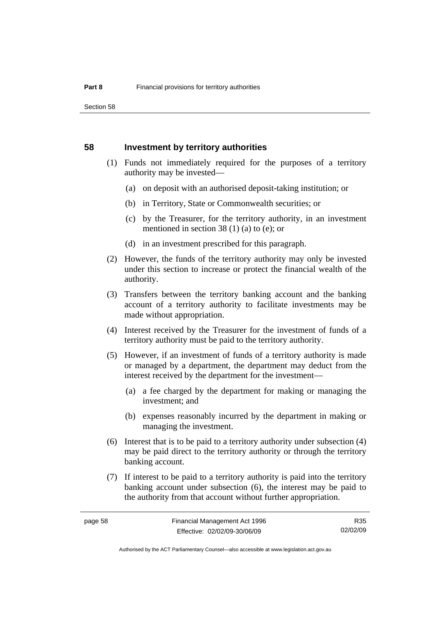#### **58 Investment by territory authorities**

- (1) Funds not immediately required for the purposes of a territory authority may be invested—
	- (a) on deposit with an authorised deposit-taking institution; or
	- (b) in Territory, State or Commonwealth securities; or
	- (c) by the Treasurer, for the territory authority, in an investment mentioned in section 38 (1) (a) to (e); or
	- (d) in an investment prescribed for this paragraph.
- (2) However, the funds of the territory authority may only be invested under this section to increase or protect the financial wealth of the authority.
- (3) Transfers between the territory banking account and the banking account of a territory authority to facilitate investments may be made without appropriation.
- (4) Interest received by the Treasurer for the investment of funds of a territory authority must be paid to the territory authority.
- (5) However, if an investment of funds of a territory authority is made or managed by a department, the department may deduct from the interest received by the department for the investment—
	- (a) a fee charged by the department for making or managing the investment; and
	- (b) expenses reasonably incurred by the department in making or managing the investment.
- (6) Interest that is to be paid to a territory authority under subsection (4) may be paid direct to the territory authority or through the territory banking account.
- (7) If interest to be paid to a territory authority is paid into the territory banking account under subsection (6), the interest may be paid to the authority from that account without further appropriation.

R35 02/02/09

Authorised by the ACT Parliamentary Counsel—also accessible at www.legislation.act.gov.au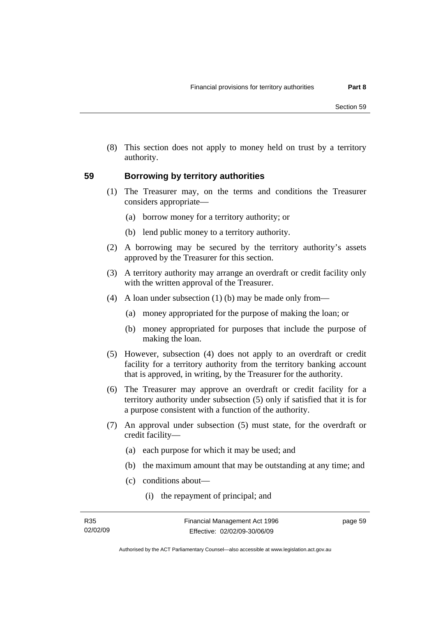(8) This section does not apply to money held on trust by a territory authority.

### **59 Borrowing by territory authorities**

- (1) The Treasurer may, on the terms and conditions the Treasurer considers appropriate—
	- (a) borrow money for a territory authority; or
	- (b) lend public money to a territory authority.
- (2) A borrowing may be secured by the territory authority's assets approved by the Treasurer for this section.
- (3) A territory authority may arrange an overdraft or credit facility only with the written approval of the Treasurer.
- (4) A loan under subsection (1) (b) may be made only from—
	- (a) money appropriated for the purpose of making the loan; or
	- (b) money appropriated for purposes that include the purpose of making the loan.
- (5) However, subsection (4) does not apply to an overdraft or credit facility for a territory authority from the territory banking account that is approved, in writing, by the Treasurer for the authority.
- (6) The Treasurer may approve an overdraft or credit facility for a territory authority under subsection (5) only if satisfied that it is for a purpose consistent with a function of the authority.
- (7) An approval under subsection (5) must state, for the overdraft or credit facility—
	- (a) each purpose for which it may be used; and
	- (b) the maximum amount that may be outstanding at any time; and
	- (c) conditions about—
		- (i) the repayment of principal; and

page 59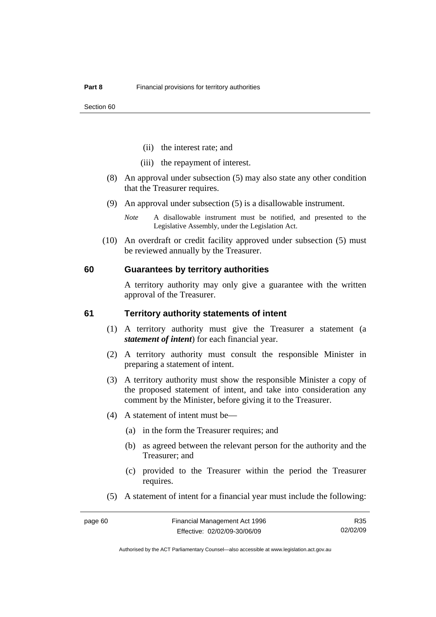- (ii) the interest rate; and
- (iii) the repayment of interest.
- (8) An approval under subsection (5) may also state any other condition that the Treasurer requires.
- (9) An approval under subsection (5) is a disallowable instrument.
	- *Note* A disallowable instrument must be notified, and presented to the Legislative Assembly, under the Legislation Act.
- (10) An overdraft or credit facility approved under subsection (5) must be reviewed annually by the Treasurer.

#### **60 Guarantees by territory authorities**

A territory authority may only give a guarantee with the written approval of the Treasurer.

#### **61 Territory authority statements of intent**

- (1) A territory authority must give the Treasurer a statement (a *statement of intent*) for each financial year.
- (2) A territory authority must consult the responsible Minister in preparing a statement of intent.
- (3) A territory authority must show the responsible Minister a copy of the proposed statement of intent, and take into consideration any comment by the Minister, before giving it to the Treasurer.
- (4) A statement of intent must be—
	- (a) in the form the Treasurer requires; and
	- (b) as agreed between the relevant person for the authority and the Treasurer; and
	- (c) provided to the Treasurer within the period the Treasurer requires.
- (5) A statement of intent for a financial year must include the following:

R35 02/02/09

Authorised by the ACT Parliamentary Counsel—also accessible at www.legislation.act.gov.au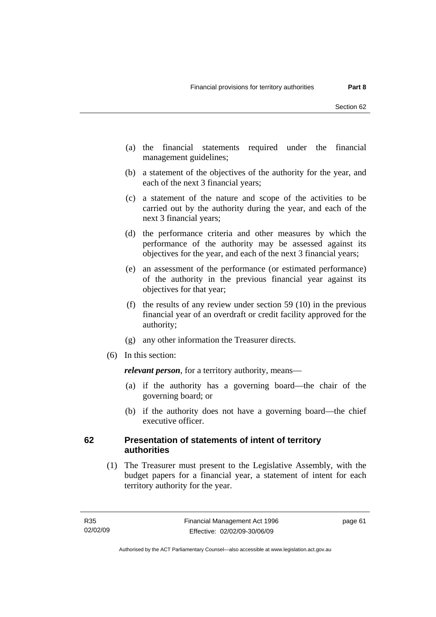- (a) the financial statements required under the financial management guidelines;
- (b) a statement of the objectives of the authority for the year, and each of the next 3 financial years;
- (c) a statement of the nature and scope of the activities to be carried out by the authority during the year, and each of the next 3 financial years;
- (d) the performance criteria and other measures by which the performance of the authority may be assessed against its objectives for the year, and each of the next 3 financial years;
- (e) an assessment of the performance (or estimated performance) of the authority in the previous financial year against its objectives for that year;
- (f) the results of any review under section 59 (10) in the previous financial year of an overdraft or credit facility approved for the authority;
- (g) any other information the Treasurer directs.
- (6) In this section:

*relevant person*, for a territory authority, means—

- (a) if the authority has a governing board—the chair of the governing board; or
- (b) if the authority does not have a governing board—the chief executive officer.

### **62 Presentation of statements of intent of territory authorities**

 (1) The Treasurer must present to the Legislative Assembly, with the budget papers for a financial year, a statement of intent for each territory authority for the year.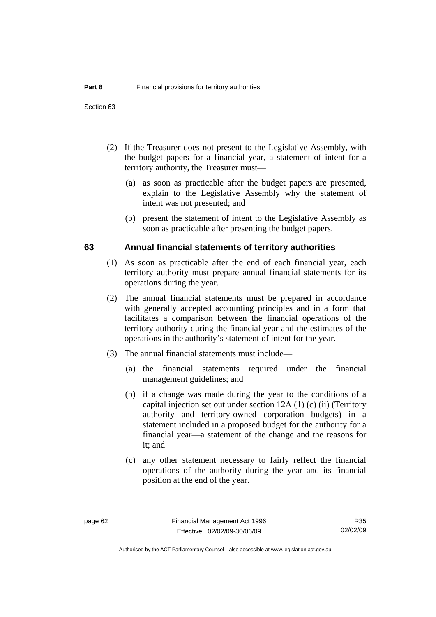- (2) If the Treasurer does not present to the Legislative Assembly, with the budget papers for a financial year, a statement of intent for a territory authority, the Treasurer must—
	- (a) as soon as practicable after the budget papers are presented, explain to the Legislative Assembly why the statement of intent was not presented; and
	- (b) present the statement of intent to the Legislative Assembly as soon as practicable after presenting the budget papers.

#### **63 Annual financial statements of territory authorities**

- (1) As soon as practicable after the end of each financial year, each territory authority must prepare annual financial statements for its operations during the year.
- (2) The annual financial statements must be prepared in accordance with generally accepted accounting principles and in a form that facilitates a comparison between the financial operations of the territory authority during the financial year and the estimates of the operations in the authority's statement of intent for the year.
- (3) The annual financial statements must include—
	- (a) the financial statements required under the financial management guidelines; and
	- (b) if a change was made during the year to the conditions of a capital injection set out under section 12A (1) (c) (ii) (Territory authority and territory-owned corporation budgets) in a statement included in a proposed budget for the authority for a financial year—a statement of the change and the reasons for it; and
	- (c) any other statement necessary to fairly reflect the financial operations of the authority during the year and its financial position at the end of the year.

R35 02/02/09

Authorised by the ACT Parliamentary Counsel—also accessible at www.legislation.act.gov.au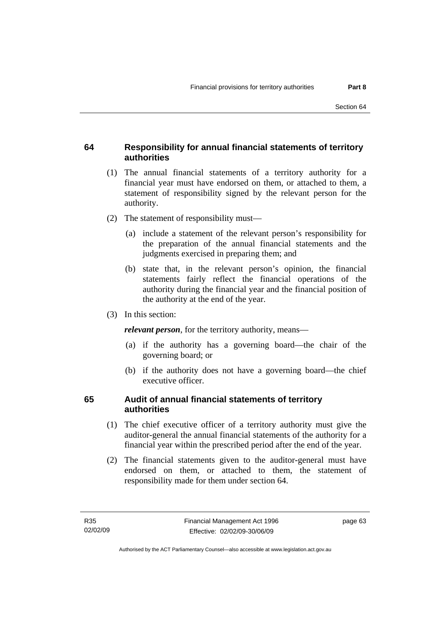# **64 Responsibility for annual financial statements of territory authorities**

- (1) The annual financial statements of a territory authority for a financial year must have endorsed on them, or attached to them, a statement of responsibility signed by the relevant person for the authority.
- (2) The statement of responsibility must—
	- (a) include a statement of the relevant person's responsibility for the preparation of the annual financial statements and the judgments exercised in preparing them; and
	- (b) state that, in the relevant person's opinion, the financial statements fairly reflect the financial operations of the authority during the financial year and the financial position of the authority at the end of the year.
- (3) In this section:

*relevant person*, for the territory authority, means—

- (a) if the authority has a governing board—the chair of the governing board; or
- (b) if the authority does not have a governing board—the chief executive officer.

# **65 Audit of annual financial statements of territory authorities**

- (1) The chief executive officer of a territory authority must give the auditor-general the annual financial statements of the authority for a financial year within the prescribed period after the end of the year.
- (2) The financial statements given to the auditor-general must have endorsed on them, or attached to them, the statement of responsibility made for them under section 64.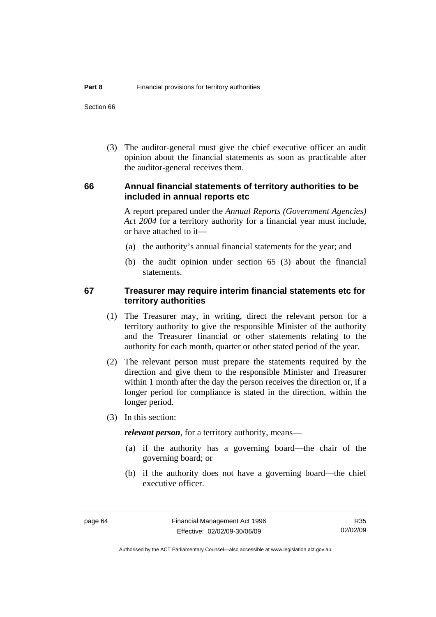Section 66

 (3) The auditor-general must give the chief executive officer an audit opinion about the financial statements as soon as practicable after the auditor-general receives them.

#### **66 Annual financial statements of territory authorities to be included in annual reports etc**

A report prepared under the *Annual Reports (Government Agencies) Act 2004* for a territory authority for a financial year must include, or have attached to it—

- (a) the authority's annual financial statements for the year; and
- (b) the audit opinion under section 65 (3) about the financial statements.

#### **67 Treasurer may require interim financial statements etc for territory authorities**

- (1) The Treasurer may, in writing, direct the relevant person for a territory authority to give the responsible Minister of the authority and the Treasurer financial or other statements relating to the authority for each month, quarter or other stated period of the year.
- (2) The relevant person must prepare the statements required by the direction and give them to the responsible Minister and Treasurer within 1 month after the day the person receives the direction or, if a longer period for compliance is stated in the direction, within the longer period.
- (3) In this section:

*relevant person*, for a territory authority, means—

- (a) if the authority has a governing board—the chair of the governing board; or
- (b) if the authority does not have a governing board—the chief executive officer.

Authorised by the ACT Parliamentary Counsel—also accessible at www.legislation.act.gov.au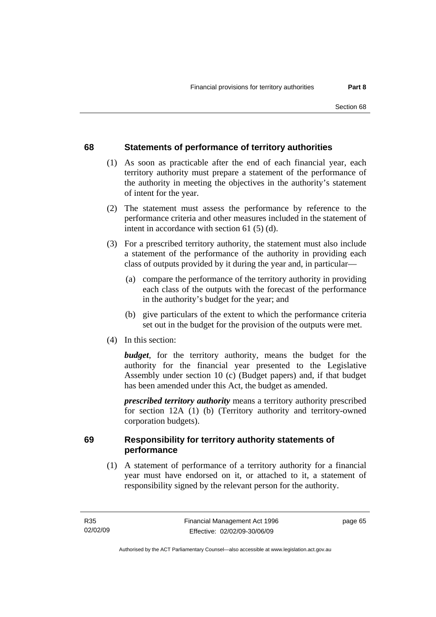# **68 Statements of performance of territory authorities**

- (1) As soon as practicable after the end of each financial year, each territory authority must prepare a statement of the performance of the authority in meeting the objectives in the authority's statement of intent for the year.
- (2) The statement must assess the performance by reference to the performance criteria and other measures included in the statement of intent in accordance with section 61 (5) (d).
- (3) For a prescribed territory authority, the statement must also include a statement of the performance of the authority in providing each class of outputs provided by it during the year and, in particular—
	- (a) compare the performance of the territory authority in providing each class of the outputs with the forecast of the performance in the authority's budget for the year; and
	- (b) give particulars of the extent to which the performance criteria set out in the budget for the provision of the outputs were met.
- (4) In this section:

*budget*, for the territory authority, means the budget for the authority for the financial year presented to the Legislative Assembly under section 10 (c) (Budget papers) and, if that budget has been amended under this Act, the budget as amended.

*prescribed territory authority* means a territory authority prescribed for section 12A (1) (b) (Territory authority and territory-owned corporation budgets).

# **69 Responsibility for territory authority statements of performance**

 (1) A statement of performance of a territory authority for a financial year must have endorsed on it, or attached to it, a statement of responsibility signed by the relevant person for the authority.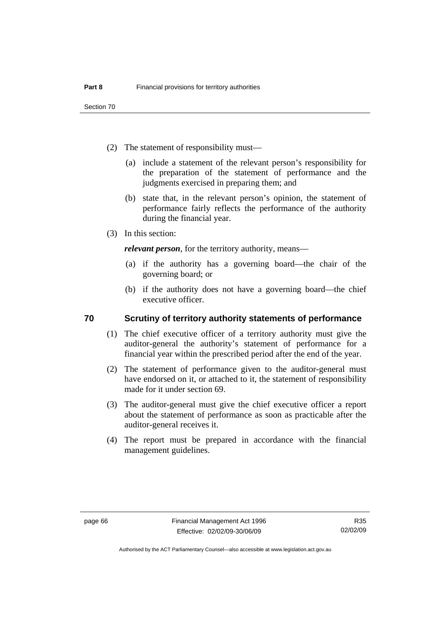Section 70

- (2) The statement of responsibility must—
	- (a) include a statement of the relevant person's responsibility for the preparation of the statement of performance and the judgments exercised in preparing them; and
	- (b) state that, in the relevant person's opinion, the statement of performance fairly reflects the performance of the authority during the financial year.
- (3) In this section:

*relevant person*, for the territory authority, means—

- (a) if the authority has a governing board—the chair of the governing board; or
- (b) if the authority does not have a governing board—the chief executive officer.

#### **70 Scrutiny of territory authority statements of performance**

- (1) The chief executive officer of a territory authority must give the auditor-general the authority's statement of performance for a financial year within the prescribed period after the end of the year.
- (2) The statement of performance given to the auditor-general must have endorsed on it, or attached to it, the statement of responsibility made for it under section 69.
- (3) The auditor-general must give the chief executive officer a report about the statement of performance as soon as practicable after the auditor-general receives it.
- (4) The report must be prepared in accordance with the financial management guidelines.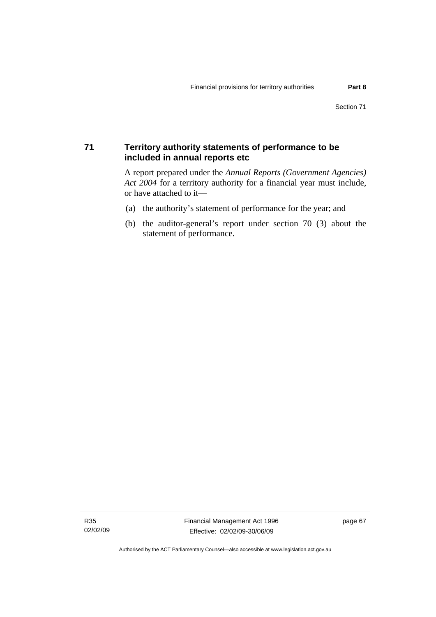#### **71 Territory authority statements of performance to be included in annual reports etc**

A report prepared under the *Annual Reports (Government Agencies) Act 2004* for a territory authority for a financial year must include, or have attached to it—

- (a) the authority's statement of performance for the year; and
- (b) the auditor-general's report under section 70 (3) about the statement of performance.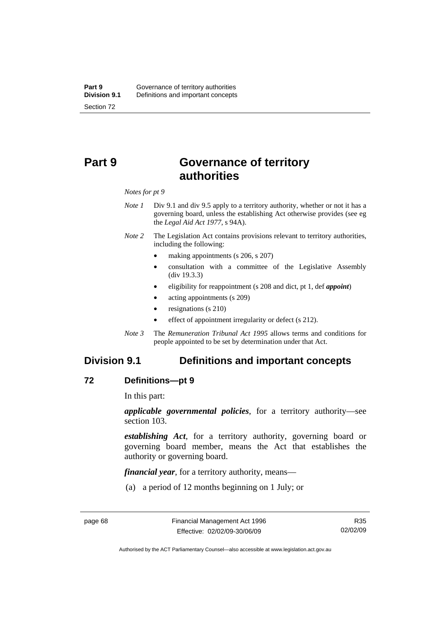# **Part 9 Governance of territory authorities**

*Notes for pt 9* 

- *Note 1* Div 9.1 and div 9.5 apply to a territory authority, whether or not it has a governing board, unless the establishing Act otherwise provides (see eg the *Legal Aid Act 1977*, s 94A).
- *Note 2* The Legislation Act contains provisions relevant to territory authorities, including the following:
	- making appointments (s 206, s 207)
	- consultation with a committee of the Legislative Assembly (div 19.3.3)
	- eligibility for reappointment (s 208 and dict, pt 1, def *appoint*)
	- acting appointments (s 209)
	- resignations (s 210)
	- effect of appointment irregularity or defect (s 212).
- *Note 3* The *Remuneration Tribunal Act 1995* allows terms and conditions for people appointed to be set by determination under that Act.

# **Division 9.1 Definitions and important concepts**

#### **72 Definitions—pt 9**

In this part:

*applicable governmental policies*, for a territory authority—see section 103.

*establishing Act*, for a territory authority, governing board or governing board member, means the Act that establishes the authority or governing board.

*financial year*, for a territory authority, means—

(a) a period of 12 months beginning on 1 July; or

R35 02/02/09

Authorised by the ACT Parliamentary Counsel—also accessible at www.legislation.act.gov.au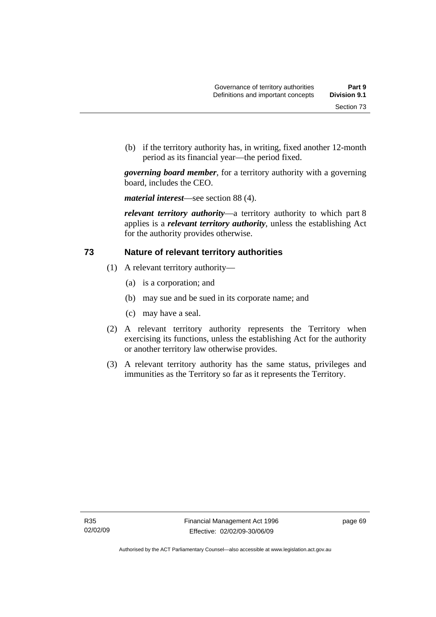(b) if the territory authority has, in writing, fixed another 12-month period as its financial year—the period fixed.

*governing board member*, for a territory authority with a governing board, includes the CEO.

*material interest*—see section 88 (4).

*relevant territory authority*—a territory authority to which part 8 applies is a *relevant territory authority*, unless the establishing Act for the authority provides otherwise.

#### **73 Nature of relevant territory authorities**

- (1) A relevant territory authority—
	- (a) is a corporation; and
	- (b) may sue and be sued in its corporate name; and
	- (c) may have a seal.
- (2) A relevant territory authority represents the Territory when exercising its functions, unless the establishing Act for the authority or another territory law otherwise provides.
- (3) A relevant territory authority has the same status, privileges and immunities as the Territory so far as it represents the Territory.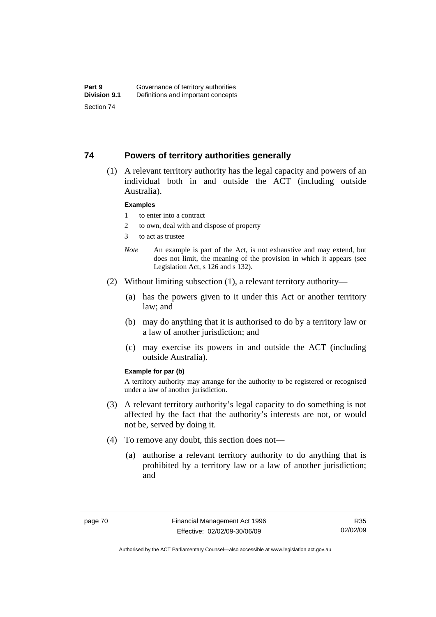#### **74 Powers of territory authorities generally**

 (1) A relevant territory authority has the legal capacity and powers of an individual both in and outside the ACT (including outside Australia).

#### **Examples**

- 1 to enter into a contract
- 2 to own, deal with and dispose of property
- 3 to act as trustee
- *Note* An example is part of the Act, is not exhaustive and may extend, but does not limit, the meaning of the provision in which it appears (see Legislation Act, s 126 and s 132).
- (2) Without limiting subsection (1), a relevant territory authority—
	- (a) has the powers given to it under this Act or another territory law; and
	- (b) may do anything that it is authorised to do by a territory law or a law of another jurisdiction; and
	- (c) may exercise its powers in and outside the ACT (including outside Australia).

#### **Example for par (b)**

A territory authority may arrange for the authority to be registered or recognised under a law of another jurisdiction.

- (3) A relevant territory authority's legal capacity to do something is not affected by the fact that the authority's interests are not, or would not be, served by doing it.
- (4) To remove any doubt, this section does not—
	- (a) authorise a relevant territory authority to do anything that is prohibited by a territory law or a law of another jurisdiction; and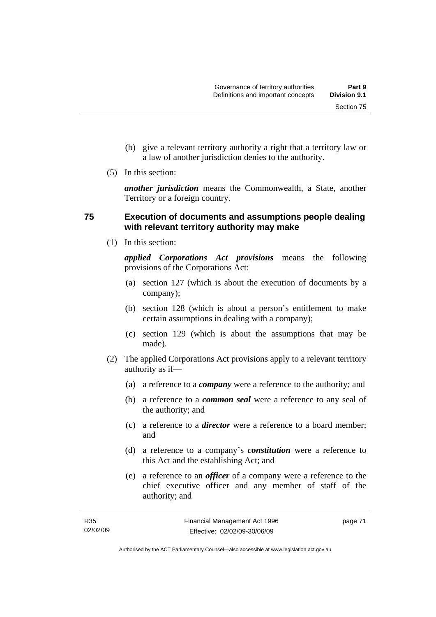Section 75

- a law of another jurisdiction denies to the authority.
- (5) In this section:

*another jurisdiction* means the Commonwealth, a State, another Territory or a foreign country.

# **75 Execution of documents and assumptions people dealing with relevant territory authority may make**

(1) In this section:

*applied Corporations Act provisions* means the following provisions of the Corporations Act:

- (a) section 127 (which is about the execution of documents by a company);
- (b) section 128 (which is about a person's entitlement to make certain assumptions in dealing with a company);
- (c) section 129 (which is about the assumptions that may be made).
- (2) The applied Corporations Act provisions apply to a relevant territory authority as if—
	- (a) a reference to a *company* were a reference to the authority; and
	- (b) a reference to a *common seal* were a reference to any seal of the authority; and
	- (c) a reference to a *director* were a reference to a board member; and
	- (d) a reference to a company's *constitution* were a reference to this Act and the establishing Act; and
	- (e) a reference to an *officer* of a company were a reference to the chief executive officer and any member of staff of the authority; and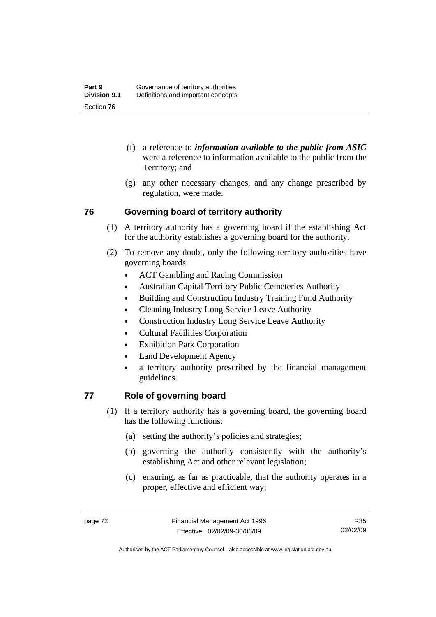- (f) a reference to *information available to the public from ASIC*  were a reference to information available to the public from the Territory; and
- (g) any other necessary changes, and any change prescribed by regulation, were made.

# **76 Governing board of territory authority**

- (1) A territory authority has a governing board if the establishing Act for the authority establishes a governing board for the authority.
- (2) To remove any doubt, only the following territory authorities have governing boards:
	- ACT Gambling and Racing Commission
	- Australian Capital Territory Public Cemeteries Authority
	- Building and Construction Industry Training Fund Authority
	- Cleaning Industry Long Service Leave Authority
	- Construction Industry Long Service Leave Authority
	- Cultural Facilities Corporation
	- Exhibition Park Corporation
	- Land Development Agency
	- a territory authority prescribed by the financial management guidelines.

# **77 Role of governing board**

- (1) If a territory authority has a governing board, the governing board has the following functions:
	- (a) setting the authority's policies and strategies;
	- (b) governing the authority consistently with the authority's establishing Act and other relevant legislation;
	- (c) ensuring, as far as practicable, that the authority operates in a proper, effective and efficient way;

R35 02/02/09

Authorised by the ACT Parliamentary Counsel—also accessible at www.legislation.act.gov.au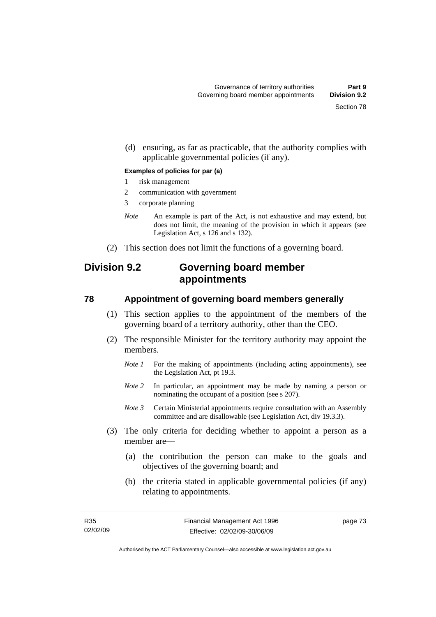(d) ensuring, as far as practicable, that the authority complies with applicable governmental policies (if any).

#### **Examples of policies for par (a)**

- 1 risk management
- 2 communication with government
- 3 corporate planning
- *Note* An example is part of the Act, is not exhaustive and may extend, but does not limit, the meaning of the provision in which it appears (see Legislation Act, s 126 and s 132).
- (2) This section does not limit the functions of a governing board.

# **Division 9.2 Governing board member appointments**

#### **78 Appointment of governing board members generally**

- (1) This section applies to the appointment of the members of the governing board of a territory authority, other than the CEO.
- (2) The responsible Minister for the territory authority may appoint the members.
	- *Note 1* For the making of appointments (including acting appointments), see the Legislation Act, pt 19.3.
	- *Note 2* In particular, an appointment may be made by naming a person or nominating the occupant of a position (see s 207).
	- *Note 3* Certain Ministerial appointments require consultation with an Assembly committee and are disallowable (see Legislation Act, div 19.3.3).
- (3) The only criteria for deciding whether to appoint a person as a member are—
	- (a) the contribution the person can make to the goals and objectives of the governing board; and
	- (b) the criteria stated in applicable governmental policies (if any) relating to appointments.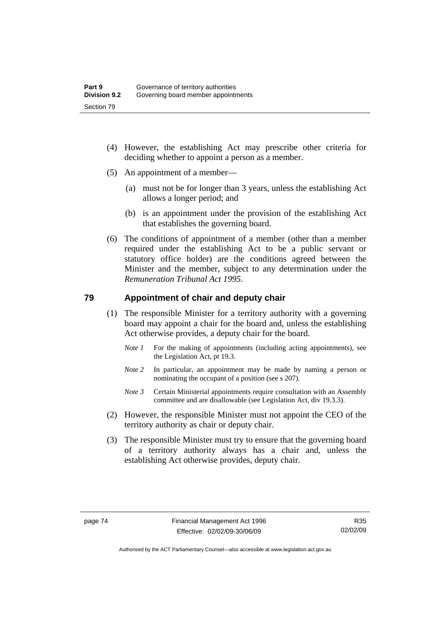- (4) However, the establishing Act may prescribe other criteria for deciding whether to appoint a person as a member.
- (5) An appointment of a member—
	- (a) must not be for longer than 3 years, unless the establishing Act allows a longer period; and
	- (b) is an appointment under the provision of the establishing Act that establishes the governing board.
- (6) The conditions of appointment of a member (other than a member required under the establishing Act to be a public servant or statutory office holder) are the conditions agreed between the Minister and the member, subject to any determination under the *Remuneration Tribunal Act 1995*.

# **79 Appointment of chair and deputy chair**

- (1) The responsible Minister for a territory authority with a governing board may appoint a chair for the board and, unless the establishing Act otherwise provides, a deputy chair for the board.
	- *Note 1* For the making of appointments (including acting appointments), see the Legislation Act, pt 19.3.
	- *Note 2* In particular, an appointment may be made by naming a person or nominating the occupant of a position (see s 207).
	- *Note 3* Certain Ministerial appointments require consultation with an Assembly committee and are disallowable (see Legislation Act, div 19.3.3).
- (2) However, the responsible Minister must not appoint the CEO of the territory authority as chair or deputy chair.
- (3) The responsible Minister must try to ensure that the governing board of a territory authority always has a chair and, unless the establishing Act otherwise provides, deputy chair.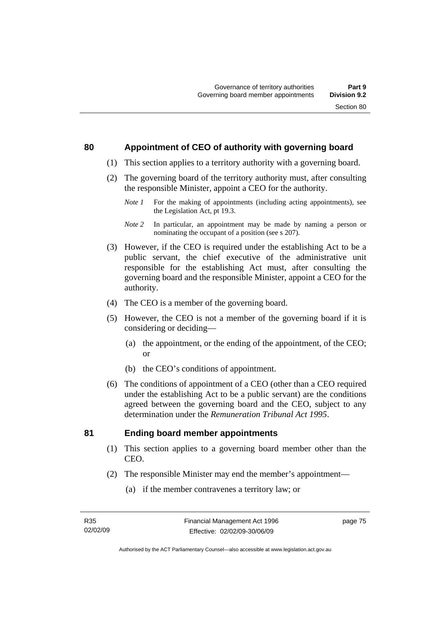#### **80 Appointment of CEO of authority with governing board**

- (1) This section applies to a territory authority with a governing board.
- (2) The governing board of the territory authority must, after consulting the responsible Minister, appoint a CEO for the authority.
	- *Note 1* For the making of appointments (including acting appointments), see the Legislation Act, pt 19.3.
	- *Note 2* In particular, an appointment may be made by naming a person or nominating the occupant of a position (see s 207).
- (3) However, if the CEO is required under the establishing Act to be a public servant, the chief executive of the administrative unit responsible for the establishing Act must, after consulting the governing board and the responsible Minister, appoint a CEO for the authority.
- (4) The CEO is a member of the governing board.
- (5) However, the CEO is not a member of the governing board if it is considering or deciding—
	- (a) the appointment, or the ending of the appointment, of the CEO; or
	- (b) the CEO's conditions of appointment.
- (6) The conditions of appointment of a CEO (other than a CEO required under the establishing Act to be a public servant) are the conditions agreed between the governing board and the CEO, subject to any determination under the *Remuneration Tribunal Act 1995*.

#### **81 Ending board member appointments**

- (1) This section applies to a governing board member other than the CEO.
- (2) The responsible Minister may end the member's appointment—
	- (a) if the member contravenes a territory law; or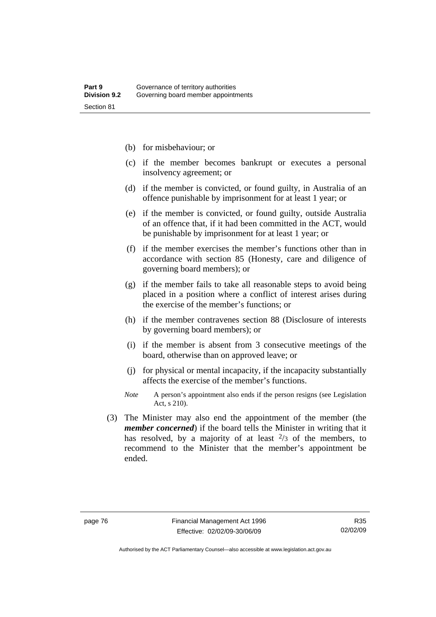- (b) for misbehaviour; or
- (c) if the member becomes bankrupt or executes a personal insolvency agreement; or
- (d) if the member is convicted, or found guilty, in Australia of an offence punishable by imprisonment for at least 1 year; or
- (e) if the member is convicted, or found guilty, outside Australia of an offence that, if it had been committed in the ACT, would be punishable by imprisonment for at least 1 year; or
- (f) if the member exercises the member's functions other than in accordance with section 85 (Honesty, care and diligence of governing board members); or
- (g) if the member fails to take all reasonable steps to avoid being placed in a position where a conflict of interest arises during the exercise of the member's functions; or
- (h) if the member contravenes section 88 (Disclosure of interests by governing board members); or
- (i) if the member is absent from 3 consecutive meetings of the board, otherwise than on approved leave; or
- (j) for physical or mental incapacity, if the incapacity substantially affects the exercise of the member's functions.
- *Note* A person's appointment also ends if the person resigns (see Legislation Act, s 210).
- (3) The Minister may also end the appointment of the member (the *member concerned*) if the board tells the Minister in writing that it has resolved, by a majority of at least  $\frac{2}{3}$  of the members, to recommend to the Minister that the member's appointment be ended.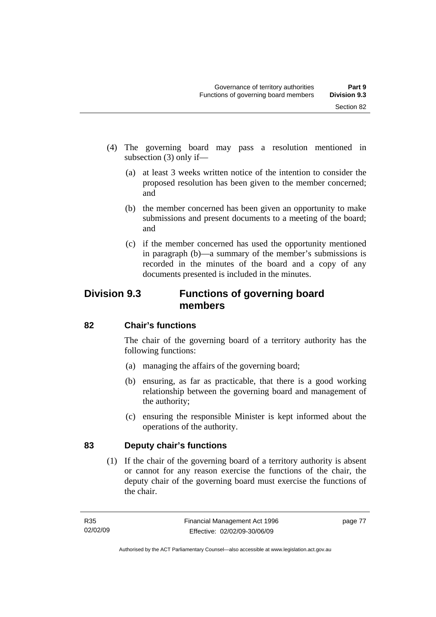- (4) The governing board may pass a resolution mentioned in subsection (3) only if—
	- (a) at least 3 weeks written notice of the intention to consider the proposed resolution has been given to the member concerned; and
	- (b) the member concerned has been given an opportunity to make submissions and present documents to a meeting of the board; and
	- (c) if the member concerned has used the opportunity mentioned in paragraph (b)—a summary of the member's submissions is recorded in the minutes of the board and a copy of any documents presented is included in the minutes.

# **Division 9.3 Functions of governing board members**

# **82 Chair's functions**

The chair of the governing board of a territory authority has the following functions:

- (a) managing the affairs of the governing board;
- (b) ensuring, as far as practicable, that there is a good working relationship between the governing board and management of the authority;
- (c) ensuring the responsible Minister is kept informed about the operations of the authority.

# **83 Deputy chair's functions**

 (1) If the chair of the governing board of a territory authority is absent or cannot for any reason exercise the functions of the chair, the deputy chair of the governing board must exercise the functions of the chair.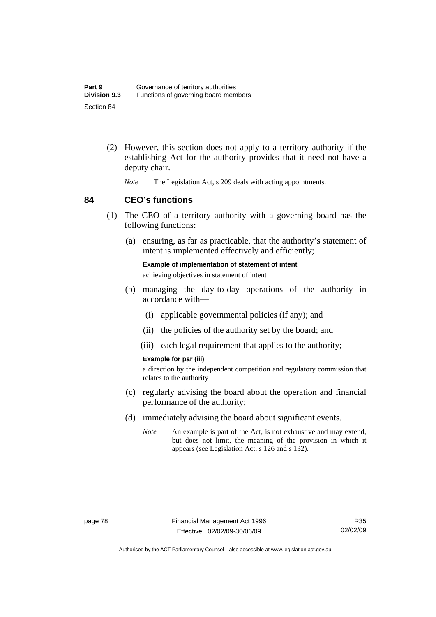- (2) However, this section does not apply to a territory authority if the establishing Act for the authority provides that it need not have a deputy chair.
	- *Note* The Legislation Act, s 209 deals with acting appointments.

#### **84 CEO's functions**

- (1) The CEO of a territory authority with a governing board has the following functions:
	- (a) ensuring, as far as practicable, that the authority's statement of intent is implemented effectively and efficiently;

**Example of implementation of statement of intent**  achieving objectives in statement of intent

- (b) managing the day-to-day operations of the authority in accordance with—
	- (i) applicable governmental policies (if any); and
	- (ii) the policies of the authority set by the board; and
	- (iii) each legal requirement that applies to the authority;

#### **Example for par (iii)**

a direction by the independent competition and regulatory commission that relates to the authority

- (c) regularly advising the board about the operation and financial performance of the authority;
- (d) immediately advising the board about significant events.
	- *Note* An example is part of the Act, is not exhaustive and may extend, but does not limit, the meaning of the provision in which it appears (see Legislation Act, s 126 and s 132).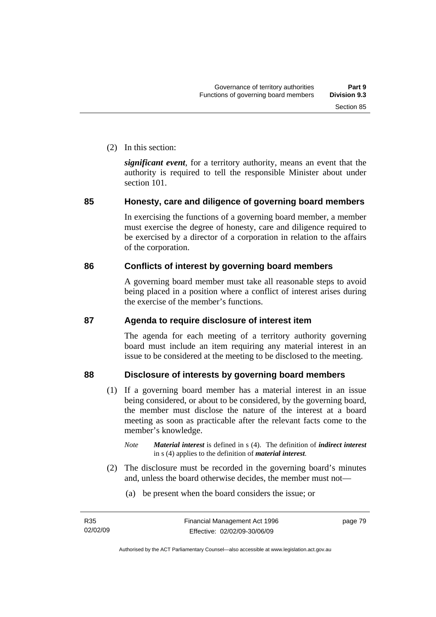(2) In this section:

*significant event*, for a territory authority, means an event that the authority is required to tell the responsible Minister about under section 101.

# **85 Honesty, care and diligence of governing board members**

In exercising the functions of a governing board member, a member must exercise the degree of honesty, care and diligence required to be exercised by a director of a corporation in relation to the affairs of the corporation.

# **86 Conflicts of interest by governing board members**

A governing board member must take all reasonable steps to avoid being placed in a position where a conflict of interest arises during the exercise of the member's functions.

# **87 Agenda to require disclosure of interest item**

The agenda for each meeting of a territory authority governing board must include an item requiring any material interest in an issue to be considered at the meeting to be disclosed to the meeting.

# **88 Disclosure of interests by governing board members**

- (1) If a governing board member has a material interest in an issue being considered, or about to be considered, by the governing board, the member must disclose the nature of the interest at a board meeting as soon as practicable after the relevant facts come to the member's knowledge.
	- *Note Material interest* is defined in s (4). The definition of *indirect interest* in s (4) applies to the definition of *material interest*.
- (2) The disclosure must be recorded in the governing board's minutes and, unless the board otherwise decides, the member must not—
	- (a) be present when the board considers the issue; or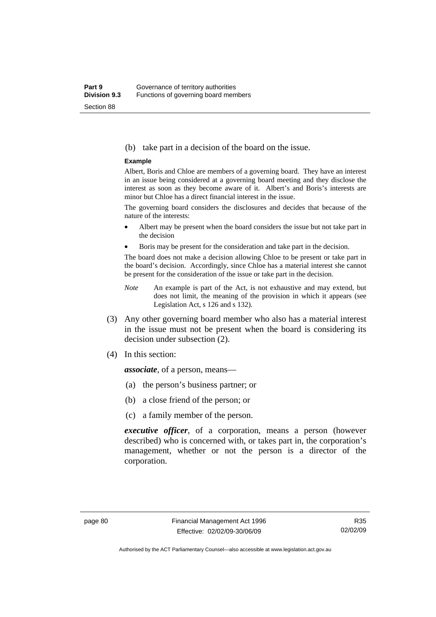#### (b) take part in a decision of the board on the issue.

#### **Example**

Albert, Boris and Chloe are members of a governing board. They have an interest in an issue being considered at a governing board meeting and they disclose the interest as soon as they become aware of it. Albert's and Boris's interests are minor but Chloe has a direct financial interest in the issue.

The governing board considers the disclosures and decides that because of the nature of the interests:

- Albert may be present when the board considers the issue but not take part in the decision
- Boris may be present for the consideration and take part in the decision.

The board does not make a decision allowing Chloe to be present or take part in the board's decision. Accordingly, since Chloe has a material interest she cannot be present for the consideration of the issue or take part in the decision.

- *Note* An example is part of the Act, is not exhaustive and may extend, but does not limit, the meaning of the provision in which it appears (see Legislation Act, s 126 and s 132).
- (3) Any other governing board member who also has a material interest in the issue must not be present when the board is considering its decision under subsection (2).
- (4) In this section:

*associate*, of a person, means—

- (a) the person's business partner; or
- (b) a close friend of the person; or
- (c) a family member of the person.

*executive officer*, of a corporation, means a person (however described) who is concerned with, or takes part in, the corporation's management, whether or not the person is a director of the corporation.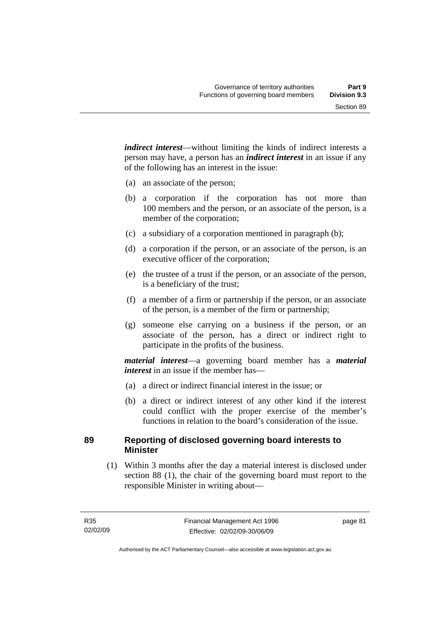*indirect interest*—without limiting the kinds of indirect interests a person may have, a person has an *indirect interest* in an issue if any of the following has an interest in the issue:

- (a) an associate of the person;
- (b) a corporation if the corporation has not more than 100 members and the person, or an associate of the person, is a member of the corporation;
- (c) a subsidiary of a corporation mentioned in paragraph (b);
- (d) a corporation if the person, or an associate of the person, is an executive officer of the corporation;
- (e) the trustee of a trust if the person, or an associate of the person, is a beneficiary of the trust;
- (f) a member of a firm or partnership if the person, or an associate of the person, is a member of the firm or partnership;
- (g) someone else carrying on a business if the person, or an associate of the person, has a direct or indirect right to participate in the profits of the business.

*material interest*—a governing board member has a *material interest* in an issue if the member has—

- (a) a direct or indirect financial interest in the issue; or
- (b) a direct or indirect interest of any other kind if the interest could conflict with the proper exercise of the member's functions in relation to the board's consideration of the issue.

#### **89 Reporting of disclosed governing board interests to Minister**

 (1) Within 3 months after the day a material interest is disclosed under section 88 (1), the chair of the governing board must report to the responsible Minister in writing about—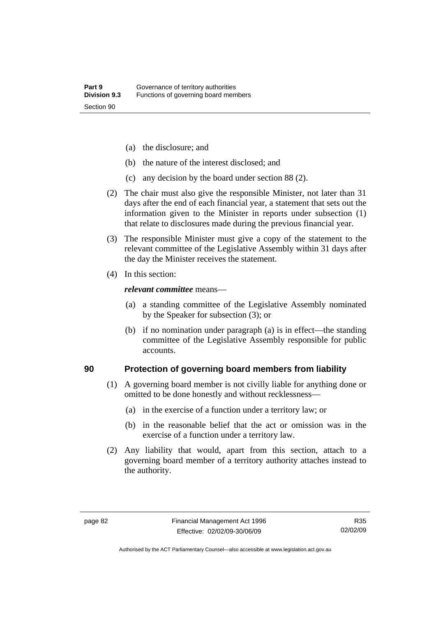- (a) the disclosure; and
- (b) the nature of the interest disclosed; and
- (c) any decision by the board under section 88 (2).
- (2) The chair must also give the responsible Minister, not later than 31 days after the end of each financial year, a statement that sets out the information given to the Minister in reports under subsection (1) that relate to disclosures made during the previous financial year.
- (3) The responsible Minister must give a copy of the statement to the relevant committee of the Legislative Assembly within 31 days after the day the Minister receives the statement.
- (4) In this section:

#### *relevant committee* means—

- (a) a standing committee of the Legislative Assembly nominated by the Speaker for subsection (3); or
- (b) if no nomination under paragraph (a) is in effect—the standing committee of the Legislative Assembly responsible for public accounts.

#### **90 Protection of governing board members from liability**

- (1) A governing board member is not civilly liable for anything done or omitted to be done honestly and without recklessness—
	- (a) in the exercise of a function under a territory law; or
	- (b) in the reasonable belief that the act or omission was in the exercise of a function under a territory law.
- (2) Any liability that would, apart from this section, attach to a governing board member of a territory authority attaches instead to the authority.

Authorised by the ACT Parliamentary Counsel—also accessible at www.legislation.act.gov.au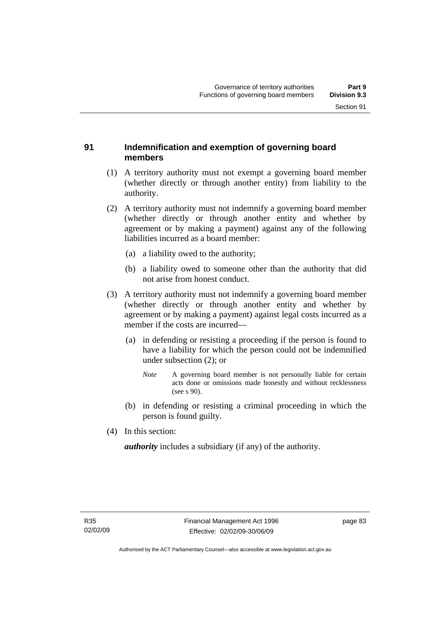#### **91 Indemnification and exemption of governing board members**

- (1) A territory authority must not exempt a governing board member (whether directly or through another entity) from liability to the authority.
- (2) A territory authority must not indemnify a governing board member (whether directly or through another entity and whether by agreement or by making a payment) against any of the following liabilities incurred as a board member:
	- (a) a liability owed to the authority;
	- (b) a liability owed to someone other than the authority that did not arise from honest conduct.
- (3) A territory authority must not indemnify a governing board member (whether directly or through another entity and whether by agreement or by making a payment) against legal costs incurred as a member if the costs are incurred—
	- (a) in defending or resisting a proceeding if the person is found to have a liability for which the person could not be indemnified under subsection (2); or
		- *Note* A governing board member is not personally liable for certain acts done or omissions made honestly and without recklessness (see s 90).
	- (b) in defending or resisting a criminal proceeding in which the person is found guilty.
- (4) In this section:

*authority* includes a subsidiary (if any) of the authority.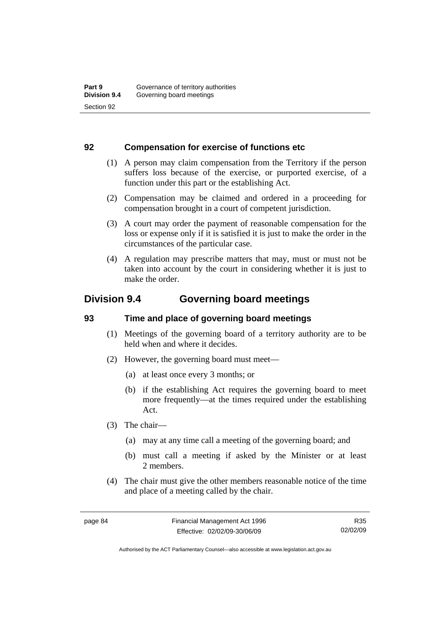#### **92 Compensation for exercise of functions etc**

- (1) A person may claim compensation from the Territory if the person suffers loss because of the exercise, or purported exercise, of a function under this part or the establishing Act.
- (2) Compensation may be claimed and ordered in a proceeding for compensation brought in a court of competent jurisdiction.
- (3) A court may order the payment of reasonable compensation for the loss or expense only if it is satisfied it is just to make the order in the circumstances of the particular case.
- (4) A regulation may prescribe matters that may, must or must not be taken into account by the court in considering whether it is just to make the order.

# **Division 9.4 Governing board meetings**

# **93 Time and place of governing board meetings**

- (1) Meetings of the governing board of a territory authority are to be held when and where it decides.
- (2) However, the governing board must meet—
	- (a) at least once every 3 months; or
	- (b) if the establishing Act requires the governing board to meet more frequently—at the times required under the establishing Act.
- (3) The chair—
	- (a) may at any time call a meeting of the governing board; and
	- (b) must call a meeting if asked by the Minister or at least 2 members.
- (4) The chair must give the other members reasonable notice of the time and place of a meeting called by the chair.

R35 02/02/09

Authorised by the ACT Parliamentary Counsel—also accessible at www.legislation.act.gov.au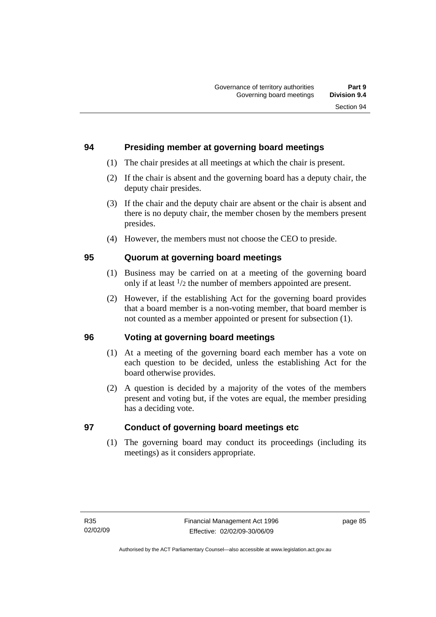#### **94 Presiding member at governing board meetings**

- (1) The chair presides at all meetings at which the chair is present.
- (2) If the chair is absent and the governing board has a deputy chair, the deputy chair presides.
- (3) If the chair and the deputy chair are absent or the chair is absent and there is no deputy chair, the member chosen by the members present presides.
- (4) However, the members must not choose the CEO to preside.

# **95 Quorum at governing board meetings**

- (1) Business may be carried on at a meeting of the governing board only if at least 1/2 the number of members appointed are present.
- (2) However, if the establishing Act for the governing board provides that a board member is a non-voting member, that board member is not counted as a member appointed or present for subsection (1).

# **96 Voting at governing board meetings**

- (1) At a meeting of the governing board each member has a vote on each question to be decided, unless the establishing Act for the board otherwise provides.
- (2) A question is decided by a majority of the votes of the members present and voting but, if the votes are equal, the member presiding has a deciding vote.

# **97 Conduct of governing board meetings etc**

 (1) The governing board may conduct its proceedings (including its meetings) as it considers appropriate.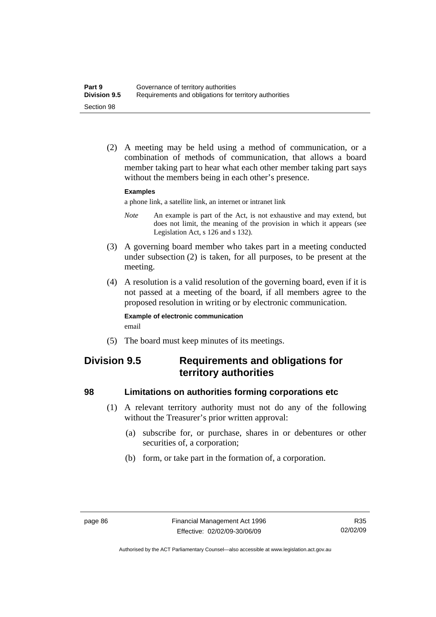(2) A meeting may be held using a method of communication, or a combination of methods of communication, that allows a board member taking part to hear what each other member taking part says without the members being in each other's presence.

#### **Examples**

a phone link, a satellite link, an internet or intranet link

- *Note* An example is part of the Act, is not exhaustive and may extend, but does not limit, the meaning of the provision in which it appears (see Legislation Act, s 126 and s 132).
- (3) A governing board member who takes part in a meeting conducted under subsection (2) is taken, for all purposes, to be present at the meeting.
- (4) A resolution is a valid resolution of the governing board, even if it is not passed at a meeting of the board, if all members agree to the proposed resolution in writing or by electronic communication.

#### **Example of electronic communication**  email

(5) The board must keep minutes of its meetings.

# **Division 9.5 Requirements and obligations for territory authorities**

#### **98 Limitations on authorities forming corporations etc**

- (1) A relevant territory authority must not do any of the following without the Treasurer's prior written approval:
	- (a) subscribe for, or purchase, shares in or debentures or other securities of, a corporation;
	- (b) form, or take part in the formation of, a corporation.

Authorised by the ACT Parliamentary Counsel—also accessible at www.legislation.act.gov.au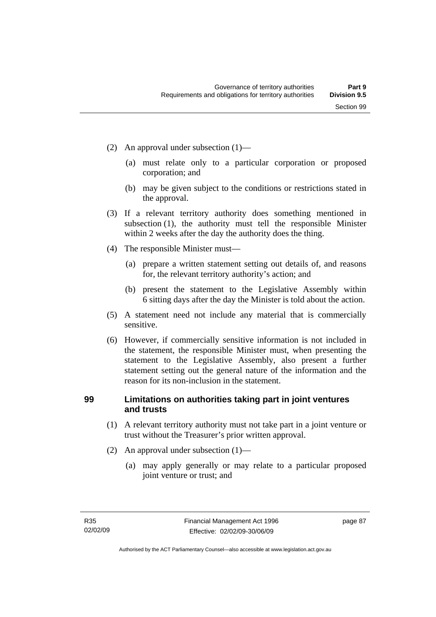- (2) An approval under subsection (1)—
	- (a) must relate only to a particular corporation or proposed corporation; and
	- (b) may be given subject to the conditions or restrictions stated in the approval.
- (3) If a relevant territory authority does something mentioned in subsection (1), the authority must tell the responsible Minister within 2 weeks after the day the authority does the thing.
- (4) The responsible Minister must—
	- (a) prepare a written statement setting out details of, and reasons for, the relevant territory authority's action; and
	- (b) present the statement to the Legislative Assembly within 6 sitting days after the day the Minister is told about the action.
- (5) A statement need not include any material that is commercially sensitive.
- (6) However, if commercially sensitive information is not included in the statement, the responsible Minister must, when presenting the statement to the Legislative Assembly, also present a further statement setting out the general nature of the information and the reason for its non-inclusion in the statement.

# **99 Limitations on authorities taking part in joint ventures and trusts**

- (1) A relevant territory authority must not take part in a joint venture or trust without the Treasurer's prior written approval.
- (2) An approval under subsection (1)—
	- (a) may apply generally or may relate to a particular proposed joint venture or trust; and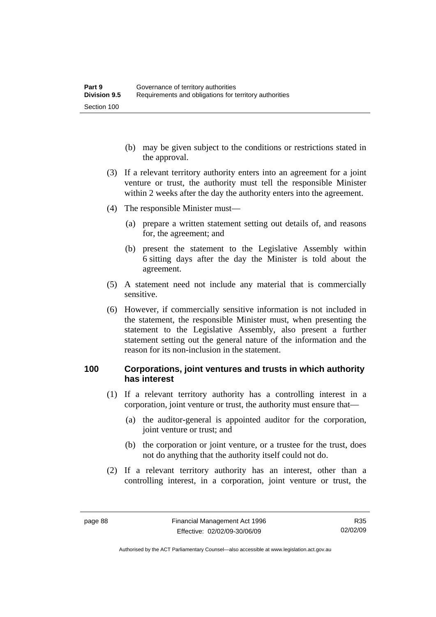- (b) may be given subject to the conditions or restrictions stated in the approval.
- (3) If a relevant territory authority enters into an agreement for a joint venture or trust, the authority must tell the responsible Minister within 2 weeks after the day the authority enters into the agreement.
- (4) The responsible Minister must—
	- (a) prepare a written statement setting out details of, and reasons for, the agreement; and
	- (b) present the statement to the Legislative Assembly within 6 sitting days after the day the Minister is told about the agreement.
- (5) A statement need not include any material that is commercially sensitive.
- (6) However, if commercially sensitive information is not included in the statement, the responsible Minister must, when presenting the statement to the Legislative Assembly, also present a further statement setting out the general nature of the information and the reason for its non-inclusion in the statement.

#### **100 Corporations, joint ventures and trusts in which authority has interest**

- (1) If a relevant territory authority has a controlling interest in a corporation, joint venture or trust, the authority must ensure that—
	- (a) the auditor-general is appointed auditor for the corporation, joint venture or trust; and
	- (b) the corporation or joint venture, or a trustee for the trust, does not do anything that the authority itself could not do.
- (2) If a relevant territory authority has an interest, other than a controlling interest, in a corporation, joint venture or trust, the

Authorised by the ACT Parliamentary Counsel—also accessible at www.legislation.act.gov.au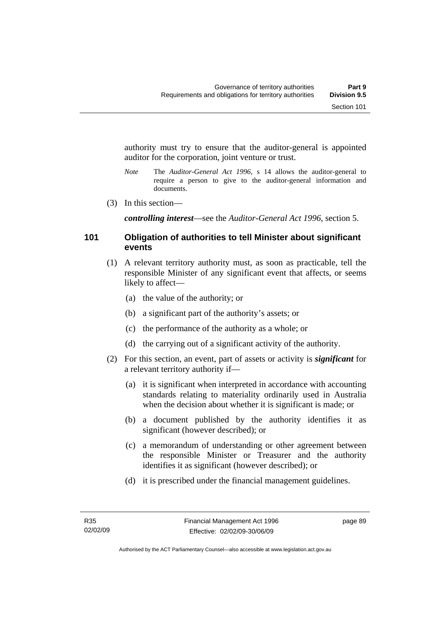authority must try to ensure that the auditor-general is appointed auditor for the corporation, joint venture or trust.

- *Note* The *Auditor-General Act 1996*, s 14 allows the auditor-general to require a person to give to the auditor-general information and documents.
- (3) In this section—

*controlling interest*—see the *Auditor-General Act 1996*, section 5.

#### **101 Obligation of authorities to tell Minister about significant events**

- (1) A relevant territory authority must, as soon as practicable, tell the responsible Minister of any significant event that affects, or seems likely to affect—
	- (a) the value of the authority; or
	- (b) a significant part of the authority's assets; or
	- (c) the performance of the authority as a whole; or
	- (d) the carrying out of a significant activity of the authority.
- (2) For this section, an event, part of assets or activity is *significant* for a relevant territory authority if—
	- (a) it is significant when interpreted in accordance with accounting standards relating to materiality ordinarily used in Australia when the decision about whether it is significant is made; or
	- (b) a document published by the authority identifies it as significant (however described); or
	- (c) a memorandum of understanding or other agreement between the responsible Minister or Treasurer and the authority identifies it as significant (however described); or
	- (d) it is prescribed under the financial management guidelines.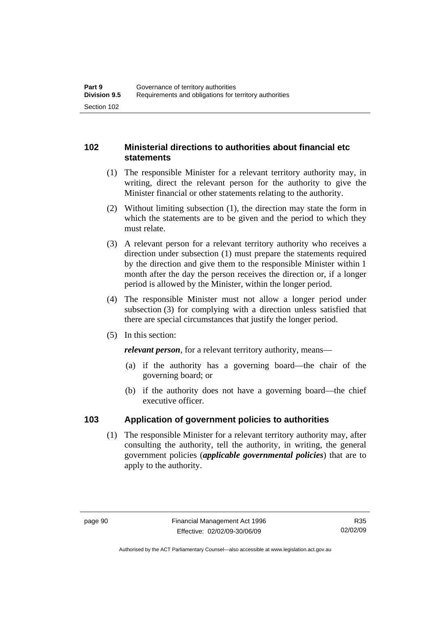# **102 Ministerial directions to authorities about financial etc statements**

- (1) The responsible Minister for a relevant territory authority may, in writing, direct the relevant person for the authority to give the Minister financial or other statements relating to the authority.
- (2) Without limiting subsection (1), the direction may state the form in which the statements are to be given and the period to which they must relate.
- (3) A relevant person for a relevant territory authority who receives a direction under subsection (1) must prepare the statements required by the direction and give them to the responsible Minister within 1 month after the day the person receives the direction or, if a longer period is allowed by the Minister, within the longer period.
- (4) The responsible Minister must not allow a longer period under subsection (3) for complying with a direction unless satisfied that there are special circumstances that justify the longer period.
- (5) In this section:

*relevant person*, for a relevant territory authority, means—

- (a) if the authority has a governing board—the chair of the governing board; or
- (b) if the authority does not have a governing board—the chief executive officer.

# **103 Application of government policies to authorities**

 (1) The responsible Minister for a relevant territory authority may, after consulting the authority, tell the authority, in writing, the general government policies (*applicable governmental policies*) that are to apply to the authority.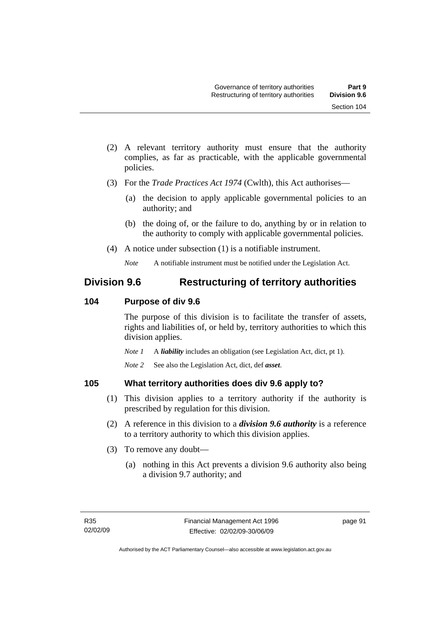- (2) A relevant territory authority must ensure that the authority complies, as far as practicable, with the applicable governmental policies.
- (3) For the *Trade Practices Act 1974* (Cwlth), this Act authorises—
	- (a) the decision to apply applicable governmental policies to an authority; and
	- (b) the doing of, or the failure to do, anything by or in relation to the authority to comply with applicable governmental policies.
- (4) A notice under subsection (1) is a notifiable instrument.

# **Division 9.6 Restructuring of territory authorities**

# **104 Purpose of div 9.6**

The purpose of this division is to facilitate the transfer of assets, rights and liabilities of, or held by, territory authorities to which this division applies.

*Note 1* A *liability* includes an obligation (see Legislation Act, dict, pt 1).

*Note 2* See also the Legislation Act, dict, def *asset*.

# **105 What territory authorities does div 9.6 apply to?**

- (1) This division applies to a territory authority if the authority is prescribed by regulation for this division.
- (2) A reference in this division to a *division 9.6 authority* is a reference to a territory authority to which this division applies.
- (3) To remove any doubt—
	- (a) nothing in this Act prevents a division 9.6 authority also being a division 9.7 authority; and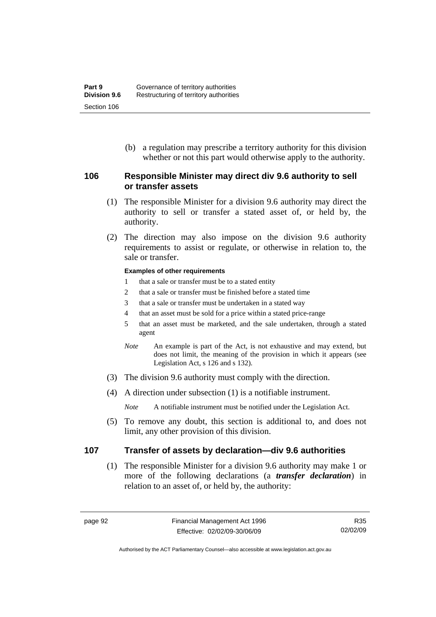(b) a regulation may prescribe a territory authority for this division whether or not this part would otherwise apply to the authority.

#### **106 Responsible Minister may direct div 9.6 authority to sell or transfer assets**

- (1) The responsible Minister for a division 9.6 authority may direct the authority to sell or transfer a stated asset of, or held by, the authority.
- (2) The direction may also impose on the division 9.6 authority requirements to assist or regulate, or otherwise in relation to, the sale or transfer.

#### **Examples of other requirements**

- 1 that a sale or transfer must be to a stated entity
- 2 that a sale or transfer must be finished before a stated time
- 3 that a sale or transfer must be undertaken in a stated way
- 4 that an asset must be sold for a price within a stated price-range
- 5 that an asset must be marketed, and the sale undertaken, through a stated agent
- *Note* An example is part of the Act, is not exhaustive and may extend, but does not limit, the meaning of the provision in which it appears (see Legislation Act, s 126 and s 132).
- (3) The division 9.6 authority must comply with the direction.
- (4) A direction under subsection (1) is a notifiable instrument.

*Note* A notifiable instrument must be notified under the Legislation Act.

 (5) To remove any doubt, this section is additional to, and does not limit, any other provision of this division.

#### **107 Transfer of assets by declaration—div 9.6 authorities**

 (1) The responsible Minister for a division 9.6 authority may make 1 or more of the following declarations (a *transfer declaration*) in relation to an asset of, or held by, the authority: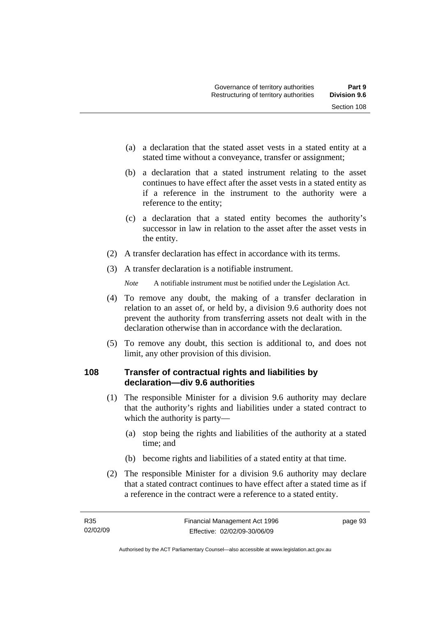- (a) a declaration that the stated asset vests in a stated entity at a stated time without a conveyance, transfer or assignment;
- (b) a declaration that a stated instrument relating to the asset continues to have effect after the asset vests in a stated entity as if a reference in the instrument to the authority were a reference to the entity;
- (c) a declaration that a stated entity becomes the authority's successor in law in relation to the asset after the asset vests in the entity.
- (2) A transfer declaration has effect in accordance with its terms.
- (3) A transfer declaration is a notifiable instrument.

- (4) To remove any doubt, the making of a transfer declaration in relation to an asset of, or held by, a division 9.6 authority does not prevent the authority from transferring assets not dealt with in the declaration otherwise than in accordance with the declaration.
- (5) To remove any doubt, this section is additional to, and does not limit, any other provision of this division.

# **108 Transfer of contractual rights and liabilities by declaration—div 9.6 authorities**

- (1) The responsible Minister for a division 9.6 authority may declare that the authority's rights and liabilities under a stated contract to which the authority is party—
	- (a) stop being the rights and liabilities of the authority at a stated time; and
	- (b) become rights and liabilities of a stated entity at that time.
- (2) The responsible Minister for a division 9.6 authority may declare that a stated contract continues to have effect after a stated time as if a reference in the contract were a reference to a stated entity.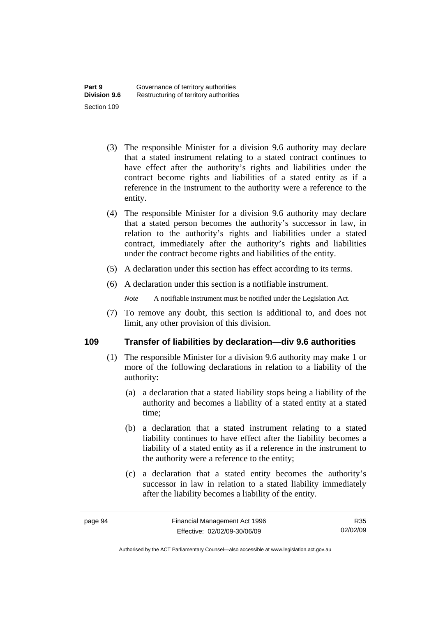- (3) The responsible Minister for a division 9.6 authority may declare that a stated instrument relating to a stated contract continues to have effect after the authority's rights and liabilities under the contract become rights and liabilities of a stated entity as if a reference in the instrument to the authority were a reference to the entity.
- (4) The responsible Minister for a division 9.6 authority may declare that a stated person becomes the authority's successor in law, in relation to the authority's rights and liabilities under a stated contract, immediately after the authority's rights and liabilities under the contract become rights and liabilities of the entity.
- (5) A declaration under this section has effect according to its terms.
- (6) A declaration under this section is a notifiable instrument.

 (7) To remove any doubt, this section is additional to, and does not limit, any other provision of this division.

# **109 Transfer of liabilities by declaration—div 9.6 authorities**

- (1) The responsible Minister for a division 9.6 authority may make 1 or more of the following declarations in relation to a liability of the authority:
	- (a) a declaration that a stated liability stops being a liability of the authority and becomes a liability of a stated entity at a stated time;
	- (b) a declaration that a stated instrument relating to a stated liability continues to have effect after the liability becomes a liability of a stated entity as if a reference in the instrument to the authority were a reference to the entity;
	- (c) a declaration that a stated entity becomes the authority's successor in law in relation to a stated liability immediately after the liability becomes a liability of the entity.

Authorised by the ACT Parliamentary Counsel—also accessible at www.legislation.act.gov.au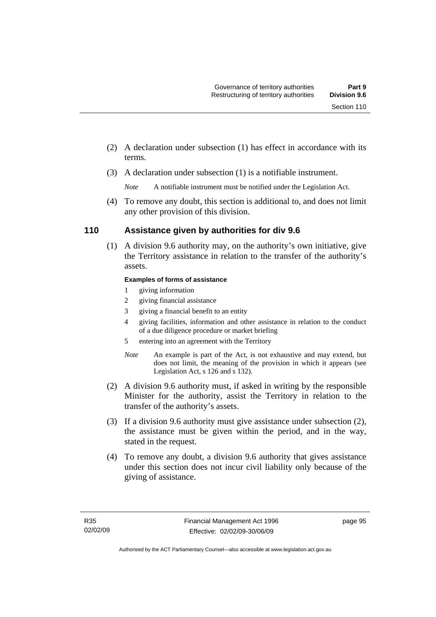- (2) A declaration under subsection (1) has effect in accordance with its terms.
- (3) A declaration under subsection (1) is a notifiable instrument.

 (4) To remove any doubt, this section is additional to, and does not limit any other provision of this division.

#### **110 Assistance given by authorities for div 9.6**

 (1) A division 9.6 authority may, on the authority's own initiative, give the Territory assistance in relation to the transfer of the authority's assets.

#### **Examples of forms of assistance**

- 1 giving information
- 2 giving financial assistance
- 3 giving a financial benefit to an entity
- 4 giving facilities, information and other assistance in relation to the conduct of a due diligence procedure or market briefing
- 5 entering into an agreement with the Territory
- *Note* An example is part of the Act, is not exhaustive and may extend, but does not limit, the meaning of the provision in which it appears (see Legislation Act, s 126 and s 132).
- (2) A division 9.6 authority must, if asked in writing by the responsible Minister for the authority, assist the Territory in relation to the transfer of the authority's assets.
- (3) If a division 9.6 authority must give assistance under subsection (2), the assistance must be given within the period, and in the way, stated in the request.
- (4) To remove any doubt, a division 9.6 authority that gives assistance under this section does not incur civil liability only because of the giving of assistance.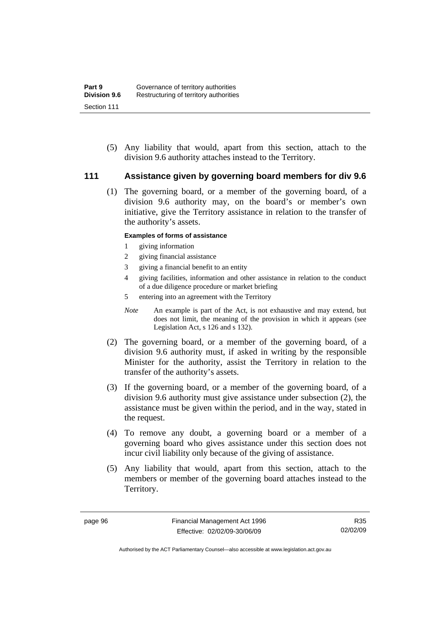(5) Any liability that would, apart from this section, attach to the division 9.6 authority attaches instead to the Territory.

#### **111 Assistance given by governing board members for div 9.6**

 (1) The governing board, or a member of the governing board, of a division 9.6 authority may, on the board's or member's own initiative, give the Territory assistance in relation to the transfer of the authority's assets.

#### **Examples of forms of assistance**

- 1 giving information
- 2 giving financial assistance
- 3 giving a financial benefit to an entity
- 4 giving facilities, information and other assistance in relation to the conduct of a due diligence procedure or market briefing
- 5 entering into an agreement with the Territory
- *Note* An example is part of the Act, is not exhaustive and may extend, but does not limit, the meaning of the provision in which it appears (see Legislation Act, s 126 and s 132).
- (2) The governing board, or a member of the governing board, of a division 9.6 authority must, if asked in writing by the responsible Minister for the authority, assist the Territory in relation to the transfer of the authority's assets.
- (3) If the governing board, or a member of the governing board, of a division 9.6 authority must give assistance under subsection (2), the assistance must be given within the period, and in the way, stated in the request.
- (4) To remove any doubt, a governing board or a member of a governing board who gives assistance under this section does not incur civil liability only because of the giving of assistance.
- (5) Any liability that would, apart from this section, attach to the members or member of the governing board attaches instead to the Territory.

Authorised by the ACT Parliamentary Counsel—also accessible at www.legislation.act.gov.au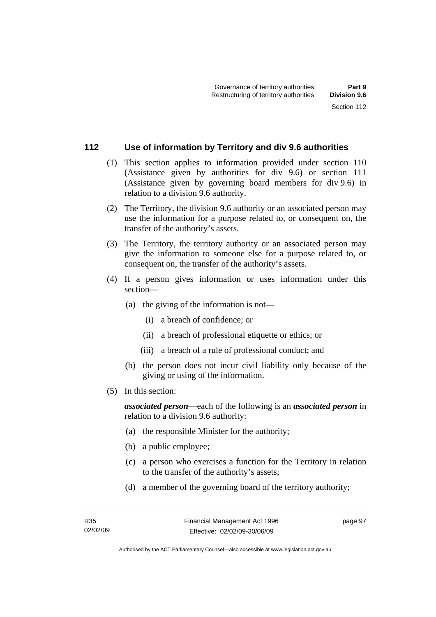#### **112 Use of information by Territory and div 9.6 authorities**

- (1) This section applies to information provided under section 110 (Assistance given by authorities for div 9.6) or section 111 (Assistance given by governing board members for div 9.6) in relation to a division 9.6 authority.
- (2) The Territory, the division 9.6 authority or an associated person may use the information for a purpose related to, or consequent on, the transfer of the authority's assets.
- (3) The Territory, the territory authority or an associated person may give the information to someone else for a purpose related to, or consequent on, the transfer of the authority's assets.
- (4) If a person gives information or uses information under this section—
	- (a) the giving of the information is not—
		- (i) a breach of confidence; or
		- (ii) a breach of professional etiquette or ethics; or
		- (iii) a breach of a rule of professional conduct; and
	- (b) the person does not incur civil liability only because of the giving or using of the information.
- (5) In this section:

*associated person*—each of the following is an *associated person* in relation to a division 9.6 authority:

- (a) the responsible Minister for the authority;
- (b) a public employee;
- (c) a person who exercises a function for the Territory in relation to the transfer of the authority's assets;
- (d) a member of the governing board of the territory authority;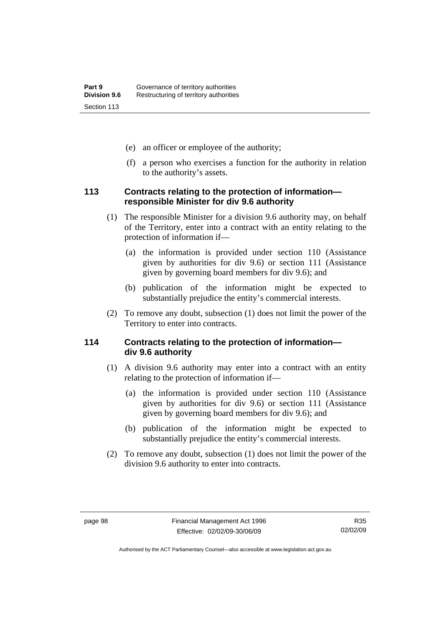- (e) an officer or employee of the authority;
- (f) a person who exercises a function for the authority in relation to the authority's assets.

#### **113 Contracts relating to the protection of information responsible Minister for div 9.6 authority**

- (1) The responsible Minister for a division 9.6 authority may, on behalf of the Territory, enter into a contract with an entity relating to the protection of information if—
	- (a) the information is provided under section 110 (Assistance given by authorities for div 9.6) or section 111 (Assistance given by governing board members for div 9.6); and
	- (b) publication of the information might be expected to substantially prejudice the entity's commercial interests.
- (2) To remove any doubt, subsection (1) does not limit the power of the Territory to enter into contracts.

# **114 Contracts relating to the protection of information div 9.6 authority**

- (1) A division 9.6 authority may enter into a contract with an entity relating to the protection of information if—
	- (a) the information is provided under section 110 (Assistance given by authorities for div 9.6) or section 111 (Assistance given by governing board members for div 9.6); and
	- (b) publication of the information might be expected to substantially prejudice the entity's commercial interests.
- (2) To remove any doubt, subsection (1) does not limit the power of the division 9.6 authority to enter into contracts.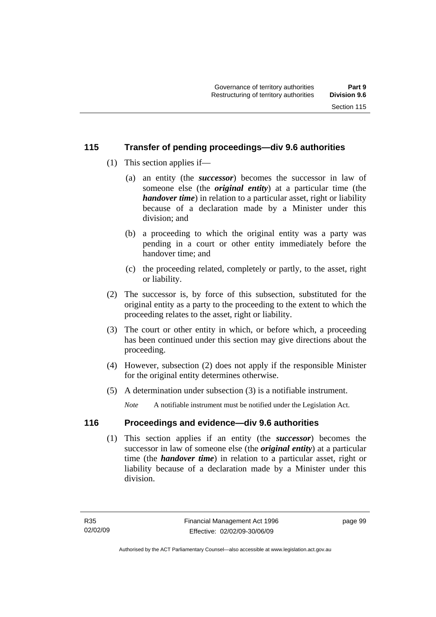# **115 Transfer of pending proceedings—div 9.6 authorities**

- (1) This section applies if—
	- (a) an entity (the *successor*) becomes the successor in law of someone else (the *original entity*) at a particular time (the *handover time*) in relation to a particular asset, right or liability because of a declaration made by a Minister under this division; and
	- (b) a proceeding to which the original entity was a party was pending in a court or other entity immediately before the handover time; and
	- (c) the proceeding related, completely or partly, to the asset, right or liability.
- (2) The successor is, by force of this subsection, substituted for the original entity as a party to the proceeding to the extent to which the proceeding relates to the asset, right or liability.
- (3) The court or other entity in which, or before which, a proceeding has been continued under this section may give directions about the proceeding.
- (4) However, subsection (2) does not apply if the responsible Minister for the original entity determines otherwise.
- (5) A determination under subsection (3) is a notifiable instrument.

*Note* A notifiable instrument must be notified under the Legislation Act.

# **116 Proceedings and evidence—div 9.6 authorities**

 (1) This section applies if an entity (the *successor*) becomes the successor in law of someone else (the *original entity*) at a particular time (the *handover time*) in relation to a particular asset, right or liability because of a declaration made by a Minister under this division.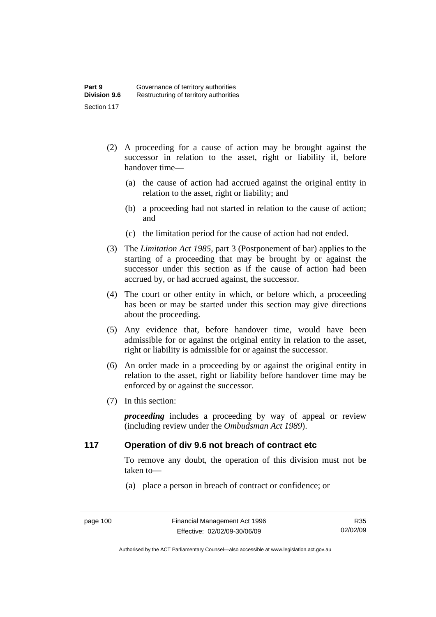- (2) A proceeding for a cause of action may be brought against the successor in relation to the asset, right or liability if, before handover time—
	- (a) the cause of action had accrued against the original entity in relation to the asset, right or liability; and
	- (b) a proceeding had not started in relation to the cause of action; and
	- (c) the limitation period for the cause of action had not ended.
- (3) The *Limitation Act 1985,* part 3 (Postponement of bar) applies to the starting of a proceeding that may be brought by or against the successor under this section as if the cause of action had been accrued by, or had accrued against, the successor.
- (4) The court or other entity in which, or before which, a proceeding has been or may be started under this section may give directions about the proceeding.
- (5) Any evidence that, before handover time, would have been admissible for or against the original entity in relation to the asset, right or liability is admissible for or against the successor.
- (6) An order made in a proceeding by or against the original entity in relation to the asset, right or liability before handover time may be enforced by or against the successor.
- (7) In this section:

*proceeding* includes a proceeding by way of appeal or review (including review under the *Ombudsman Act 1989*).

# **117 Operation of div 9.6 not breach of contract etc**

To remove any doubt, the operation of this division must not be taken to—

(a) place a person in breach of contract or confidence; or

R35 02/02/09

Authorised by the ACT Parliamentary Counsel—also accessible at www.legislation.act.gov.au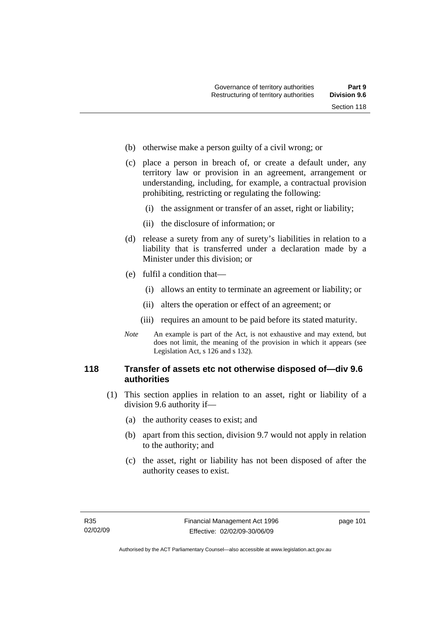- (b) otherwise make a person guilty of a civil wrong; or
- (c) place a person in breach of, or create a default under, any territory law or provision in an agreement, arrangement or understanding, including, for example, a contractual provision prohibiting, restricting or regulating the following:
	- (i) the assignment or transfer of an asset, right or liability;
	- (ii) the disclosure of information; or
- (d) release a surety from any of surety's liabilities in relation to a liability that is transferred under a declaration made by a Minister under this division; or
- (e) fulfil a condition that—
	- (i) allows an entity to terminate an agreement or liability; or
	- (ii) alters the operation or effect of an agreement; or
	- (iii) requires an amount to be paid before its stated maturity.
- *Note* An example is part of the Act, is not exhaustive and may extend, but does not limit, the meaning of the provision in which it appears (see Legislation Act, s 126 and s 132).

# **118 Transfer of assets etc not otherwise disposed of—div 9.6 authorities**

- (1) This section applies in relation to an asset, right or liability of a division 9.6 authority if—
	- (a) the authority ceases to exist; and
	- (b) apart from this section, division 9.7 would not apply in relation to the authority; and
	- (c) the asset, right or liability has not been disposed of after the authority ceases to exist.

page 101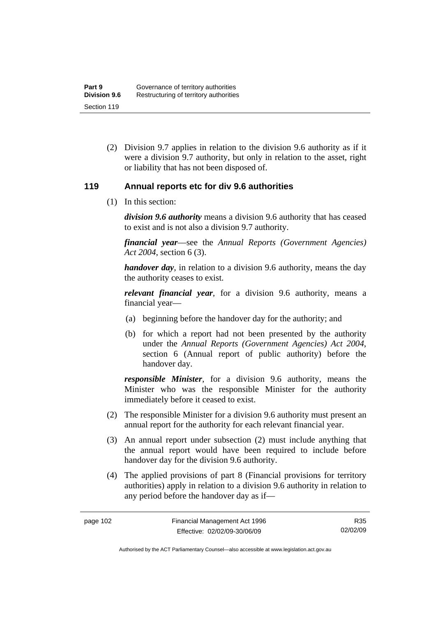(2) Division 9.7 applies in relation to the division 9.6 authority as if it were a division 9.7 authority, but only in relation to the asset, right or liability that has not been disposed of.

# **119 Annual reports etc for div 9.6 authorities**

(1) In this section:

*division 9.6 authority* means a division 9.6 authority that has ceased to exist and is not also a division 9.7 authority.

*financial year*––see the *Annual Reports (Government Agencies) Act 2004*, section 6 (3).

*handover day*, in relation to a division 9.6 authority, means the day the authority ceases to exist.

*relevant financial year*, for a division 9.6 authority, means a financial year—

- (a) beginning before the handover day for the authority; and
- (b) for which a report had not been presented by the authority under the *Annual Reports (Government Agencies) Act 2004*, section 6 (Annual report of public authority) before the handover day.

*responsible Minister*, for a division 9.6 authority, means the Minister who was the responsible Minister for the authority immediately before it ceased to exist.

- (2) The responsible Minister for a division 9.6 authority must present an annual report for the authority for each relevant financial year.
- (3) An annual report under subsection (2) must include anything that the annual report would have been required to include before handover day for the division 9.6 authority.
- (4) The applied provisions of part 8 (Financial provisions for territory authorities) apply in relation to a division 9.6 authority in relation to any period before the handover day as if—

R35 02/02/09

Authorised by the ACT Parliamentary Counsel—also accessible at www.legislation.act.gov.au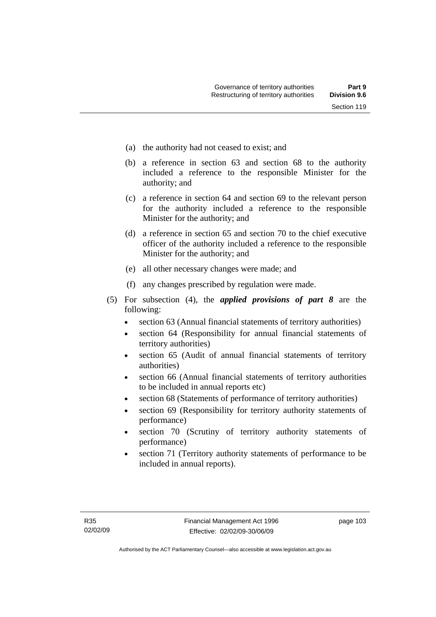- (a) the authority had not ceased to exist; and
- (b) a reference in section 63 and section 68 to the authority included a reference to the responsible Minister for the authority; and
- (c) a reference in section 64 and section 69 to the relevant person for the authority included a reference to the responsible Minister for the authority; and
- (d) a reference in section 65 and section 70 to the chief executive officer of the authority included a reference to the responsible Minister for the authority; and
- (e) all other necessary changes were made; and
- (f) any changes prescribed by regulation were made.
- (5) For subsection (4), the *applied provisions of part 8* are the following:
	- section 63 (Annual financial statements of territory authorities)
	- section 64 (Responsibility for annual financial statements of territory authorities)
	- section 65 (Audit of annual financial statements of territory authorities)
	- section 66 (Annual financial statements of territory authorities to be included in annual reports etc)
	- section 68 (Statements of performance of territory authorities)
	- section 69 (Responsibility for territory authority statements of performance)
	- section 70 (Scrutiny of territory authority statements of performance)
	- section 71 (Territory authority statements of performance to be included in annual reports).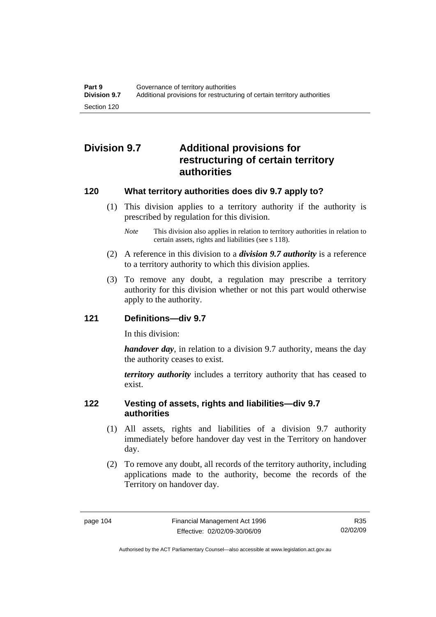# **Division 9.7 Additional provisions for restructuring of certain territory authorities**

# **120 What territory authorities does div 9.7 apply to?**

- (1) This division applies to a territory authority if the authority is prescribed by regulation for this division.
	- *Note* This division also applies in relation to territory authorities in relation to certain assets, rights and liabilities (see s 118).
- (2) A reference in this division to a *division 9.7 authority* is a reference to a territory authority to which this division applies.
- (3) To remove any doubt, a regulation may prescribe a territory authority for this division whether or not this part would otherwise apply to the authority.

# **121 Definitions—div 9.7**

In this division:

*handover day*, in relation to a division 9.7 authority, means the day the authority ceases to exist.

*territory authority* includes a territory authority that has ceased to exist.

# **122 Vesting of assets, rights and liabilities—div 9.7 authorities**

- (1) All assets, rights and liabilities of a division 9.7 authority immediately before handover day vest in the Territory on handover day.
- (2) To remove any doubt, all records of the territory authority, including applications made to the authority, become the records of the Territory on handover day.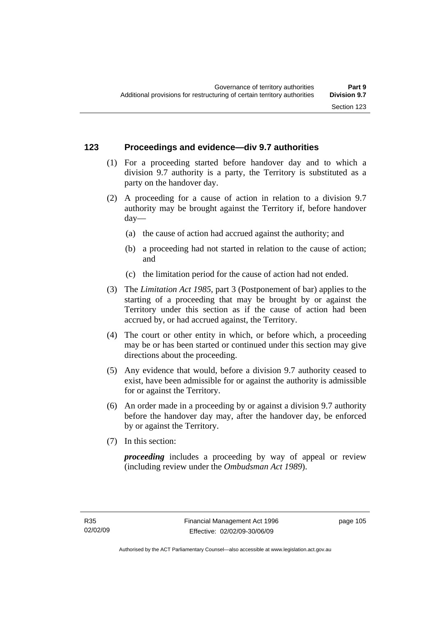# **123 Proceedings and evidence—div 9.7 authorities**

- (1) For a proceeding started before handover day and to which a division 9.7 authority is a party, the Territory is substituted as a party on the handover day.
- (2) A proceeding for a cause of action in relation to a division 9.7 authority may be brought against the Territory if, before handover day—
	- (a) the cause of action had accrued against the authority; and
	- (b) a proceeding had not started in relation to the cause of action; and
	- (c) the limitation period for the cause of action had not ended.
- (3) The *Limitation Act 1985,* part 3 (Postponement of bar) applies to the starting of a proceeding that may be brought by or against the Territory under this section as if the cause of action had been accrued by, or had accrued against, the Territory.
- (4) The court or other entity in which, or before which, a proceeding may be or has been started or continued under this section may give directions about the proceeding.
- (5) Any evidence that would, before a division 9.7 authority ceased to exist, have been admissible for or against the authority is admissible for or against the Territory.
- (6) An order made in a proceeding by or against a division 9.7 authority before the handover day may, after the handover day, be enforced by or against the Territory.
- (7) In this section:

*proceeding* includes a proceeding by way of appeal or review (including review under the *Ombudsman Act 1989*).

page 105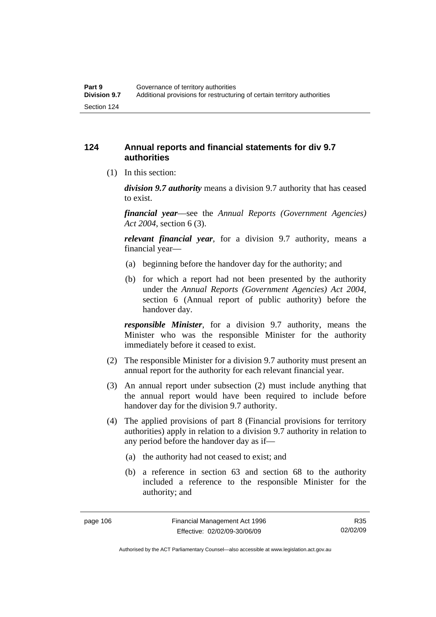# **124 Annual reports and financial statements for div 9.7 authorities**

(1) In this section:

*division 9.7 authority* means a division 9.7 authority that has ceased to exist.

*financial year*––see the *Annual Reports (Government Agencies) Act 2004*, section 6 (3).

*relevant financial year*, for a division 9.7 authority, means a financial year—

- (a) beginning before the handover day for the authority; and
- (b) for which a report had not been presented by the authority under the *Annual Reports (Government Agencies) Act 2004*, section 6 (Annual report of public authority) before the handover day.

*responsible Minister*, for a division 9.7 authority, means the Minister who was the responsible Minister for the authority immediately before it ceased to exist.

- (2) The responsible Minister for a division 9.7 authority must present an annual report for the authority for each relevant financial year.
- (3) An annual report under subsection (2) must include anything that the annual report would have been required to include before handover day for the division 9.7 authority.
- (4) The applied provisions of part 8 (Financial provisions for territory authorities) apply in relation to a division 9.7 authority in relation to any period before the handover day as if—
	- (a) the authority had not ceased to exist; and
	- (b) a reference in section 63 and section 68 to the authority included a reference to the responsible Minister for the authority; and

R35 02/02/09

Authorised by the ACT Parliamentary Counsel—also accessible at www.legislation.act.gov.au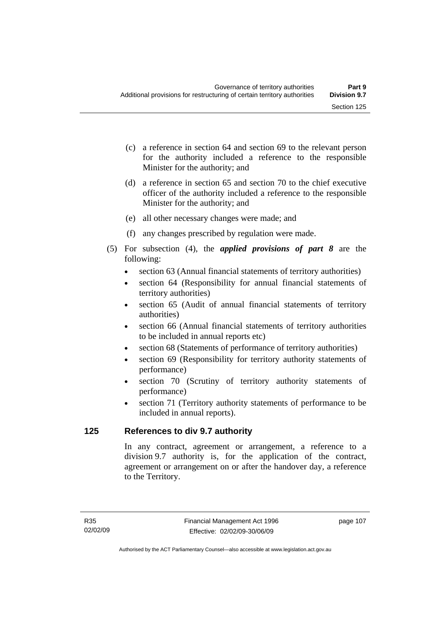- (c) a reference in section 64 and section 69 to the relevant person for the authority included a reference to the responsible Minister for the authority; and
- (d) a reference in section 65 and section 70 to the chief executive officer of the authority included a reference to the responsible Minister for the authority; and
- (e) all other necessary changes were made; and
- (f) any changes prescribed by regulation were made.
- (5) For subsection (4), the *applied provisions of part 8* are the following:
	- section 63 (Annual financial statements of territory authorities)
	- section 64 (Responsibility for annual financial statements of territory authorities)
	- section 65 (Audit of annual financial statements of territory authorities)
	- section 66 (Annual financial statements of territory authorities to be included in annual reports etc)
	- section 68 (Statements of performance of territory authorities)
	- section 69 (Responsibility for territory authority statements of performance)
	- section 70 (Scrutiny of territory authority statements of performance)
	- section 71 (Territory authority statements of performance to be included in annual reports).

# **125 References to div 9.7 authority**

In any contract, agreement or arrangement, a reference to a division 9.7 authority is, for the application of the contract, agreement or arrangement on or after the handover day, a reference to the Territory.

page 107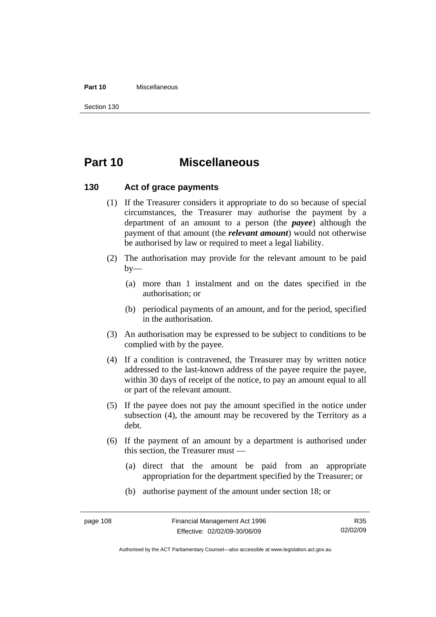#### **Part 10** Miscellaneous

Section 130

# **Part 10 Miscellaneous**

## **130 Act of grace payments**

- (1) If the Treasurer considers it appropriate to do so because of special circumstances, the Treasurer may authorise the payment by a department of an amount to a person (the *payee*) although the payment of that amount (the *relevant amount*) would not otherwise be authorised by law or required to meet a legal liability.
- (2) The authorisation may provide for the relevant amount to be paid  $by-$ 
	- (a) more than 1 instalment and on the dates specified in the authorisation; or
	- (b) periodical payments of an amount, and for the period, specified in the authorisation.
- (3) An authorisation may be expressed to be subject to conditions to be complied with by the payee.
- (4) If a condition is contravened, the Treasurer may by written notice addressed to the last-known address of the payee require the payee, within 30 days of receipt of the notice, to pay an amount equal to all or part of the relevant amount.
- (5) If the payee does not pay the amount specified in the notice under subsection (4), the amount may be recovered by the Territory as a debt.
- (6) If the payment of an amount by a department is authorised under this section, the Treasurer must —
	- (a) direct that the amount be paid from an appropriate appropriation for the department specified by the Treasurer; or
	- (b) authorise payment of the amount under section 18; or

R35 02/02/09

Authorised by the ACT Parliamentary Counsel—also accessible at www.legislation.act.gov.au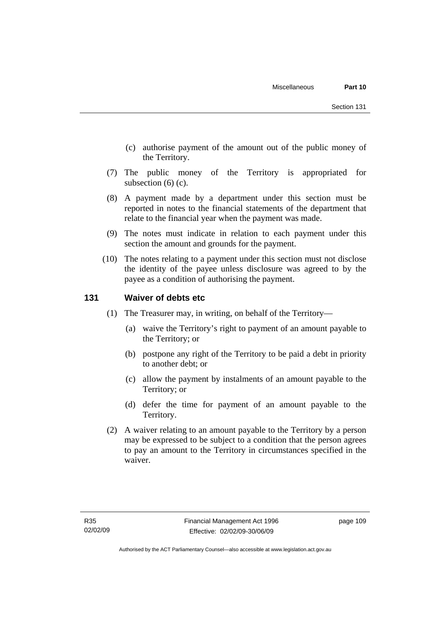- (c) authorise payment of the amount out of the public money of the Territory.
- (7) The public money of the Territory is appropriated for subsection (6) (c).
- (8) A payment made by a department under this section must be reported in notes to the financial statements of the department that relate to the financial year when the payment was made.
- (9) The notes must indicate in relation to each payment under this section the amount and grounds for the payment.
- (10) The notes relating to a payment under this section must not disclose the identity of the payee unless disclosure was agreed to by the payee as a condition of authorising the payment.

# **131 Waiver of debts etc**

- (1) The Treasurer may, in writing, on behalf of the Territory—
	- (a) waive the Territory's right to payment of an amount payable to the Territory; or
	- (b) postpone any right of the Territory to be paid a debt in priority to another debt; or
	- (c) allow the payment by instalments of an amount payable to the Territory; or
	- (d) defer the time for payment of an amount payable to the Territory.
- (2) A waiver relating to an amount payable to the Territory by a person may be expressed to be subject to a condition that the person agrees to pay an amount to the Territory in circumstances specified in the waiver.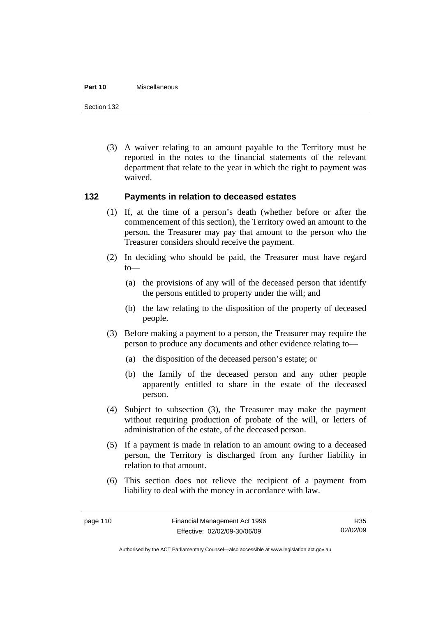#### **Part 10** Miscellaneous

Section 132

 (3) A waiver relating to an amount payable to the Territory must be reported in the notes to the financial statements of the relevant department that relate to the year in which the right to payment was waived.

# **132 Payments in relation to deceased estates**

- (1) If, at the time of a person's death (whether before or after the commencement of this section), the Territory owed an amount to the person, the Treasurer may pay that amount to the person who the Treasurer considers should receive the payment.
- (2) In deciding who should be paid, the Treasurer must have regard to—
	- (a) the provisions of any will of the deceased person that identify the persons entitled to property under the will; and
	- (b) the law relating to the disposition of the property of deceased people.
- (3) Before making a payment to a person, the Treasurer may require the person to produce any documents and other evidence relating to—
	- (a) the disposition of the deceased person's estate; or
	- (b) the family of the deceased person and any other people apparently entitled to share in the estate of the deceased person.
- (4) Subject to subsection (3), the Treasurer may make the payment without requiring production of probate of the will, or letters of administration of the estate, of the deceased person.
- (5) If a payment is made in relation to an amount owing to a deceased person, the Territory is discharged from any further liability in relation to that amount.
- (6) This section does not relieve the recipient of a payment from liability to deal with the money in accordance with law.

R35 02/02/09

Authorised by the ACT Parliamentary Counsel—also accessible at www.legislation.act.gov.au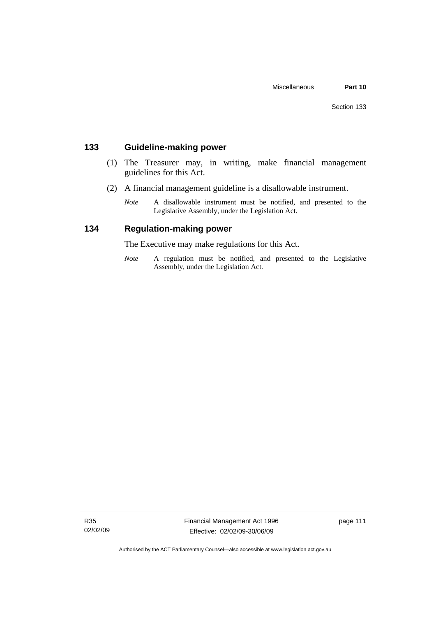# **133 Guideline-making power**

- (1) The Treasurer may, in writing, make financial management guidelines for this Act.
- (2) A financial management guideline is a disallowable instrument.
	- *Note* A disallowable instrument must be notified, and presented to the Legislative Assembly, under the Legislation Act.

# **134 Regulation-making power**

The Executive may make regulations for this Act.

*Note* A regulation must be notified, and presented to the Legislative Assembly, under the Legislation Act.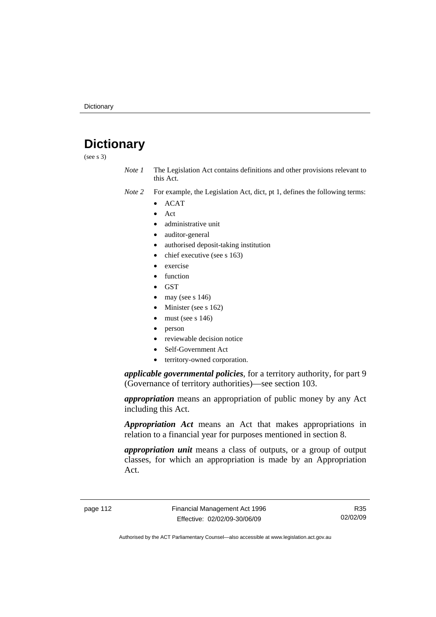# **Dictionary**

(see s 3)

*Note 1* The Legislation Act contains definitions and other provisions relevant to this Act.

- *Note 2* For example, the Legislation Act, dict, pt 1, defines the following terms:
	- ACAT
		- Act
		- administrative unit
	- auditor-general
	- authorised deposit-taking institution
	- chief executive (see s 163)
	- exercise
	- function
	- GST
	- may (see s  $146$ )
	- Minister (see s 162)
	- must (see s  $146$ )
	- person
	- reviewable decision notice
	- Self-Government Act
	- territory-owned corporation.

*applicable governmental policies*, for a territory authority, for part 9 (Governance of territory authorities)—see section 103.

*appropriation* means an appropriation of public money by any Act including this Act.

*Appropriation Act* means an Act that makes appropriations in relation to a financial year for purposes mentioned in section 8.

*appropriation unit* means a class of outputs, or a group of output classes, for which an appropriation is made by an Appropriation Act.

R35 02/02/09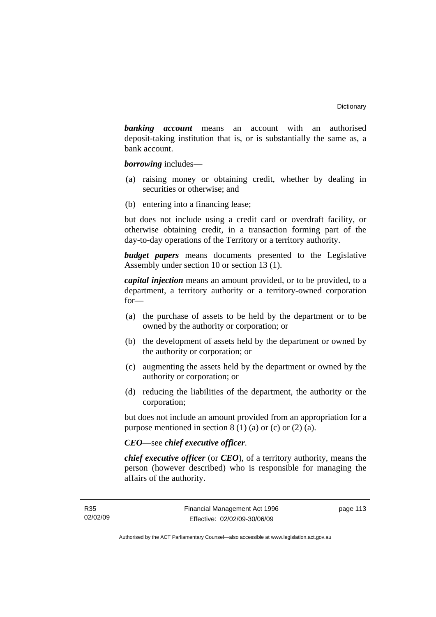*banking account* means an account with an authorised deposit-taking institution that is, or is substantially the same as, a bank account.

*borrowing* includes—

- (a) raising money or obtaining credit, whether by dealing in securities or otherwise; and
- (b) entering into a financing lease;

but does not include using a credit card or overdraft facility, or otherwise obtaining credit, in a transaction forming part of the day-to-day operations of the Territory or a territory authority.

*budget papers* means documents presented to the Legislative Assembly under section 10 or section 13 (1).

*capital injection* means an amount provided, or to be provided, to a department, a territory authority or a territory-owned corporation for—

- (a) the purchase of assets to be held by the department or to be owned by the authority or corporation; or
- (b) the development of assets held by the department or owned by the authority or corporation; or
- (c) augmenting the assets held by the department or owned by the authority or corporation; or
- (d) reducing the liabilities of the department, the authority or the corporation;

but does not include an amount provided from an appropriation for a purpose mentioned in section  $8(1)(a)$  or (c) or  $(2)(a)$ .

# *CEO*—see *chief executive officer*.

*chief executive officer* (or *CEO*), of a territory authority, means the person (however described) who is responsible for managing the affairs of the authority.

page 113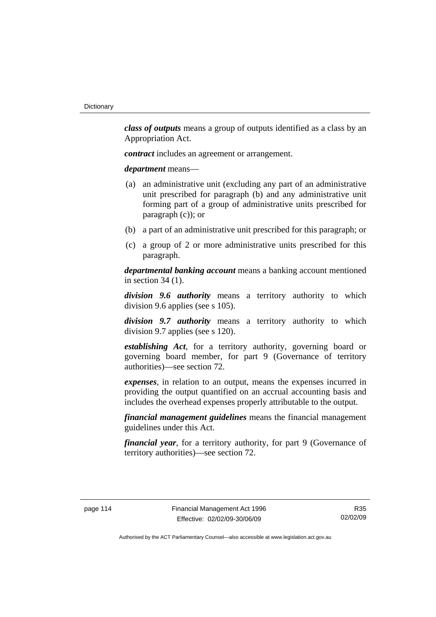*class of outputs* means a group of outputs identified as a class by an Appropriation Act.

*contract* includes an agreement or arrangement.

*department* means—

- (a) an administrative unit (excluding any part of an administrative unit prescribed for paragraph (b) and any administrative unit forming part of a group of administrative units prescribed for paragraph (c)); or
- (b) a part of an administrative unit prescribed for this paragraph; or
- (c) a group of 2 or more administrative units prescribed for this paragraph.

*departmental banking account* means a banking account mentioned in section 34 (1).

*division 9.6 authority* means a territory authority to which division 9.6 applies (see s 105).

*division 9.7 authority* means a territory authority to which division 9.7 applies (see s 120).

*establishing Act*, for a territory authority, governing board or governing board member, for part 9 (Governance of territory authorities)—see section 72.

*expenses*, in relation to an output, means the expenses incurred in providing the output quantified on an accrual accounting basis and includes the overhead expenses properly attributable to the output.

*financial management guidelines* means the financial management guidelines under this Act.

*financial year*, for a territory authority, for part 9 (Governance of territory authorities)—see section 72.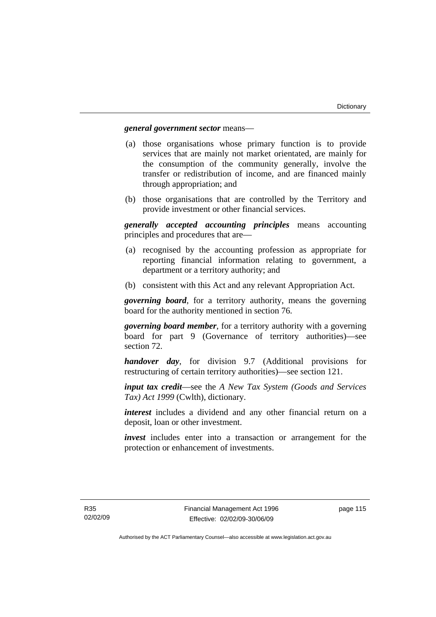# *general government sector* means—

- (a) those organisations whose primary function is to provide services that are mainly not market orientated, are mainly for the consumption of the community generally, involve the transfer or redistribution of income, and are financed mainly through appropriation; and
- (b) those organisations that are controlled by the Territory and provide investment or other financial services.

*generally accepted accounting principles* means accounting principles and procedures that are—

- (a) recognised by the accounting profession as appropriate for reporting financial information relating to government, a department or a territory authority; and
- (b) consistent with this Act and any relevant Appropriation Act.

*governing board*, for a territory authority, means the governing board for the authority mentioned in section 76.

*governing board member*, for a territory authority with a governing board for part 9 (Governance of territory authorities)—see section 72.

*handover day*, for division 9.7 (Additional provisions for restructuring of certain territory authorities)—see section 121.

*input tax credit*—see the *A New Tax System (Goods and Services Tax) Act 1999* (Cwlth), dictionary.

*interest* includes a dividend and any other financial return on a deposit, loan or other investment.

*invest* includes enter into a transaction or arrangement for the protection or enhancement of investments.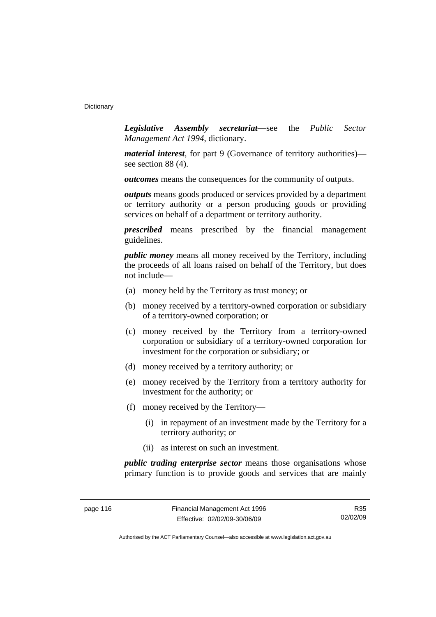*Legislative Assembly secretariat***—**see the *Public Sector Management Act 1994*, dictionary.

*material interest*, for part 9 (Governance of territory authorities) see section 88 (4).

*outcomes* means the consequences for the community of outputs.

*outputs* means goods produced or services provided by a department or territory authority or a person producing goods or providing services on behalf of a department or territory authority.

*prescribed* means prescribed by the financial management guidelines.

*public money* means all money received by the Territory, including the proceeds of all loans raised on behalf of the Territory, but does not include—

- (a) money held by the Territory as trust money; or
- (b) money received by a territory-owned corporation or subsidiary of a territory-owned corporation; or
- (c) money received by the Territory from a territory-owned corporation or subsidiary of a territory-owned corporation for investment for the corporation or subsidiary; or
- (d) money received by a territory authority; or
- (e) money received by the Territory from a territory authority for investment for the authority; or
- (f) money received by the Territory—
	- (i) in repayment of an investment made by the Territory for a territory authority; or
	- (ii) as interest on such an investment.

*public trading enterprise sector* means those organisations whose primary function is to provide goods and services that are mainly

R35 02/02/09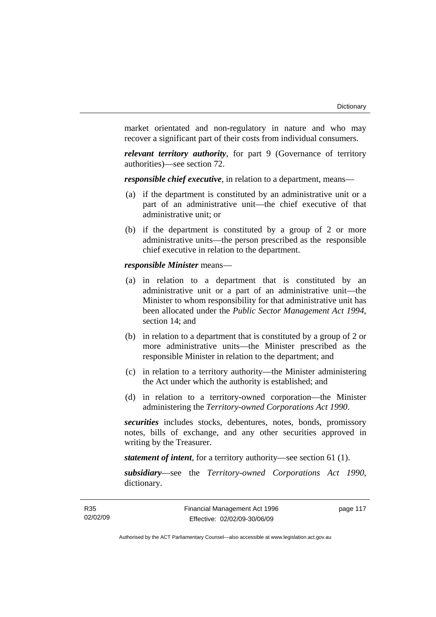market orientated and non-regulatory in nature and who may recover a significant part of their costs from individual consumers.

*relevant territory authority*, for part 9 (Governance of territory authorities)—see section 72.

*responsible chief executive*, in relation to a department, means—

- (a) if the department is constituted by an administrative unit or a part of an administrative unit—the chief executive of that administrative unit; or
- (b) if the department is constituted by a group of 2 or more administrative units—the person prescribed as the responsible chief executive in relation to the department.

*responsible Minister* means—

- (a) in relation to a department that is constituted by an administrative unit or a part of an administrative unit—the Minister to whom responsibility for that administrative unit has been allocated under the *Public Sector Management Act 1994*, section 14; and
- (b) in relation to a department that is constituted by a group of 2 or more administrative units—the Minister prescribed as the responsible Minister in relation to the department; and
- (c) in relation to a territory authority—the Minister administering the Act under which the authority is established; and
- (d) in relation to a territory-owned corporation—the Minister administering the *Territory-owned Corporations Act 1990*.

*securities* includes stocks, debentures, notes, bonds, promissory notes, bills of exchange, and any other securities approved in writing by the Treasurer.

*statement of intent*, for a territory authority—see section 61 (1).

*subsidiary*—see the *Territory-owned Corporations Act 1990*, dictionary.

page 117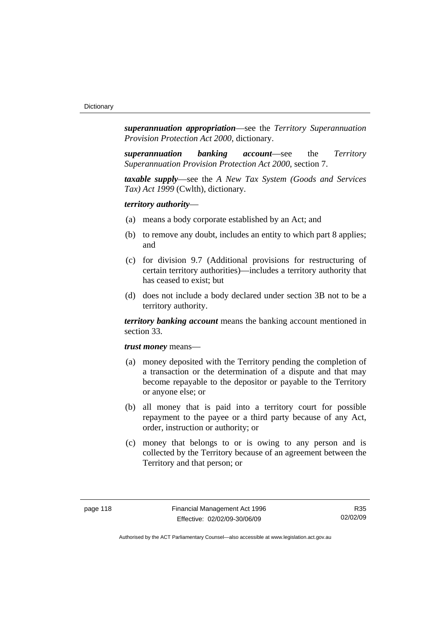*superannuation appropriation*—see the *Territory Superannuation Provision Protection Act 2000*, dictionary.

*superannuation banking account*—see the *Territory Superannuation Provision Protection Act 2000*, section 7.

*taxable supply*—see the *A New Tax System (Goods and Services Tax) Act 1999* (Cwlth), dictionary.

# *territory authority*—

- (a) means a body corporate established by an Act; and
- (b) to remove any doubt, includes an entity to which part 8 applies; and
- (c) for division 9.7 (Additional provisions for restructuring of certain territory authorities)—includes a territory authority that has ceased to exist; but
- (d) does not include a body declared under section 3B not to be a territory authority.

*territory banking account* means the banking account mentioned in section 33.

#### *trust money* means—

- (a) money deposited with the Territory pending the completion of a transaction or the determination of a dispute and that may become repayable to the depositor or payable to the Territory or anyone else; or
- (b) all money that is paid into a territory court for possible repayment to the payee or a third party because of any Act, order, instruction or authority; or
- (c) money that belongs to or is owing to any person and is collected by the Territory because of an agreement between the Territory and that person; or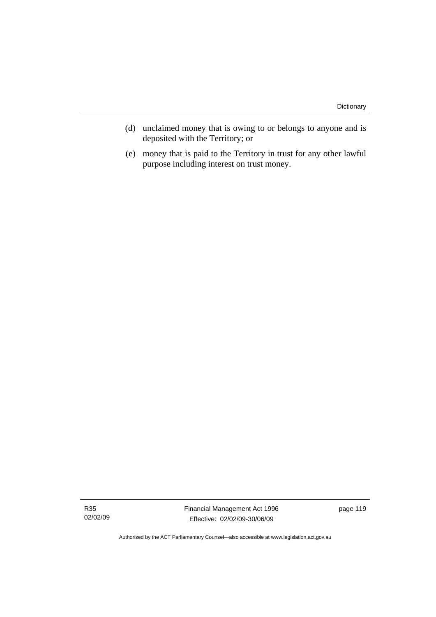- (d) unclaimed money that is owing to or belongs to anyone and is deposited with the Territory; or
- (e) money that is paid to the Territory in trust for any other lawful purpose including interest on trust money.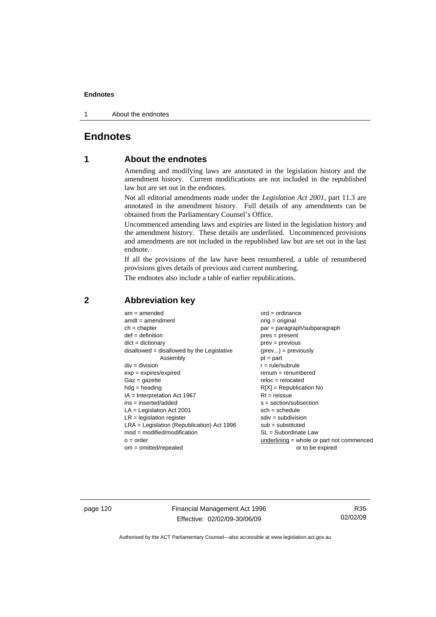1 About the endnotes

# **Endnotes**

# **1 About the endnotes**

Amending and modifying laws are annotated in the legislation history and the amendment history. Current modifications are not included in the republished law but are set out in the endnotes.

Not all editorial amendments made under the *Legislation Act 2001*, part 11.3 are annotated in the amendment history. Full details of any amendments can be obtained from the Parliamentary Counsel's Office.

Uncommenced amending laws and expiries are listed in the legislation history and the amendment history. These details are underlined. Uncommenced provisions and amendments are not included in the republished law but are set out in the last endnote.

If all the provisions of the law have been renumbered, a table of renumbered provisions gives details of previous and current numbering.

The endnotes also include a table of earlier republications.

| $am = amended$                               | $ord = ordinance$                         |
|----------------------------------------------|-------------------------------------------|
| $amdt = amendment$                           | orig = original                           |
| $ch = chapter$                               | par = paragraph/subparagraph              |
| $def = definition$                           | $pres = present$                          |
| $dict = dictionary$                          | $prev = previous$                         |
| $disallowed = disallowed by the Legislative$ | $(\text{prev}) = \text{previously}$       |
| Assembly                                     | $pt = part$                               |
| $div = division$                             | $r = rule/subrule$                        |
| $exp = expires/expired$                      | $renum = renumbered$                      |
| $Gaz = gazette$                              | $reloc = relocated$                       |
| $hdg =$ heading                              | $R[X]$ = Republication No                 |
| $IA = Interpretation Act 1967$               | $RI = reissue$                            |
| $ins = inserted/added$                       | $s = section/subsection$                  |
| $LA =$ Legislation Act 2001                  | $sch = schedule$                          |
| $LR =$ legislation register                  | $sdiv = subdivision$                      |
| $LRA =$ Legislation (Republication) Act 1996 | $sub = substituted$                       |
| $mod = modified/modification$                | SL = Subordinate Law                      |
| $o = order$                                  | underlining = whole or part not commenced |
| $om = omitted/repealed$                      | or to be expired                          |
|                                              |                                           |

# **2 Abbreviation key**

page 120 Financial Management Act 1996 Effective: 02/02/09-30/06/09

R35 02/02/09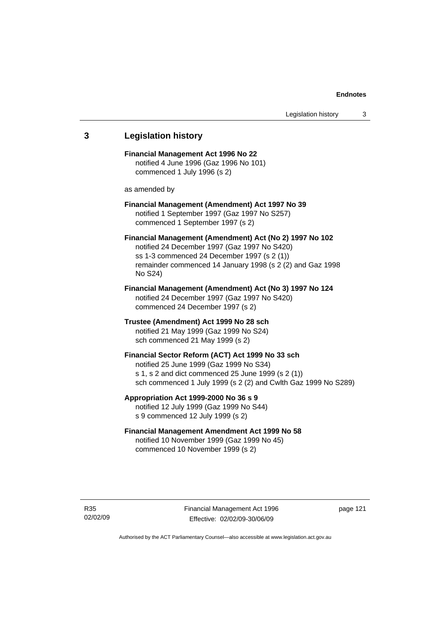# **3 Legislation history Financial Management Act 1996 No 22**  notified 4 June 1996 (Gaz 1996 No 101) commenced 1 July 1996 (s 2) as amended by **Financial Management (Amendment) Act 1997 No 39**  notified 1 September 1997 (Gaz 1997 No S257) commenced 1 September 1997 (s 2) **Financial Management (Amendment) Act (No 2) 1997 No 102**  notified 24 December 1997 (Gaz 1997 No S420) ss 1-3 commenced 24 December 1997 (s 2 (1)) remainder commenced 14 January 1998 (s 2 (2) and Gaz 1998 No S24) **Financial Management (Amendment) Act (No 3) 1997 No 124**  notified 24 December 1997 (Gaz 1997 No S420) commenced 24 December 1997 (s 2) **Trustee (Amendment) Act 1999 No 28 sch**  notified 21 May 1999 (Gaz 1999 No S24) sch commenced 21 May 1999 (s 2) **Financial Sector Reform (ACT) Act 1999 No 33 sch**  notified 25 June 1999 (Gaz 1999 No S34) s 1, s 2 and dict commenced 25 June 1999 (s 2 (1)) sch commenced 1 July 1999 (s 2 (2) and Cwlth Gaz 1999 No S289) **Appropriation Act 1999-2000 No 36 s 9**  notified 12 July 1999 (Gaz 1999 No S44) s 9 commenced 12 July 1999 (s 2) **Financial Management Amendment Act 1999 No 58**  notified 10 November 1999 (Gaz 1999 No 45) commenced 10 November 1999 (s 2)

page 121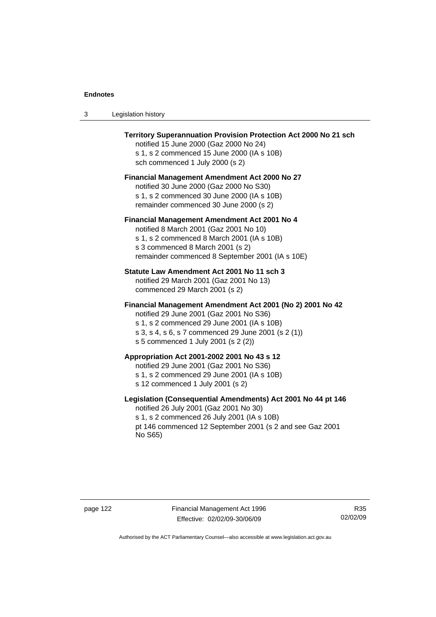| Legislation history<br>- 3 |  |
|----------------------------|--|
|----------------------------|--|

| <b>Territory Superannuation Provision Protection Act 2000 No 21 sch</b><br>notified 15 June 2000 (Gaz 2000 No 24)<br>s 1, s 2 commenced 15 June 2000 (IA s 10B)<br>sch commenced 1 July 2000 (s 2)                                               |
|--------------------------------------------------------------------------------------------------------------------------------------------------------------------------------------------------------------------------------------------------|
| Financial Management Amendment Act 2000 No 27<br>notified 30 June 2000 (Gaz 2000 No S30)<br>s 1, s 2 commenced 30 June 2000 (IA s 10B)<br>remainder commenced 30 June 2000 (s 2)                                                                 |
| <b>Financial Management Amendment Act 2001 No 4</b><br>notified 8 March 2001 (Gaz 2001 No 10)<br>s 1, s 2 commenced 8 March 2001 (IA s 10B)<br>s 3 commenced 8 March 2001 (s 2)<br>remainder commenced 8 September 2001 (IA s 10E)               |
| Statute Law Amendment Act 2001 No 11 sch 3<br>notified 29 March 2001 (Gaz 2001 No 13)<br>commenced 29 March 2001 (s 2)                                                                                                                           |
| Financial Management Amendment Act 2001 (No 2) 2001 No 42<br>notified 29 June 2001 (Gaz 2001 No S36)<br>s 1, s 2 commenced 29 June 2001 (IA s 10B)<br>s 3, s 4, s 6, s 7 commenced 29 June 2001 (s 2 (1))<br>s 5 commenced 1 July 2001 (s 2 (2)) |
| Appropriation Act 2001-2002 2001 No 43 s 12<br>notified 29 June 2001 (Gaz 2001 No S36)<br>s 1, s 2 commenced 29 June 2001 (IA s 10B)<br>s 12 commenced 1 July 2001 (s 2)                                                                         |
| Legislation (Consequential Amendments) Act 2001 No 44 pt 146<br>notified 26 July 2001 (Gaz 2001 No 30)<br>s 1, s 2 commenced 26 July 2001 (IA s 10B)<br>pt 146 commenced 12 September 2001 (s 2 and see Gaz 2001<br>No S65)                      |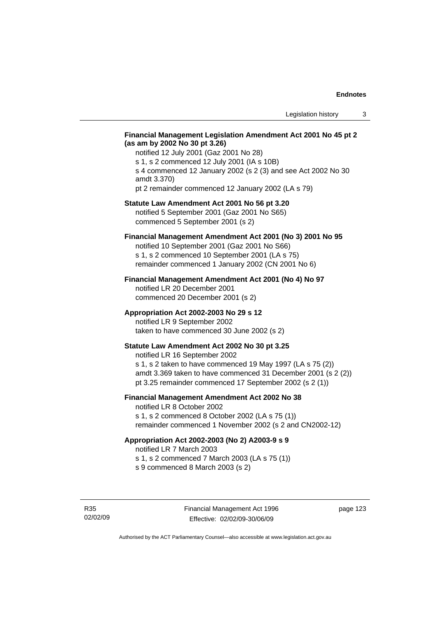## **Financial Management Legislation Amendment Act 2001 No 45 pt 2 (as am by 2002 No 30 pt 3.26)**

notified 12 July 2001 (Gaz 2001 No 28) s 1, s 2 commenced 12 July 2001 (IA s 10B) s 4 commenced 12 January 2002 (s 2 (3) and see Act 2002 No 30 amdt 3.370) pt 2 remainder commenced 12 January 2002 (LA s 79)

#### **Statute Law Amendment Act 2001 No 56 pt 3.20**

notified 5 September 2001 (Gaz 2001 No S65) commenced 5 September 2001 (s 2)

# **Financial Management Amendment Act 2001 (No 3) 2001 No 95**

notified 10 September 2001 (Gaz 2001 No S66) s 1, s 2 commenced 10 September 2001 (LA s 75) remainder commenced 1 January 2002 (CN 2001 No 6)

#### **Financial Management Amendment Act 2001 (No 4) No 97**

notified LR 20 December 2001 commenced 20 December 2001 (s 2)

#### **Appropriation Act 2002-2003 No 29 s 12**

notified LR 9 September 2002 taken to have commenced 30 June 2002 (s 2)

# **Statute Law Amendment Act 2002 No 30 pt 3.25**

notified LR 16 September 2002 s 1, s 2 taken to have commenced 19 May 1997 (LA s 75 (2)) amdt 3.369 taken to have commenced 31 December 2001 (s 2 (2)) pt 3.25 remainder commenced 17 September 2002 (s 2 (1))

## **Financial Management Amendment Act 2002 No 38**

notified LR 8 October 2002 s 1, s 2 commenced 8 October 2002 (LA s 75 (1)) remainder commenced 1 November 2002 (s 2 and CN2002-12)

#### **Appropriation Act 2002-2003 (No 2) A2003-9 s 9**

notified LR 7 March 2003

s 1, s 2 commenced 7 March 2003 (LA s 75 (1))

s 9 commenced 8 March 2003 (s 2)

R35 02/02/09 page 123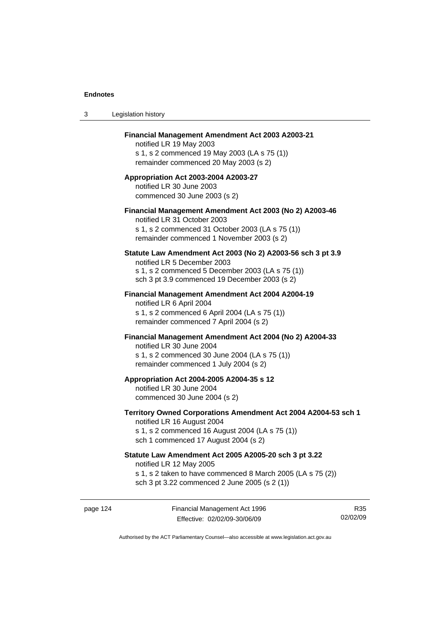| 3 | Legislation history                                                                                                                                                                              |
|---|--------------------------------------------------------------------------------------------------------------------------------------------------------------------------------------------------|
|   | Financial Management Amendment Act 2003 A2003-21<br>notified LR 19 May 2003<br>s 1, s 2 commenced 19 May 2003 (LA s 75 (1))<br>remainder commenced 20 May 2003 (s 2)                             |
|   | Appropriation Act 2003-2004 A2003-27<br>notified LR 30 June 2003<br>commenced 30 June 2003 (s 2)                                                                                                 |
|   | Financial Management Amendment Act 2003 (No 2) A2003-46<br>notified LR 31 October 2003<br>s 1, s 2 commenced 31 October 2003 (LA s 75 (1))<br>remainder commenced 1 November 2003 (s 2)          |
|   | Statute Law Amendment Act 2003 (No 2) A2003-56 sch 3 pt 3.9<br>notified LR 5 December 2003<br>s 1, s 2 commenced 5 December 2003 (LA s 75 (1))<br>sch 3 pt 3.9 commenced 19 December 2003 (s 2)  |
|   | Financial Management Amendment Act 2004 A2004-19<br>notified LR 6 April 2004<br>s 1, s 2 commenced 6 April 2004 (LA s 75 (1))<br>remainder commenced 7 April 2004 (s 2)                          |
|   | Financial Management Amendment Act 2004 (No 2) A2004-33<br>notified LR 30 June 2004<br>s 1, s 2 commenced 30 June 2004 (LA s 75 (1))<br>remainder commenced 1 July 2004 (s 2)                    |
|   | Appropriation Act 2004-2005 A2004-35 s 12<br>notified LR 30 June 2004<br>commenced 30 June 2004 (s 2)                                                                                            |
|   | Territory Owned Corporations Amendment Act 2004 A2004-53 sch 1<br>notified LR 16 August 2004<br>s 1, s 2 commenced 16 August 2004 (LA s 75 (1))<br>sch 1 commenced 17 August 2004 (s 2)          |
|   | Statute Law Amendment Act 2005 A2005-20 sch 3 pt 3.22<br>notified LR 12 May 2005<br>s 1, s 2 taken to have commenced 8 March 2005 (LA s 75 (2))<br>sch 3 pt 3.22 commenced 2 June 2005 (s 2 (1)) |
|   |                                                                                                                                                                                                  |

page 124 Financial Management Act 1996 Effective: 02/02/09-30/06/09

R35 02/02/09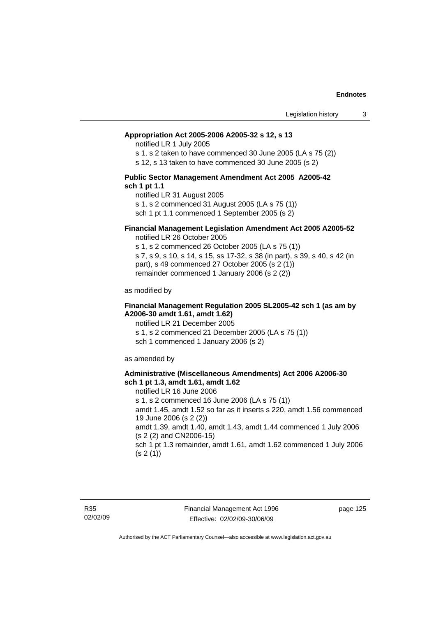#### **Appropriation Act 2005-2006 A2005-32 s 12, s 13**

notified LR 1 July 2005

s 1, s 2 taken to have commenced 30 June 2005 (LA s 75 (2))

s 12, s 13 taken to have commenced 30 June 2005 (s 2)

#### **Public Sector Management Amendment Act 2005 A2005-42 sch 1 pt 1.1**

notified LR 31 August 2005 s 1, s 2 commenced 31 August 2005 (LA s 75 (1)) sch 1 pt 1.1 commenced 1 September 2005 (s 2)

#### **Financial Management Legislation Amendment Act 2005 A2005-52**

notified LR 26 October 2005

s 1, s 2 commenced 26 October 2005 (LA s 75 (1)) s 7, s 9, s 10, s 14, s 15, ss 17-32, s 38 (in part), s 39, s 40, s 42 (in part), s 49 commenced 27 October 2005 (s 2 (1)) remainder commenced 1 January 2006 (s 2 (2))

as modified by

#### **Financial Management Regulation 2005 SL2005-42 sch 1 (as am by A2006-30 amdt 1.61, amdt 1.62)**

notified LR 21 December 2005 s 1, s 2 commenced 21 December 2005 (LA s 75 (1)) sch 1 commenced 1 January 2006 (s 2)

as amended by

#### **Administrative (Miscellaneous Amendments) Act 2006 A2006-30 sch 1 pt 1.3, amdt 1.61, amdt 1.62**

notified LR 16 June 2006 s 1, s 2 commenced 16 June 2006 (LA s 75 (1)) amdt 1.45, amdt 1.52 so far as it inserts s 220, amdt 1.56 commenced 19 June 2006 (s 2 (2)) amdt 1.39, amdt 1.40, amdt 1.43, amdt 1.44 commenced 1 July 2006 (s 2 (2) and CN2006-15) sch 1 pt 1.3 remainder, amdt 1.61, amdt 1.62 commenced 1 July 2006  $(s 2(1))$ 

R35 02/02/09 page 125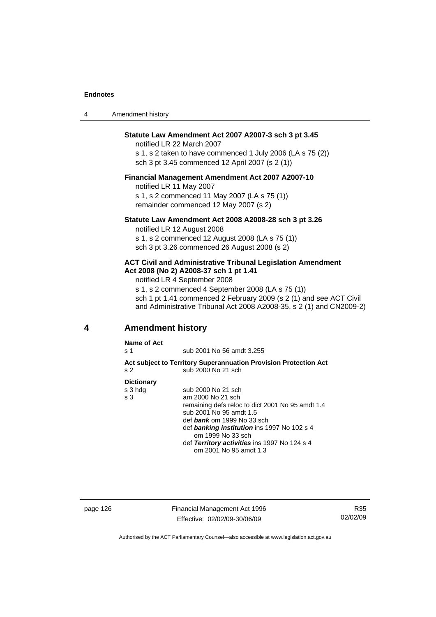| Amendment history<br>4 |  |
|------------------------|--|
|------------------------|--|

#### **Statute Law Amendment Act 2007 A2007-3 sch 3 pt 3.45**

notified LR 22 March 2007 s 1, s 2 taken to have commenced 1 July 2006 (LA s 75 (2))

sch 3 pt 3.45 commenced 12 April 2007 (s 2 (1))

#### **Financial Management Amendment Act 2007 A2007-10**

notified LR 11 May 2007

s 1, s 2 commenced 11 May 2007 (LA s 75 (1)) remainder commenced 12 May 2007 (s 2)

#### **Statute Law Amendment Act 2008 A2008-28 sch 3 pt 3.26**

notified LR 12 August 2008 s 1, s 2 commenced 12 August 2008 (LA s 75 (1)) sch 3 pt 3.26 commenced 26 August 2008 (s 2)

#### **ACT Civil and Administrative Tribunal Legislation Amendment Act 2008 (No 2) A2008-37 sch 1 pt 1.41**

notified LR 4 September 2008

s 1, s 2 commenced 4 September 2008 (LA s 75 (1)) sch 1 pt 1.41 commenced 2 February 2009 (s 2 (1) and see ACT Civil and Administrative Tribunal Act 2008 A2008-35, s 2 (1) and CN2009-2)

**4 Amendment history** 

**Name of Act** 

s 1 sub 2001 No 56 amdt 3.255

**Act subject to Territory Superannuation Provision Protection Act** s 2 sub 2000 No 21 sch

# **Dictionary**

| s 3 hdg | sub 2000 No 21 sch                               |
|---------|--------------------------------------------------|
| s 3     | am 2000 No 21 sch                                |
|         | remaining defs reloc to dict 2001 No 95 amdt 1.4 |
|         | sub 2001 No 95 amdt 1.5                          |
|         | def bank om 1999 No 33 sch                       |
|         | def banking institution ins 1997 No 102 s 4      |
|         | om 1999 No 33 sch                                |
|         | def Territory activities ins 1997 No 124 s 4     |
|         | om 2001 No 95 amdt 1.3                           |
|         |                                                  |

page 126 Financial Management Act 1996 Effective: 02/02/09-30/06/09

R35 02/02/09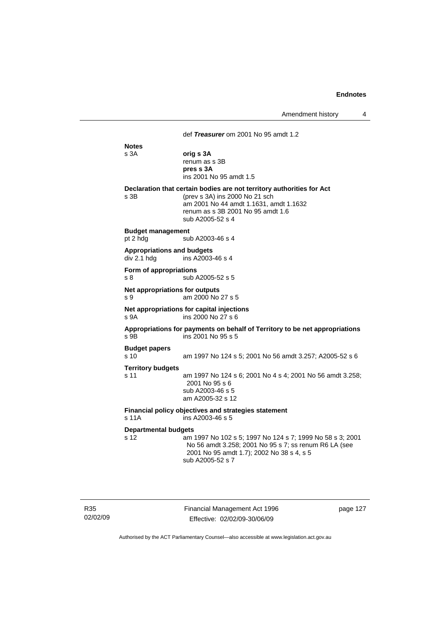def **Treasurer** om 2001 No 95 amdt 1.2 **Notes**  s 3A **orig s 3A** renum as s 3B **pres s 3A**  ins 2001 No 95 amdt 1.5 **Declaration that certain bodies are not territory authorities for Act**  s 3B (prev s 3A) ins 2000 No 21 sch am 2001 No 44 amdt 1.1631, amdt 1.1632 renum as s 3B 2001 No 95 amdt 1.6 sub A2005-52 s 4 **Budget management**  pt 2 hdg sub A2003-46 s 4 **Appropriations and budgets**  ins A2003-46 s 4 **Form of appropriations**  s 8 sub A2005-52 s 5 **Net appropriations for outputs** s 9  $\frac{11}{2}$  am 2000 No 27 s 5 **Net appropriations for capital injections** s 9A ins 2000 No 27 s 6 **Appropriations for payments on behalf of Territory to be net appropriations**  s 9B ins 2001 No 95 s 5 **Budget papers**  s 10 am 1997 No 124 s 5; 2001 No 56 amdt 3.257; A2005-52 s 6 **Territory budgets**  s 11 am 1997 No 124 s 6; 2001 No 4 s 4; 2001 No 56 amdt 3.258; 2001 No 95 s 6 sub A2003-46 s 5 am A2005-32 s 12 **Financial policy objectives and strategies statement**  s 11A ins A2003-46 s 5 **Departmental budgets** s 12 am 1997 No 102 s 5; 1997 No 124 s 7; 1999 No 58 s 3; 2001 No 56 amdt 3.258; 2001 No 95 s 7; ss renum R6 LA (see 2001 No 95 amdt 1.7); 2002 No 38 s 4, s 5 sub A2005-52 s 7

Financial Management Act 1996 Effective: 02/02/09-30/06/09

page 127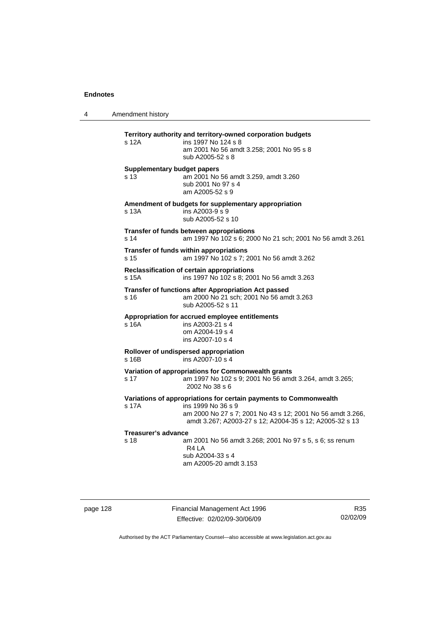4 Amendment history

| s 12A                                                             | Territory authority and territory-owned corporation budgets<br>ins 1997 No 124 s 8<br>am 2001 No 56 amdt 3.258; 2001 No 95 s 8<br>sub A2005-52 s 8 |
|-------------------------------------------------------------------|----------------------------------------------------------------------------------------------------------------------------------------------------|
| <b>Supplementary budget papers</b>                                |                                                                                                                                                    |
| s 13                                                              | am 2001 No 56 amdt 3.259, amdt 3.260<br>sub 2001 No 97 s 4<br>am A2005-52 s 9                                                                      |
|                                                                   | Amendment of budgets for supplementary appropriation                                                                                               |
| s 13A                                                             | ins A2003-9 s 9<br>sub A2005-52 s 10                                                                                                               |
|                                                                   | Transfer of funds between appropriations                                                                                                           |
| s 14                                                              | am 1997 No 102 s 6; 2000 No 21 sch; 2001 No 56 amdt 3.261                                                                                          |
| s 15                                                              | Transfer of funds within appropriations<br>am 1997 No 102 s 7; 2001 No 56 amdt 3.262                                                               |
|                                                                   | Reclassification of certain appropriations                                                                                                         |
| s 15A                                                             | ins 1997 No 102 s 8; 2001 No 56 amdt 3.263                                                                                                         |
|                                                                   |                                                                                                                                                    |
| s 16                                                              | <b>Transfer of functions after Appropriation Act passed</b><br>am 2000 No 21 sch; 2001 No 56 amdt 3.263                                            |
|                                                                   | sub A2005-52 s 11                                                                                                                                  |
|                                                                   |                                                                                                                                                    |
|                                                                   | Appropriation for accrued employee entitlements                                                                                                    |
| s 16A                                                             | ins A2003-21 s 4                                                                                                                                   |
|                                                                   | om A2004-19 s 4                                                                                                                                    |
|                                                                   | ins A2007-10 s 4                                                                                                                                   |
| s 16B                                                             | Rollover of undispersed appropriation<br>ins A2007-10 s 4                                                                                          |
|                                                                   | Variation of appropriations for Commonwealth grants                                                                                                |
| s 17                                                              | am 1997 No 102 s 9; 2001 No 56 amdt 3.264, amdt 3.265;                                                                                             |
|                                                                   | 2002 No 38 s 6                                                                                                                                     |
| Variations of appropriations for certain payments to Commonwealth |                                                                                                                                                    |
| s 17A                                                             | ins 1999 No 36 s 9                                                                                                                                 |
|                                                                   | am 2000 No 27 s 7; 2001 No 43 s 12; 2001 No 56 amdt 3.266,                                                                                         |
|                                                                   | amdt 3.267; A2003-27 s 12; A2004-35 s 12; A2005-32 s 13                                                                                            |
| Treasurer's advance                                               |                                                                                                                                                    |
| s 18                                                              | am 2001 No 56 amdt 3.268; 2001 No 97 s 5, s 6; ss renum                                                                                            |
|                                                                   | R4IA                                                                                                                                               |
|                                                                   | sub A2004-33 s 4                                                                                                                                   |
|                                                                   | am A2005-20 amdt 3.153                                                                                                                             |
|                                                                   |                                                                                                                                                    |

page 128 Financial Management Act 1996 Effective: 02/02/09-30/06/09

R35 02/02/09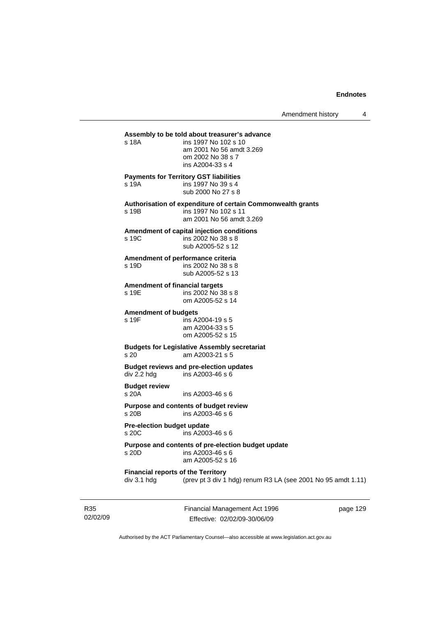**Assembly to be told about treasurer's advance** s 18A ins 1997 No 102 s 10 am 2001 No 56 amdt 3.269 om 2002 No 38 s 7 ins A2004-33 s 4 **Payments for Territory GST liabilities** s 19A ins 1997 No 39 s 4 sub 2000 No 27 s 8 **Authorisation of expenditure of certain Commonwealth grants**  s 19B ins 1997 No 102 s 11 am 2001 No 56 amdt 3.269 **Amendment of capital injection conditions**  s 19C ins 2002 No 38 s 8 sub A2005-52 s 12 **Amendment of performance criteria**  s 19D ins 2002 No 38 s 8 sub A2005-52 s 13 **Amendment of financial targets**<br>s 19F ins 2002 No 3  $ins$  2002 No 38 s 8 om A2005-52 s 14 **Amendment of budgets**  s 19F ins A2004-19 s 5 am A2004-33 s 5 om A2005-52 s 15 **Budgets for Legislative Assembly secretariat**  s 20 am A2003-21 s 5 **Budget reviews and pre-election updates**   $ins$  A2003-46 s 6 **Budget review**  s 20A ins A2003-46 s 6 **Purpose and contents of budget review**   $ins A2003-46 s 6$ **Pre-election budget update**  s 20C ins A2003-46 s 6 **Purpose and contents of pre-election budget update**  ins A2003-46 s 6 am A2005-52 s 16 **Financial reports of the Territory**  div 3.1 hdg (prev pt 3 div 1 hdg) renum R3 LA (see 2001 No 95 amdt 1.11)

R35 02/02/09 Financial Management Act 1996 Effective: 02/02/09-30/06/09

page 129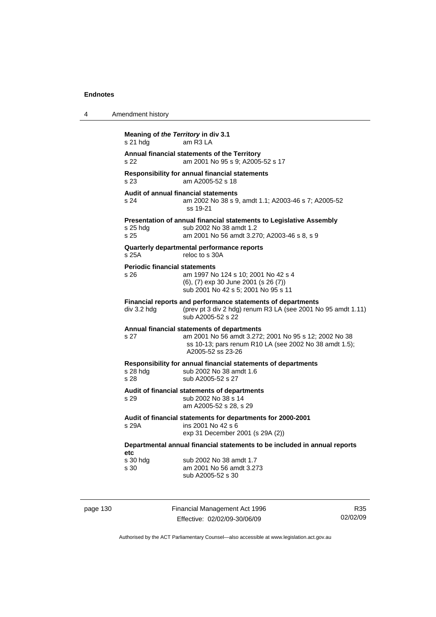| 4 | Amendment history                               |                                                                                                                                                                                    |
|---|-------------------------------------------------|------------------------------------------------------------------------------------------------------------------------------------------------------------------------------------|
|   | Meaning of the Territory in div 3.1<br>s 21 hdg | am R3 LA                                                                                                                                                                           |
|   | s 22                                            | Annual financial statements of the Territory<br>am 2001 No 95 s 9; A2005-52 s 17                                                                                                   |
|   | s 23                                            | <b>Responsibility for annual financial statements</b><br>am A2005-52 s 18                                                                                                          |
|   | s 24                                            | Audit of annual financial statements<br>am 2002 No 38 s 9, amdt 1.1; A2003-46 s 7; A2005-52<br>ss 19-21                                                                            |
|   | s 25 hdg<br>s 25                                | Presentation of annual financial statements to Legislative Assembly<br>sub 2002 No 38 amdt 1.2<br>am 2001 No 56 amdt 3.270; A2003-46 s 8, s 9                                      |
|   | s 25A                                           | Quarterly departmental performance reports<br>reloc to s 30A                                                                                                                       |
|   | <b>Periodic financial statements</b><br>s 26    | am 1997 No 124 s 10; 2001 No 42 s 4<br>(6), (7) exp 30 June 2001 (s 26 (7))<br>sub 2001 No 42 s 5; 2001 No 95 s 11                                                                 |
|   | div 3.2 hdg                                     | Financial reports and performance statements of departments<br>(prev pt 3 div 2 hdg) renum R3 LA (see 2001 No 95 amdt 1.11)<br>sub A2005-52 s 22                                   |
|   | s 27                                            | Annual financial statements of departments<br>am 2001 No 56 amdt 3.272; 2001 No 95 s 12; 2002 No 38<br>ss 10-13; pars renum R10 LA (see 2002 No 38 amdt 1.5);<br>A2005-52 ss 23-26 |
|   | $s$ 28 hdg<br>s 28                              | Responsibility for annual financial statements of departments<br>sub 2002 No 38 amdt 1.6<br>sub A2005-52 s 27                                                                      |
|   | s.29                                            | Audit of financial statements of departments<br>sub 2002 No 38 s 14<br>am A2005-52 s 28, s 29                                                                                      |
|   | s 29A                                           | Audit of financial statements for departments for 2000-2001<br>ins 2001 No 42 s 6<br>exp 31 December 2001 (s 29A (2))                                                              |
|   | etc                                             | Departmental annual financial statements to be included in annual reports                                                                                                          |
|   | s 30 hdg<br>s 30                                | sub 2002 No 38 amdt 1.7<br>am 2001 No 56 amdt 3.273<br>sub A2005-52 s 30                                                                                                           |
|   |                                                 |                                                                                                                                                                                    |

page 130 Financial Management Act 1996 Effective: 02/02/09-30/06/09

R35 02/02/09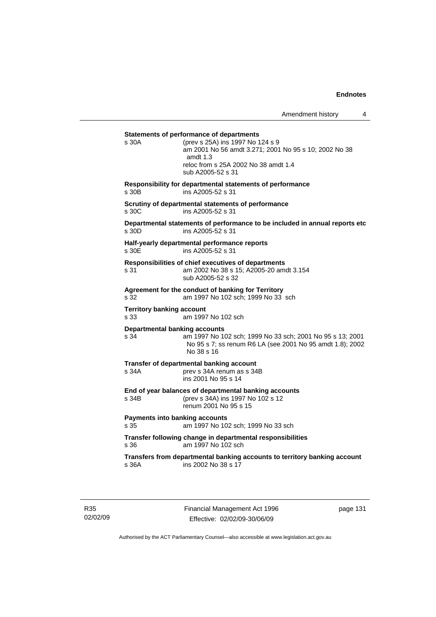**Statements of performance of departments**  s 30A (prev s 25A) ins 1997 No 124 s 9 am 2001 No 56 amdt 3.271; 2001 No 95 s 10; 2002 No 38 amdt 1.3 reloc from s 25A 2002 No 38 amdt 1.4 sub A2005-52 s 31 **Responsibility for departmental statements of performance**  s 30B ins A2005-52 s 31 **Scrutiny of departmental statements of performance**  s 30C ins A2005-52 s 31 **Departmental statements of performance to be included in annual reports etc**  s 30D ins A2005-52 s 31 **Half-yearly departmental performance reports**  s 30E ins A2005-52 s 31 **Responsibilities of chief executives of departments**  s 31 am 2002 No 38 s 15; A2005-20 amdt 3.154 sub A2005-52 s 32 **Agreement for the conduct of banking for Territory** s 32 am 1997 No 102 sch; 1999 No 33 sch **Territory banking account** s 33 am 1997 No 102 sch **Departmental banking accounts**  s 34 am 1997 No 102 sch; 1999 No 33 sch; 2001 No 95 s 13; 2001 No 95 s 7; ss renum R6 LA (see 2001 No 95 amdt 1.8); 2002 No 38 s 16 **Transfer of departmental banking account**  s 34A **prev s 34A renum as s 34B**  ins 2001 No 95 s 14 **End of year balances of departmental banking accounts** s 34B (prev s 34A) ins 1997 No 102 s 12 renum 2001 No 95 s 15 **Payments into banking accounts** s 35 am 1997 No 102 sch; 1999 No 33 sch **Transfer following change in departmental responsibilities** s 36 **am 1997** No 102 sch **Transfers from departmental banking accounts to territory banking account**  s 36A ins 2002 No 38 s 17

R35 02/02/09 Financial Management Act 1996 Effective: 02/02/09-30/06/09

page 131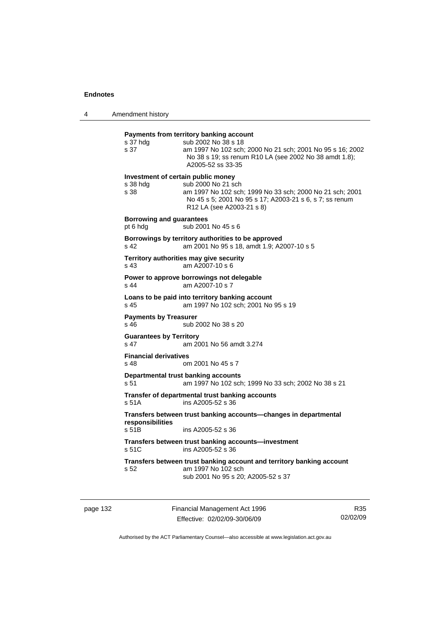4 Amendment history

#### **Payments from territory banking account**

| s 37 hdg<br>s 37                                       | sub 2002 No 38 s 18<br>am 1997 No 102 sch; 2000 No 21 sch; 2001 No 95 s 16; 2002<br>No 38 s 19; ss renum R10 LA (see 2002 No 38 amdt 1.8);<br>A2005-52 ss 33-35        |
|--------------------------------------------------------|------------------------------------------------------------------------------------------------------------------------------------------------------------------------|
| Investment of certain public money<br>s 38 hda<br>s 38 | sub 2000 No 21 sch<br>am 1997 No 102 sch; 1999 No 33 sch; 2000 No 21 sch; 2001<br>No 45 s 5; 2001 No 95 s 17; A2003-21 s 6, s 7; ss renum<br>R12 LA (see A2003-21 s 8) |
| <b>Borrowing and guarantees</b><br>pt 6 hdg            | sub 2001 No 45 s 6                                                                                                                                                     |
| s 42                                                   | Borrowings by territory authorities to be approved<br>am 2001 No 95 s 18, amdt 1.9; A2007-10 s 5                                                                       |
| s 43                                                   | Territory authorities may give security<br>am A2007-10 s 6                                                                                                             |
| s <sub>44</sub>                                        | Power to approve borrowings not delegable<br>am A2007-10 s 7                                                                                                           |
| s 45                                                   | Loans to be paid into territory banking account<br>am 1997 No 102 sch; 2001 No 95 s 19                                                                                 |
| <b>Payments by Treasurer</b><br>$s$ 46                 | sub 2002 No 38 s 20                                                                                                                                                    |
| <b>Guarantees by Territory</b><br>s <sub>47</sub>      | am 2001 No 56 amdt 3.274                                                                                                                                               |
| <b>Financial derivatives</b><br>s 48                   | om 2001 No 45 s 7                                                                                                                                                      |
| s 51                                                   | Departmental trust banking accounts<br>am 1997 No 102 sch; 1999 No 33 sch; 2002 No 38 s 21                                                                             |
| s 51A                                                  | Transfer of departmental trust banking accounts<br>ins A2005-52 s 36                                                                                                   |
| responsibilities                                       | Transfers between trust banking accounts—changes in departmental                                                                                                       |
| s 51B                                                  | ins A2005-52 s 36                                                                                                                                                      |
| s 51C                                                  | Transfers between trust banking accounts-investment<br>ins A2005-52 s 36                                                                                               |
| s 52                                                   | Transfers between trust banking account and territory banking account<br>am 1997 No 102 sch<br>sub 2001 No 95 s 20; A2005-52 s 37                                      |
|                                                        |                                                                                                                                                                        |

page 132 Financial Management Act 1996 Effective: 02/02/09-30/06/09

R35 02/02/09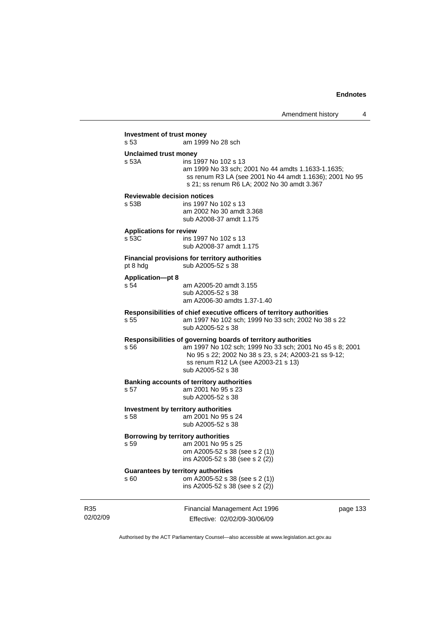| Investment of trust money                   |                                                                                                                                                                                                                                               |
|---------------------------------------------|-----------------------------------------------------------------------------------------------------------------------------------------------------------------------------------------------------------------------------------------------|
| s 53                                        | am 1999 No 28 sch                                                                                                                                                                                                                             |
| <b>Unclaimed trust money</b>                |                                                                                                                                                                                                                                               |
| s 53A                                       | ins 1997 No 102 s 13<br>am 1999 No 33 sch; 2001 No 44 amdts 1.1633-1.1635;<br>ss renum R3 LA (see 2001 No 44 amdt 1.1636); 2001 No 95<br>s 21; ss renum R6 LA; 2002 No 30 amdt 3.367                                                          |
| <b>Reviewable decision notices</b>          |                                                                                                                                                                                                                                               |
| s 53B                                       | ins 1997 No 102 s 13<br>am 2002 No 30 amdt 3.368<br>sub A2008-37 amdt 1.175                                                                                                                                                                   |
| <b>Applications for review</b>              |                                                                                                                                                                                                                                               |
| s 53C                                       | ins 1997 No 102 s 13<br>sub A2008-37 amdt 1.175                                                                                                                                                                                               |
| pt 8 hdg                                    | Financial provisions for territory authorities<br>sub A2005-52 s 38                                                                                                                                                                           |
| <b>Application-pt 8</b>                     |                                                                                                                                                                                                                                               |
| s 54                                        | am A2005-20 amdt 3.155<br>sub A2005-52 s 38<br>am A2006-30 amdts 1.37-1.40                                                                                                                                                                    |
| s 55                                        | Responsibilities of chief executive officers of territory authorities<br>am 1997 No 102 sch; 1999 No 33 sch; 2002 No 38 s 22<br>sub A2005-52 s 38                                                                                             |
| s 56                                        | Responsibilities of governing boards of territory authorities<br>am 1997 No 102 sch; 1999 No 33 sch; 2001 No 45 s 8; 2001<br>No 95 s 22; 2002 No 38 s 23, s 24; A2003-21 ss 9-12;<br>ss renum R12 LA (see A2003-21 s 13)<br>sub A2005-52 s 38 |
| s 57                                        | <b>Banking accounts of territory authorities</b><br>am 2001 No 95 s 23<br>sub A2005-52 s 38                                                                                                                                                   |
| Investment by territory authorities<br>s 58 | am 2001 No 95 s 24<br>sub A2005-52 s 38                                                                                                                                                                                                       |
| Borrowing by territory authorities          |                                                                                                                                                                                                                                               |
| s 59                                        | am 2001 No 95 s 25<br>om A2005-52 s 38 (see s 2 (1))<br>ins A2005-52 s 38 (see s 2 (2))                                                                                                                                                       |
|                                             | <b>Guarantees by territory authorities</b>                                                                                                                                                                                                    |
| s 60                                        | om A2005-52 s 38 (see s 2 (1))<br>ins A2005-52 s 38 (see s 2 (2))                                                                                                                                                                             |
|                                             |                                                                                                                                                                                                                                               |

R35 02/02/09 Financial Management Act 1996 Effective: 02/02/09-30/06/09

page 133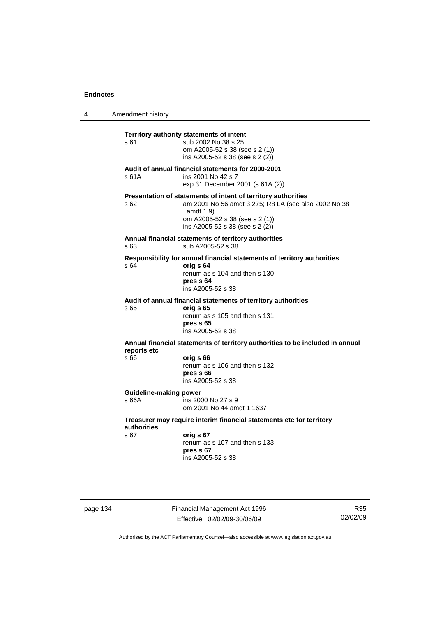4 Amendment history

**Territory authority statements of intent**  s 61 sub 2002 No 38 s 25 om A2005-52 s 38 (see s 2 (1)) ins A2005-52 s 38 (see s 2 (2)) **Audit of annual financial statements for 2000-2001**  s 61A ins 2001 No 42 s 7 exp 31 December 2001 (s 61A (2)) **Presentation of statements of intent of territory authorities**  s 62 am 2001 No 56 amdt 3.275; R8 LA (see also 2002 No 38 amdt 1.9) om A2005-52 s 38 (see s 2 (1)) ins A2005-52 s 38 (see s 2 (2)) **Annual financial statements of territory authorities**  s 63 sub A2005-52 s 38 **Responsibility for annual financial statements of territory authorities**  s 64 **orig s 64** renum as s 104 and then s 130 **pres s 64**  ins A2005-52 s 38 **Audit of annual financial statements of territory authorities**  s 65 **orig s 65**  renum as s 105 and then s 131 **pres s 65**  ins A2005-52 s 38 **Annual financial statements of territory authorities to be included in annual reports etc**  s 66 **orig s 66**  renum as s 106 and then s 132 **pres s 66**  ins A2005-52 s 38 **Guideline-making power**  s 66A ins 2000 No 27 s 9 om 2001 No 44 amdt 1.1637 **Treasurer may require interim financial statements etc for territory authorities** s 67 **orig s 67**  renum as s 107 and then s 133 **pres s 67**  ins A2005-52 s 38

page 134 Financial Management Act 1996 Effective: 02/02/09-30/06/09

R35 02/02/09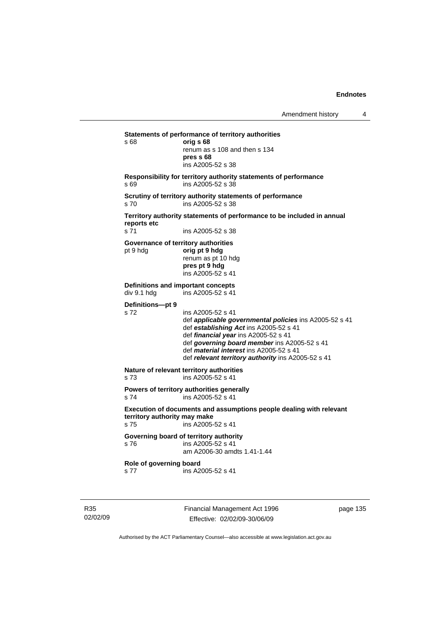**Statements of performance of territory authorities**  s 68 **orig s 68**  renum as s 108 and then s 134 **pres s 68**  ins A2005-52 s 38 **Responsibility for territory authority statements of performance**  s 69 ins A2005-52 s 38 **Scrutiny of territory authority statements of performance**  s 70 ins A2005-52 s 38 **Territory authority statements of performance to be included in annual reports etc**  s 71 ins A2005-52 s 38 **Governance of territory authorities**  pt 9 hdg **orig pt 9 hdg**  renum as pt 10 hdg **pres pt 9 hdg**  ins A2005-52 s 41 **Definitions and important concepts**<br>div 9.1 hdg ins A2005-52 s 41 .<br>ins A2005-52 s 41 **Definitions—pt 9**  s 72 ins A2005-52 s 41 def *applicable governmental policies* ins A2005-52 s 41 def *establishing Act* ins A2005-52 s 41 def *financial year* ins A2005-52 s 41 def *governing board member* ins A2005-52 s 41 def *material interest* ins A2005-52 s 41 def *relevant territory authority* ins A2005-52 s 41 **Nature of relevant territory authorities**  s 73 ins A2005-52 s 41 **Powers of territory authorities generally**  s 74 ins A2005-52 s 41 **Execution of documents and assumptions people dealing with relevant territory authority may make**  s 75 ins A2005-52 s 41 **Governing board of territory authority**  s 76 ins A2005-52 s 41 am A2006-30 amdts 1.41-1.44 **Role of governing board**  s 77 ins A2005-52 s 41

R35 02/02/09 Financial Management Act 1996 Effective: 02/02/09-30/06/09

page 135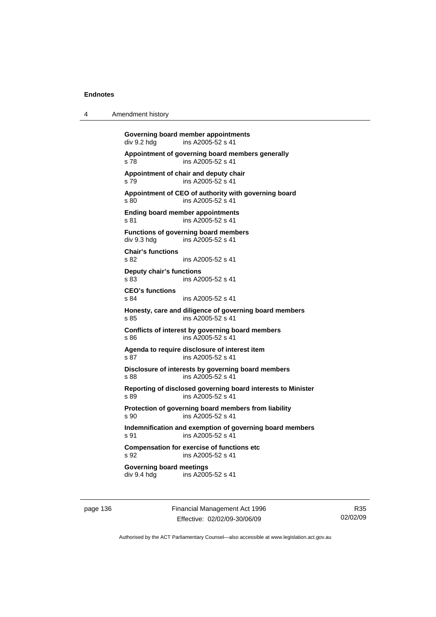4 Amendment history

**Governing board member appointments<br>
div 9.2 hdg<br>
ins A2005-52 s 41**  $ins$  A2005-52 s 41 **Appointment of governing board members generally**  s 78 ins A2005-52 s 41 **Appointment of chair and deputy chair**  s 79 ins A2005-52 s 41 **Appointment of CEO of authority with governing board**  s 80 ins A2005-52 s 41 **Ending board member appointments**  s 81 ins A2005-52 s 41 **Functions of governing board members**  div 9.3 hdg ins A2005-52 s 41 **Chair's functions**  s 82 ins A2005-52 s 41 **Deputy chair's functions**  s 83 ins A2005-52 s 41 **CEO's functions**  s 84 ins A2005-52 s 41 **Honesty, care and diligence of governing board members**  s 85 ins A2005-52 s 41 **Conflicts of interest by governing board members**  s 86 ins A2005-52 s 41 **Agenda to require disclosure of interest item**  s 87 ins A2005-52 s 41 **Disclosure of interests by governing board members**  s 88 ins A2005-52 s 41 **Reporting of disclosed governing board interests to Minister**  s 89 ins A2005-52 s 41 **Protection of governing board members from liability**  s 90 ins A2005-52 s 41 **Indemnification and exemption of governing board members**  s 91 ins A2005-52 s 41 **Compensation for exercise of functions etc**  s 92 ins A2005-52 s 41 **Governing board meetings**  div 9.4 hdg ins A2005-52 s 41

page 136 Financial Management Act 1996 Effective: 02/02/09-30/06/09

R35 02/02/09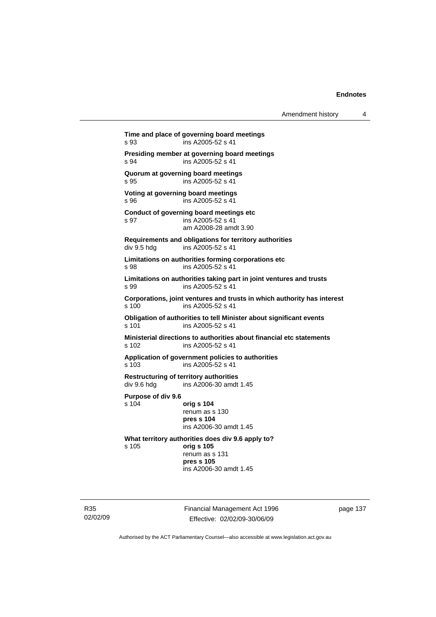**Time and place of governing board meetings**  s 93 ins A2005-52 s 41 **Presiding member at governing board meetings**  s 94 ins A2005-52 s 41 **Quorum at governing board meetings**  s 95 ins A2005-52 s 41 **Voting at governing board meetings**  s 96 ins A2005-52 s 41 **Conduct of governing board meetings etc**  s 97 ins A2005-52 s 41 am A2008-28 amdt 3.90 **Requirements and obligations for territory authorities**  div 9.5 hdg ins A2005-52 s 41 **Limitations on authorities forming corporations etc**  s 98 ins A2005-52 s 41 **Limitations on authorities taking part in joint ventures and trusts**  s 99 ins A2005-52 s 41 **Corporations, joint ventures and trusts in which authority has interest**  s 100 ins A2005-52 s 41 **Obligation of authorities to tell Minister about significant events**<br>s 101 ins A2005-52 s 41 ins A2005-52 s 41 **Ministerial directions to authorities about financial etc statements**  s 102 ins A2005-52 s 41 **Application of government policies to authorities**  s 103 ins A2005-52 s 41 **Restructuring of territory authorities**  div 9.6 hdg ins A2006-30 amdt 1.45 **Purpose of div 9.6**  s 104 **orig s 104** renum as s 130 **pres s 104**  ins A2006-30 amdt 1.45 **What territory authorities does div 9.6 apply to?**  s 105 **orig s 105** renum as s 131 **pres s 105**  ins A2006-30 amdt 1.45

R35 02/02/09 Financial Management Act 1996 Effective: 02/02/09-30/06/09

page 137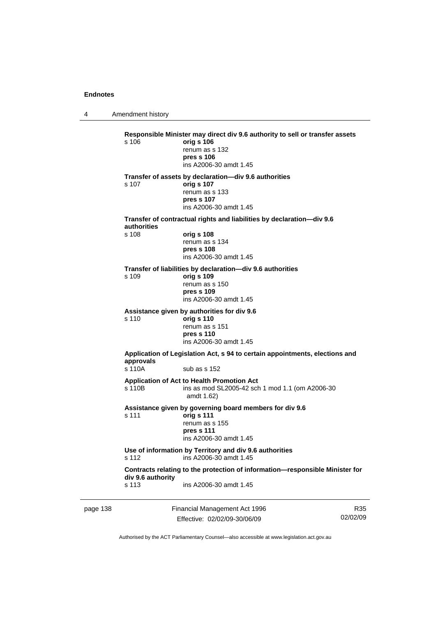4 Amendment history

|          | s 106                                                                                                              | Responsible Minister may direct div 9.6 authority to sell or transfer assets<br>orig s 106<br>renum as s 132<br>pres s 106<br>ins A2006-30 amdt 1.45 |     |
|----------|--------------------------------------------------------------------------------------------------------------------|------------------------------------------------------------------------------------------------------------------------------------------------------|-----|
|          | s 107                                                                                                              | Transfer of assets by declaration-div 9.6 authorities<br>orig s 107<br>renum as s 133<br>pres s 107<br>ins A2006-30 amdt 1.45                        |     |
|          | Transfer of contractual rights and liabilities by declaration-div 9.6                                              |                                                                                                                                                      |     |
|          | authorities<br>s 108                                                                                               | orig s 108<br>renum as s 134<br>pres s 108<br>ins A2006-30 amdt 1.45                                                                                 |     |
|          | s 109                                                                                                              | Transfer of liabilities by declaration-div 9.6 authorities<br>orig s 109<br>renum as s 150<br>pres s 109<br>ins A2006-30 amdt 1.45                   |     |
|          | s 110                                                                                                              | Assistance given by authorities for div 9.6<br>orig s 110<br>renum as s 151<br>pres s 110<br>ins A2006-30 amdt 1.45                                  |     |
|          | Application of Legislation Act, s 94 to certain appointments, elections and<br>approvals<br>s 110A<br>sub as s 152 |                                                                                                                                                      |     |
|          | s 110B                                                                                                             | Application of Act to Health Promotion Act<br>ins as mod SL2005-42 sch 1 mod 1.1 (om A2006-30<br>amdt 1.62)                                          |     |
|          | s 111                                                                                                              | Assistance given by governing board members for div 9.6<br>orig s 111<br>renum as s 155<br>pres s 111<br>ins A2006-30 amdt 1.45                      |     |
|          | Use of information by Territory and div 9.6 authorities<br>ins A2006-30 amdt 1.45<br>S 112                         |                                                                                                                                                      |     |
|          | Contracts relating to the protection of information-responsible Minister for                                       |                                                                                                                                                      |     |
|          | div 9.6 authority<br>s 113                                                                                         | ins A2006-30 amdt 1.45                                                                                                                               |     |
| page 138 |                                                                                                                    | Financial Management Act 1996                                                                                                                        | R35 |

Effective: 02/02/09-30/06/09

R35 02/02/09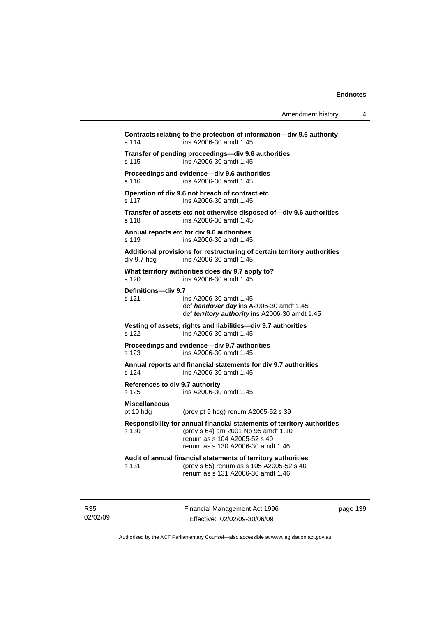| Amendment history |  |
|-------------------|--|
|-------------------|--|

**Contracts relating to the protection of information—div 9.6 authority**  s 114 ins A2006-30 amdt 1.45 **Transfer of pending proceedings—div 9.6 authorities**  s 115 ins A2006-30 amdt 1.45 **Proceedings and evidence—div 9.6 authorities**  s 116 ins A2006-30 amdt 1.45 **Operation of div 9.6 not breach of contract etc**  s 117 ins A2006-30 amdt 1.45 **Transfer of assets etc not otherwise disposed of—div 9.6 authorities**  s 118 ins A2006-30 amdt 1.45 **Annual reports etc for div 9.6 authorities**  s 119 ins A2006-30 amdt 1.45 **Additional provisions for restructuring of certain territory authorities**  div 9.7 hdg ins A2006-30 amdt 1.45 **What territory authorities does div 9.7 apply to?**  s 120 ins A2006-30 amdt 1.45 **Definitions—div 9.7**  s 121 ins A2006-30 amdt 1.45 def *handover day* ins A2006-30 amdt 1.45 def *territory authority* ins A2006-30 amdt 1.45 **Vesting of assets, rights and liabilities—div 9.7 authorities**  s 122 ins A2006-30 amdt 1.45 **Proceedings and evidence—div 9.7 authorities**  s 123 ins A2006-30 amdt 1.45 **Annual reports and financial statements for div 9.7 authorities**  s 124 ins A2006-30 amdt 1.45 **References to div 9.7 authority**  s 125 ins A2006-30 amdt 1.45 **Miscellaneous**  pt 10 hdg (prev pt 9 hdg) renum A2005-52 s 39 **Responsibility for annual financial statements of territory authorities**  s 130 (prev s 64) am 2001 No 95 amdt 1.10 renum as s 104 A2005-52 s 40 renum as s 130 A2006-30 amdt 1.46 **Audit of annual financial statements of territory authorities**  s 131 (prev s 65) renum as s 105 A2005-52 s 40 renum as s 131 A2006-30 amdt 1.46

R35 02/02/09 Financial Management Act 1996 Effective: 02/02/09-30/06/09

page 139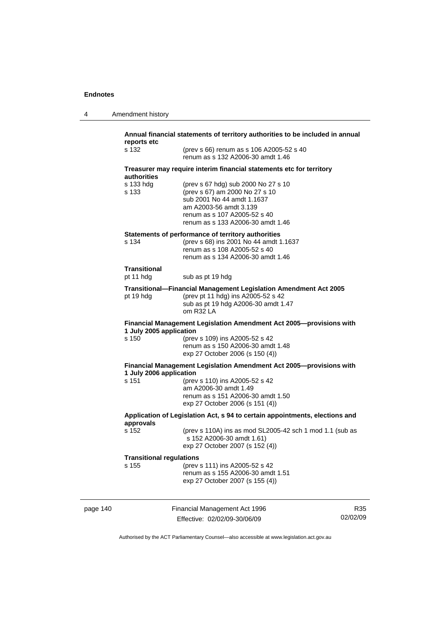|  | Amendment history |
|--|-------------------|
|--|-------------------|

| s 132                                                          | (prev s 66) renum as s 106 A2005-52 s 40                                                                                                                                                           |
|----------------------------------------------------------------|----------------------------------------------------------------------------------------------------------------------------------------------------------------------------------------------------|
|                                                                | renum as s 132 A2006-30 amdt 1.46                                                                                                                                                                  |
| authorities                                                    | Treasurer may require interim financial statements etc for territory                                                                                                                               |
| s 133 hdg<br>s 133                                             | (prev s 67 hdg) sub 2000 No 27 s 10<br>(prev s 67) am 2000 No 27 s 10<br>sub 2001 No 44 amdt 1.1637<br>am A2003-56 amdt 3.139<br>renum as s 107 A2005-52 s 40<br>renum as s 133 A2006-30 amdt 1.46 |
| s 134                                                          | Statements of performance of territory authorities<br>(prev s 68) ins 2001 No 44 amdt 1.1637<br>renum as s 108 A2005-52 s 40<br>renum as s 134 A2006-30 amdt 1.46                                  |
| <b>Transitional</b><br>pt 11 hdg                               | sub as pt 19 hdg                                                                                                                                                                                   |
| pt 19 hdg                                                      | Transitional-Financial Management Legislation Amendment Act 2005<br>(prev pt 11 hdg) ins A2005-52 s 42<br>sub as pt 19 hdg A2006-30 amdt 1.47<br>om R32 LA                                         |
| 1 July 2005 application<br>s 150                               | Financial Management Legislation Amendment Act 2005-provisions with<br>(prev s 109) ins A2005-52 s 42<br>renum as s 150 A2006-30 amdt 1.48<br>exp 27 October 2006 (s 150 (4))                      |
| 1 July 2006 application<br>s 151                               | Financial Management Legislation Amendment Act 2005-provisions with<br>(prev s 110) ins A2005-52 s 42<br>am A2006-30 amdt 1.49<br>renum as s 151 A2006-30 amdt 1.50                                |
|                                                                | exp 27 October 2006 (s 151 (4))                                                                                                                                                                    |
|                                                                |                                                                                                                                                                                                    |
|                                                                | s 152 A2006-30 amdt 1.61)<br>exp 27 October 2007 (s 152 (4))                                                                                                                                       |
| approvals<br>s 152<br><b>Transitional regulations</b><br>s 155 | Application of Legislation Act, s 94 to certain appointments, elections and<br>(prev s 110A) ins as mod SL2005-42 sch 1 mod 1.1 (sub as<br>(prev s 111) ins A2005-52 s 42                          |

page 140 Financial Management Act 1996 Effective: 02/02/09-30/06/09

R35 02/02/09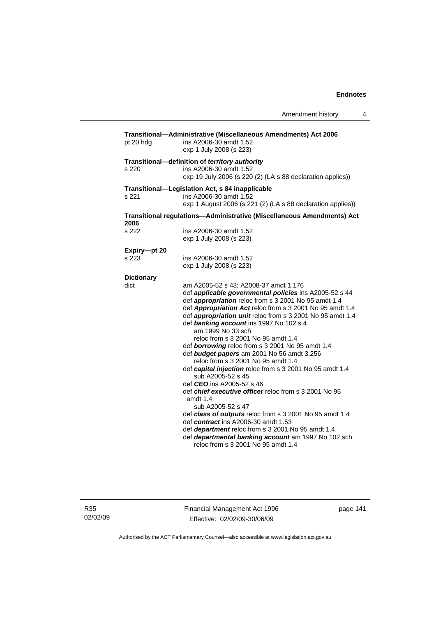| pt 20 hdg         | Transitional-Administrative (Miscellaneous Amendments) Act 2006<br>ins A2006-30 amdt 1.52<br>exp 1 July 2008 (s 223)                                                                                                                                                                                                                                                                                                                                                                                                                                                                                                                                                                                                                                                                                                                                                                                                                                                                                |
|-------------------|-----------------------------------------------------------------------------------------------------------------------------------------------------------------------------------------------------------------------------------------------------------------------------------------------------------------------------------------------------------------------------------------------------------------------------------------------------------------------------------------------------------------------------------------------------------------------------------------------------------------------------------------------------------------------------------------------------------------------------------------------------------------------------------------------------------------------------------------------------------------------------------------------------------------------------------------------------------------------------------------------------|
| s 220             | Transitional-definition of territory authority<br>ins A2006-30 amdt 1.52                                                                                                                                                                                                                                                                                                                                                                                                                                                                                                                                                                                                                                                                                                                                                                                                                                                                                                                            |
|                   | exp 19 July 2006 (s 220 (2) (LA s 88 declaration applies))                                                                                                                                                                                                                                                                                                                                                                                                                                                                                                                                                                                                                                                                                                                                                                                                                                                                                                                                          |
| s 221             | Transitional-Legislation Act, s 84 inapplicable<br>ins A2006-30 amdt 1.52<br>exp 1 August 2006 (s 221 (2) (LA s 88 declaration applies))                                                                                                                                                                                                                                                                                                                                                                                                                                                                                                                                                                                                                                                                                                                                                                                                                                                            |
| 2006              | Transitional regulations-Administrative (Miscellaneous Amendments) Act                                                                                                                                                                                                                                                                                                                                                                                                                                                                                                                                                                                                                                                                                                                                                                                                                                                                                                                              |
| s 222             | ins A2006-30 amdt 1.52<br>exp 1 July 2008 (s 223)                                                                                                                                                                                                                                                                                                                                                                                                                                                                                                                                                                                                                                                                                                                                                                                                                                                                                                                                                   |
| Expiry-pt 20      |                                                                                                                                                                                                                                                                                                                                                                                                                                                                                                                                                                                                                                                                                                                                                                                                                                                                                                                                                                                                     |
| s 223             | ins A2006-30 amdt 1.52<br>exp 1 July 2008 (s 223)                                                                                                                                                                                                                                                                                                                                                                                                                                                                                                                                                                                                                                                                                                                                                                                                                                                                                                                                                   |
| <b>Dictionary</b> |                                                                                                                                                                                                                                                                                                                                                                                                                                                                                                                                                                                                                                                                                                                                                                                                                                                                                                                                                                                                     |
| dict              | am A2005-52 s 43; A2008-37 amdt 1.176<br>def applicable governmental policies ins A2005-52 s 44<br>def appropriation reloc from s 3 2001 No 95 amdt 1.4<br>def Appropriation Act reloc from s 3 2001 No 95 amdt 1.4<br>def appropriation unit reloc from s 3 2001 No 95 amdt 1.4<br>def banking account ins 1997 No 102 s 4<br>am 1999 No 33 sch<br>reloc from s 3 2001 No 95 amdt 1.4<br>def borrowing reloc from s 3 2001 No 95 amdt 1.4<br>def budget papers am 2001 No 56 amdt 3.256<br>reloc from s 3 2001 No 95 amdt 1.4<br>def capital injection reloc from s 3 2001 No 95 amdt 1.4<br>sub A2005-52 s 45<br>def <b>CEO</b> ins A2005-52 s 46<br>def chief executive officer reloc from s 3 2001 No 95<br>amdt $1.4$<br>sub A2005-52 s 47<br>def class of outputs reloc from s 3 2001 No 95 amdt 1.4<br>def contract ins A2006-30 amdt 1.53<br>def department reloc from s 3 2001 No 95 amdt 1.4<br>def departmental banking account am 1997 No 102 sch<br>reloc from s 3 2001 No 95 amdt 1.4 |
|                   |                                                                                                                                                                                                                                                                                                                                                                                                                                                                                                                                                                                                                                                                                                                                                                                                                                                                                                                                                                                                     |

Financial Management Act 1996 Effective: 02/02/09-30/06/09

page 141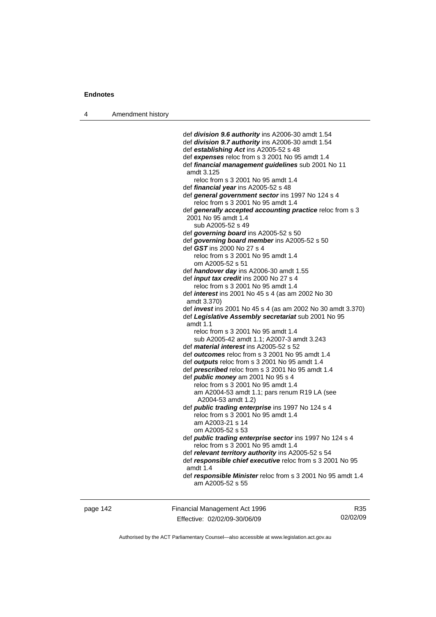4 Amendment history

 def *division 9.6 authority* ins A2006-30 amdt 1.54 def *division 9.7 authority* ins A2006-30 amdt 1.54 def *establishing Act* ins A2005-52 s 48 def *expenses* reloc from s 3 2001 No 95 amdt 1.4 def *financial management guidelines* sub 2001 No 11 amdt 3.125 reloc from s 3 2001 No 95 amdt 1.4 def *financial year* ins A2005-52 s 48 def *general government sector* ins 1997 No 124 s 4 reloc from s 3 2001 No 95 amdt 1.4 def *generally accepted accounting practice* reloc from s 3 2001 No 95 amdt 1.4 sub A2005-52 s 49 def *governing board* ins A2005-52 s 50 def *governing board member* ins A2005-52 s 50 def *GST* ins 2000 No 27 s 4 reloc from s 3 2001 No 95 amdt 1.4 om A2005-52 s 51 def *handover day* ins A2006-30 amdt 1.55 def *input tax credit* ins 2000 No 27 s 4 reloc from s 3 2001 No 95 amdt 1.4 def *interest* ins 2001 No 45 s 4 (as am 2002 No 30 amdt 3.370) def *invest* ins 2001 No 45 s 4 (as am 2002 No 30 amdt 3.370) def *Legislative Assembly secretariat* sub 2001 No 95 amdt 1.1 reloc from s 3 2001 No 95 amdt 1.4 sub A2005-42 amdt 1.1; A2007-3 amdt 3.243 def *material interest* ins A2005-52 s 52 def *outcomes* reloc from s 3 2001 No 95 amdt 1.4 def *outputs* reloc from s 3 2001 No 95 amdt 1.4 def *prescribed* reloc from s 3 2001 No 95 amdt 1.4 def *public money* am 2001 No 95 s 4 reloc from s 3 2001 No 95 amdt 1.4 am A2004-53 amdt 1.1; pars renum R19 LA (see A2004-53 amdt 1.2) def *public trading enterprise* ins 1997 No 124 s 4 reloc from s 3 2001 No 95 amdt 1.4 am A2003-21 s 14 om A2005-52 s 53 def *public trading enterprise sector* ins 1997 No 124 s 4 reloc from s 3 2001 No 95 amdt 1.4 def *relevant territory authority* ins A2005-52 s 54 def *responsible chief executive* reloc from s 3 2001 No 95 amdt 1.4 def *responsible Minister* reloc from s 3 2001 No 95 amdt 1.4 am A2005-52 s 55

page 142 Financial Management Act 1996 Effective: 02/02/09-30/06/09

R35 02/02/09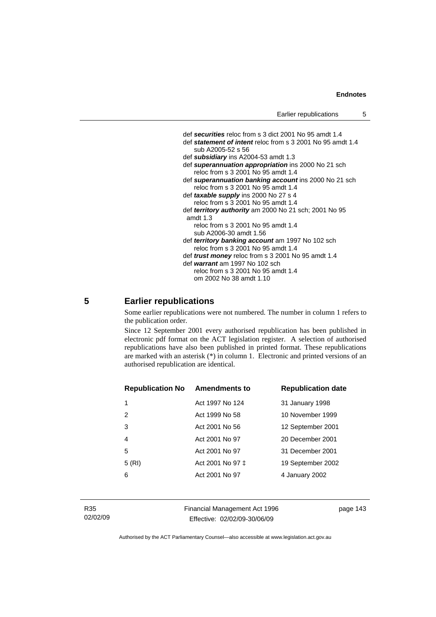def *securities* reloc from s 3 dict 2001 No 95 amdt 1.4 def *statement of intent* reloc from s 3 2001 No 95 amdt 1.4 sub A2005-52 s 56 def *subsidiary* ins A2004-53 amdt 1.3 def *superannuation appropriation* ins 2000 No 21 sch reloc from s 3 2001 No 95 amdt 1.4 def *superannuation banking account* ins 2000 No 21 sch reloc from s 3 2001 No 95 amdt 1.4 def *taxable supply* ins 2000 No 27 s 4 reloc from s 3 2001 No 95 amdt 1.4 def *territory authority* am 2000 No 21 sch; 2001 No 95 amdt 1.3 reloc from s 3 2001 No 95 amdt 1.4 sub A2006-30 amdt 1.56 def *territory banking account* am 1997 No 102 sch reloc from s 3 2001 No 95 amdt 1.4 def *trust money* reloc from s 3 2001 No 95 amdt 1.4 def *warrant* am 1997 No 102 sch reloc from s 3 2001 No 95 amdt 1.4 om 2002 No 38 amdt 1.10

# **5 Earlier republications**

Some earlier republications were not numbered. The number in column 1 refers to the publication order.

Since 12 September 2001 every authorised republication has been published in electronic pdf format on the ACT legislation register. A selection of authorised republications have also been published in printed format. These republications are marked with an asterisk (\*) in column 1. Electronic and printed versions of an authorised republication are identical.

| <b>Republication No Amendments to</b> |                  | <b>Republication date</b> |
|---------------------------------------|------------------|---------------------------|
| 1                                     | Act 1997 No 124  | 31 January 1998           |
| 2                                     | Act 1999 No 58   | 10 November 1999          |
| 3                                     | Act 2001 No 56   | 12 September 2001         |
| 4                                     | Act 2001 No 97   | 20 December 2001          |
| 5                                     | Act 2001 No 97   | 31 December 2001          |
| 5(RI)                                 | Act 2001 No 97 ‡ | 19 September 2002         |
| 6                                     | Act 2001 No 97   | 4 January 2002            |

Financial Management Act 1996 Effective: 02/02/09-30/06/09

page 143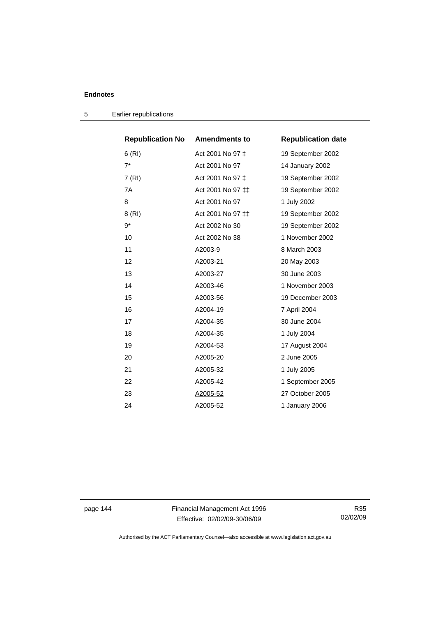5 Earlier republications

| <b>Republication No</b> | <b>Amendments to</b> | <b>Republication date</b> |
|-------------------------|----------------------|---------------------------|
| 6(RI)                   | Act 2001 No 97 ‡     | 19 September 2002         |
| $7^*$                   | Act 2001 No 97       | 14 January 2002           |
| 7 (RI)                  | Act 2001 No 97 ‡     | 19 September 2002         |
| 7A                      | Act 2001 No 97 ‡‡    | 19 September 2002         |
| 8                       | Act 2001 No 97       | 1 July 2002               |
| 8 (RI)                  | Act 2001 No 97 ‡‡    | 19 September 2002         |
| 9*                      | Act 2002 No 30       | 19 September 2002         |
| 10                      | Act 2002 No 38       | 1 November 2002           |
| 11                      | A2003-9              | 8 March 2003              |
| 12                      | A2003-21             | 20 May 2003               |
| 13                      | A2003-27             | 30 June 2003              |
| 14                      | A2003-46             | 1 November 2003           |
| 15                      | A2003-56             | 19 December 2003          |
| 16                      | A2004-19             | 7 April 2004              |
| 17                      | A2004-35             | 30 June 2004              |
| 18                      | A2004-35             | 1 July 2004               |
| 19                      | A2004-53             | 17 August 2004            |
| 20                      | A2005-20             | 2 June 2005               |
| 21                      | A2005-32             | 1 July 2005               |
| 22                      | A2005-42             | 1 September 2005          |
| 23                      | A2005-52             | 27 October 2005           |
| 24                      | A2005-52             | 1 January 2006            |

page 144 Financial Management Act 1996 Effective: 02/02/09-30/06/09

R35 02/02/09